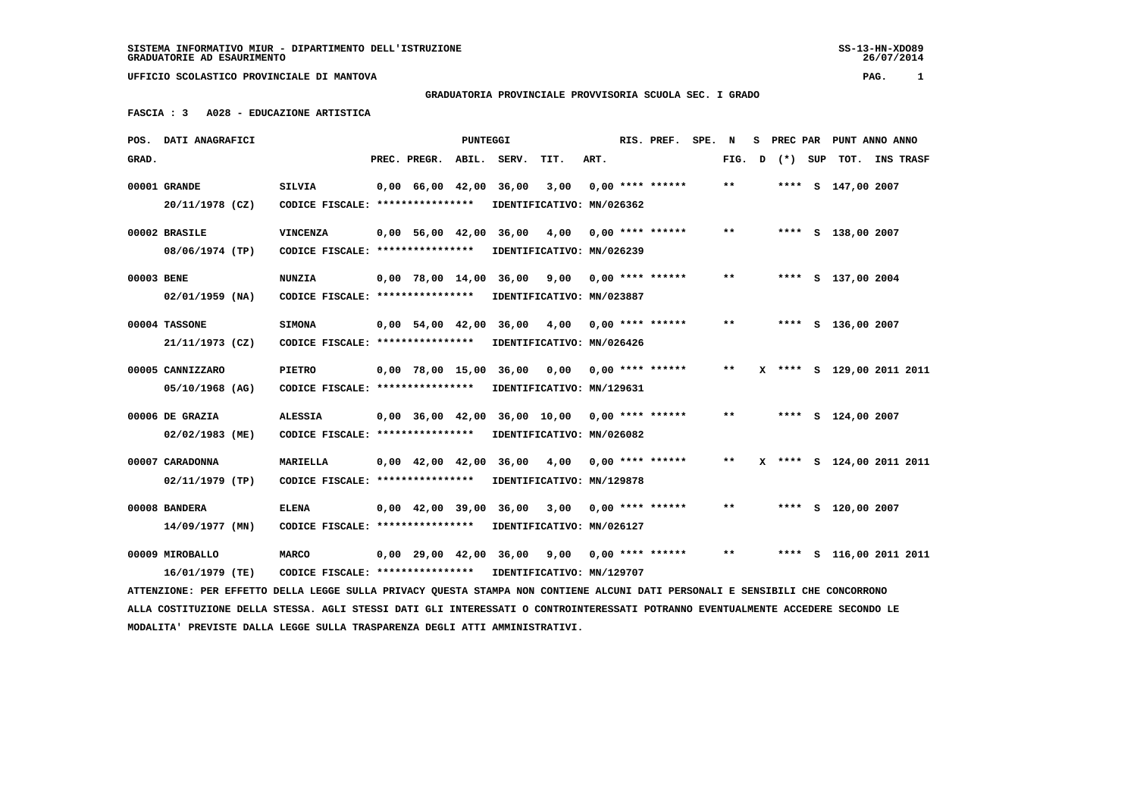SS-13-HN-XDO89<br>26/07/2014

 **UFFICIO SCOLASTICO PROVINCIALE DI MANTOVA PAG. 1**

## **GRADUATORIA PROVINCIALE PROVVISORIA SCUOLA SEC. I GRADO**

 **FASCIA : 3 A028 - EDUCAZIONE ARTISTICA**

| POS.       | DATI ANAGRAFICI                                                                                                                 |                                   |                    | PUNTEGGI |                                                 |                           |      | RIS. PREF.                | SPE. N |        | s | <b>PREC PAR</b> |                    | PUNT ANNO ANNO            |
|------------|---------------------------------------------------------------------------------------------------------------------------------|-----------------------------------|--------------------|----------|-------------------------------------------------|---------------------------|------|---------------------------|--------|--------|---|-----------------|--------------------|---------------------------|
| GRAD.      |                                                                                                                                 |                                   | PREC. PREGR.       | ABIL.    | SERV.                                           | TIT.                      | ART. |                           |        | FIG. D |   | (*) SUP         | тот.               | <b>INS TRASF</b>          |
|            | 00001 GRANDE                                                                                                                    | <b>SILVIA</b>                     | $0,00$ 66,00 42,00 |          | 36,00                                           | 3,00                      |      | $0.00$ **** ******        |        | $* *$  |   |                 | **** S 147,00 2007 |                           |
|            | 20/11/1978 (CZ)                                                                                                                 | CODICE FISCALE: ****************  |                    |          |                                                 | IDENTIFICATIVO: MN/026362 |      |                           |        |        |   |                 |                    |                           |
|            |                                                                                                                                 |                                   |                    |          |                                                 |                           |      |                           |        |        |   |                 |                    |                           |
|            | 00002 BRASILE                                                                                                                   | <b>VINCENZA</b>                   |                    |          | 0,00 56,00 42,00 36,00                          | 4,00                      |      | $0.00$ **** ******        |        | $* *$  |   |                 | **** S 138,00 2007 |                           |
|            | 08/06/1974 (TP)                                                                                                                 | CODICE FISCALE: ****************  |                    |          |                                                 | IDENTIFICATIVO: MN/026239 |      |                           |        |        |   |                 |                    |                           |
| 00003 BENE |                                                                                                                                 | <b>NUNZIA</b>                     |                    |          | 0,00 78,00 14,00 36,00 9,00                     |                           |      | $0.00$ **** ******        |        | $* *$  |   |                 | **** S 137,00 2004 |                           |
|            | $02/01/1959$ (NA)                                                                                                               | CODICE FISCALE: ****************  |                    |          |                                                 | IDENTIFICATIVO: MN/023887 |      |                           |        |        |   |                 |                    |                           |
|            |                                                                                                                                 |                                   |                    |          |                                                 |                           |      |                           |        |        |   |                 |                    |                           |
|            | 00004 TASSONE                                                                                                                   | <b>SIMONA</b>                     |                    |          | 0,00 54,00 42,00 36,00 4,00                     |                           |      | $0.00$ **** ******        |        | $***$  |   |                 | **** S 136,00 2007 |                           |
|            | 21/11/1973 (CZ)                                                                                                                 | CODICE FISCALE: ****************  |                    |          |                                                 | IDENTIFICATIVO: MN/026426 |      |                           |        |        |   |                 |                    |                           |
|            | 00005 CANNIZZARO                                                                                                                | <b>PIETRO</b>                     |                    |          | 0,00 78,00 15,00 36,00                          |                           |      | $0,00$ $0,00$ **** ****** |        | $***$  |   |                 |                    | X **** S 129,00 2011 2011 |
|            | 05/10/1968 (AG)                                                                                                                 | CODICE FISCALE: ***************** |                    |          |                                                 | IDENTIFICATIVO: MN/129631 |      |                           |        |        |   |                 |                    |                           |
|            |                                                                                                                                 |                                   |                    |          |                                                 |                           |      |                           |        |        |   |                 |                    |                           |
|            | 00006 DE GRAZIA                                                                                                                 | <b>ALESSIA</b>                    |                    |          | $0,00$ 36,00 42,00 36,00 10,00 0,00 **** ****** |                           |      |                           |        | $***$  |   |                 | **** S 124,00 2007 |                           |
|            | 02/02/1983 (ME)                                                                                                                 | CODICE FISCALE: ***************** |                    |          |                                                 | IDENTIFICATIVO: MN/026082 |      |                           |        |        |   |                 |                    |                           |
|            | 00007 CARADONNA                                                                                                                 | <b>MARIELLA</b>                   |                    |          | 0,00 42,00 42,00 36,00                          | 4,00                      |      | $0.00$ **** ******        |        | $***$  |   |                 |                    | X **** S 124,00 2011 2011 |
|            | 02/11/1979 (TP)                                                                                                                 | CODICE FISCALE: ***************** |                    |          |                                                 | IDENTIFICATIVO: MN/129878 |      |                           |        |        |   |                 |                    |                           |
|            |                                                                                                                                 |                                   |                    |          |                                                 |                           |      |                           |        |        |   |                 |                    |                           |
|            | 00008 BANDERA                                                                                                                   | <b>ELENA</b>                      |                    |          | 0,00 42,00 39,00 36,00                          | 3,00                      |      | $0.00$ **** ******        |        | $***$  |   |                 | **** S 120,00 2007 |                           |
|            | 14/09/1977 (MN)                                                                                                                 | CODICE FISCALE: ****************  |                    |          |                                                 | IDENTIFICATIVO: MN/026127 |      |                           |        |        |   |                 |                    |                           |
|            | 00009 MIROBALLO                                                                                                                 | <b>MARCO</b>                      |                    |          | 0,00 29,00 42,00 36,00                          | 9,00                      |      | $0.00$ **** ******        |        | $***$  |   |                 |                    | **** S 116,00 2011 2011   |
|            | 16/01/1979 (TE)                                                                                                                 | CODICE FISCALE: ***************** |                    |          |                                                 | IDENTIFICATIVO: MN/129707 |      |                           |        |        |   |                 |                    |                           |
|            | ATTENZIONE: PER EFFETTO DELLA LEGGE SULLA PRIVACY QUESTA STAMPA NON CONTIENE ALCUNI DATI PERSONALI E SENSIBILI CHE CONCORRONO   |                                   |                    |          |                                                 |                           |      |                           |        |        |   |                 |                    |                           |
|            | ALLA COSTITUZIONE DELLA STESSA. AGLI STESSI DATI GLI INTERESSATI O CONTROINTERESSATI POTRANNO EVENTUALMENTE ACCEDERE SECONDO LE |                                   |                    |          |                                                 |                           |      |                           |        |        |   |                 |                    |                           |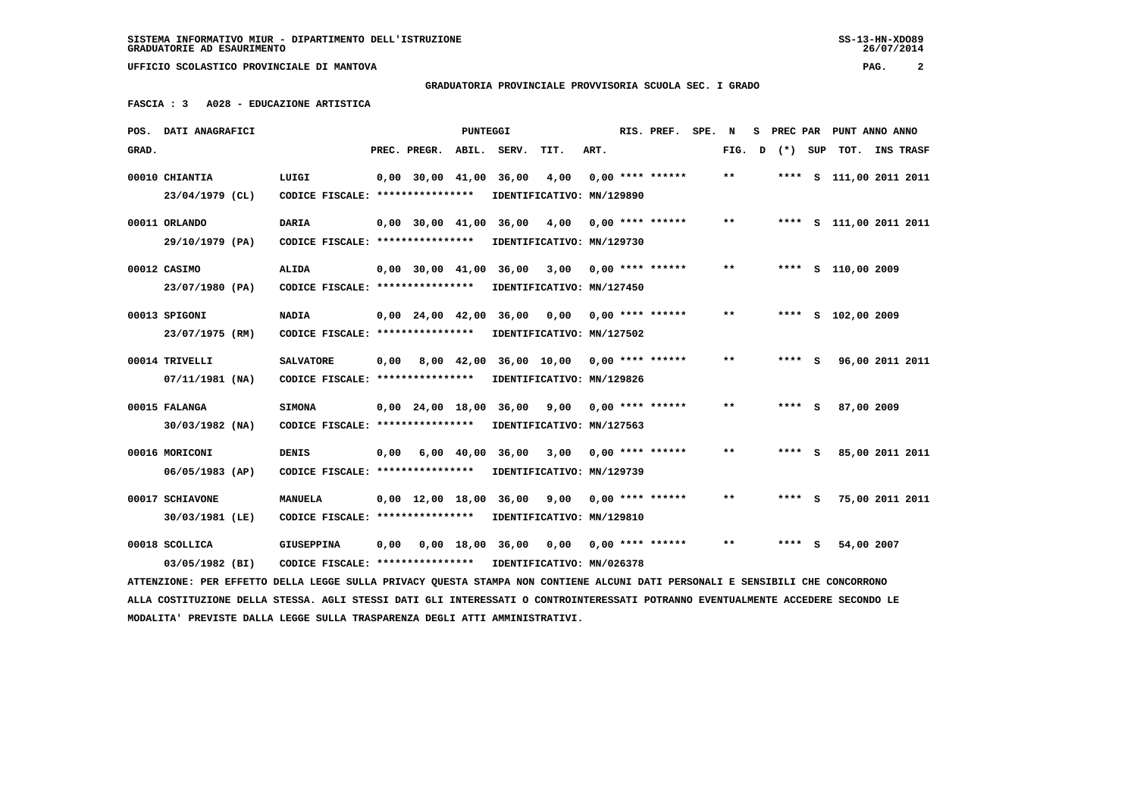**GRADUATORIA PROVINCIALE PROVVISORIA SCUOLA SEC. I GRADO**

 **FASCIA : 3 A028 - EDUCAZIONE ARTISTICA**

|       | POS. DATI ANAGRAFICI                                                                                                            |                                                            |      |                    | <b>PUNTEGGI</b> |                                                |                           |      | RIS. PREF. SPE. N  |                            |                    | S PREC PAR PUNT ANNO ANNO |  |
|-------|---------------------------------------------------------------------------------------------------------------------------------|------------------------------------------------------------|------|--------------------|-----------------|------------------------------------------------|---------------------------|------|--------------------|----------------------------|--------------------|---------------------------|--|
| GRAD. |                                                                                                                                 |                                                            |      | PREC. PREGR. ABIL. |                 | SERV.                                          | TIT.                      | ART. |                    |                            | FIG. $D$ $(*)$ SUP | TOT. INS TRASF            |  |
|       | 00010 CHIANTIA                                                                                                                  | LUIGI                                                      |      | $0.00$ 30.00 41.00 |                 | 36,00                                          | 4,00                      |      | $0.00$ **** ****** | $\pmb{\times}\pmb{\times}$ |                    | **** S 111,00 2011 2011   |  |
|       | 23/04/1979 (CL)                                                                                                                 | CODICE FISCALE: ****************                           |      |                    |                 |                                                | IDENTIFICATIVO: MN/129890 |      |                    |                            |                    |                           |  |
|       | 00011 ORLANDO                                                                                                                   | <b>DARIA</b>                                               |      |                    |                 | $0,00$ 30,00 41,00 36,00 4,00                  |                           |      | $0.00$ **** ****** | $**$                       |                    | **** S 111,00 2011 2011   |  |
|       | 29/10/1979 (PA)                                                                                                                 | CODICE FISCALE: ****************                           |      |                    |                 |                                                | IDENTIFICATIVO: MN/129730 |      |                    |                            |                    |                           |  |
|       | 00012 CASIMO                                                                                                                    | <b>ALIDA</b>                                               |      | $0,00$ 30,00 41,00 |                 | 36,00                                          | 3,00                      |      | $0.00$ **** ****** | $**$                       |                    | **** S 110,00 2009        |  |
|       | 23/07/1980 (PA)                                                                                                                 | CODICE FISCALE: ****************                           |      |                    |                 |                                                | IDENTIFICATIVO: MN/127450 |      |                    |                            |                    |                           |  |
|       | 00013 SPIGONI                                                                                                                   | NADIA                                                      |      |                    |                 | $0,00$ 24,00 42,00 36,00 0,00 0,00 **** ****** |                           |      |                    | $**$                       |                    | **** S 102,00 2009        |  |
|       | 23/07/1975 (RM)                                                                                                                 | CODICE FISCALE: ****************                           |      |                    |                 |                                                | IDENTIFICATIVO: MN/127502 |      |                    |                            |                    |                           |  |
|       | 00014 TRIVELLI                                                                                                                  | <b>SALVATORE</b>                                           | 0.00 |                    |                 | 8,00 42,00 36,00 10,00 0,00 **** ******        |                           |      |                    | $\star\star$               | $***$ S            | 96,00 2011 2011           |  |
|       | 07/11/1981 (NA)                                                                                                                 | CODICE FISCALE: *****************                          |      |                    |                 |                                                | IDENTIFICATIVO: MN/129826 |      |                    |                            |                    |                           |  |
|       | 00015 FALANGA                                                                                                                   | <b>SIMONA</b>                                              |      |                    |                 | 0,00 24,00 18,00 36,00 9,00                    |                           |      | $0.00$ **** ****** | $* *$                      | **** S             | 87,00 2009                |  |
|       | $30/03/1982$ (NA)                                                                                                               | CODICE FISCALE: ****************                           |      |                    |                 |                                                | IDENTIFICATIVO: MN/127563 |      |                    |                            |                    |                           |  |
|       |                                                                                                                                 |                                                            |      |                    |                 |                                                |                           |      |                    |                            |                    |                           |  |
|       | 00016 MORICONI                                                                                                                  | <b>DENIS</b>                                               | 0,00 |                    |                 | $6,00$ $40,00$ $36,00$                         | 3,00                      |      | $0.00$ **** ****** | $* *$                      | **** $S$           | 85,00 2011 2011           |  |
|       | 06/05/1983 (AP)                                                                                                                 | CODICE FISCALE: ****************                           |      |                    |                 |                                                | IDENTIFICATIVO: MN/129739 |      |                    |                            |                    |                           |  |
|       | 00017 SCHIAVONE                                                                                                                 | <b>MANUELA</b>                                             |      |                    |                 | 0,00 12,00 18,00 36,00                         | 9,00                      |      | $0.00$ **** ****** | $* *$                      | **** S             | 75,00 2011 2011           |  |
|       | 30/03/1981 (LE)                                                                                                                 | CODICE FISCALE: ****************                           |      |                    |                 |                                                | IDENTIFICATIVO: MN/129810 |      |                    |                            |                    |                           |  |
|       | 00018 SCOLLICA                                                                                                                  | GIUSEPPINA                                                 | 0,00 |                    |                 | $0,00$ 18,00 36,00 0,00 0,00 **** ******       |                           |      |                    | $**$                       | $***$ S            | 54,00 2007                |  |
|       | 03/05/1982 (BI)                                                                                                                 | CODICE FISCALE: **************** IDENTIFICATIVO: MN/026378 |      |                    |                 |                                                |                           |      |                    |                            |                    |                           |  |
|       | ATTENZIONE: PER EFFETTO DELLA LEGGE SULLA PRIVACY QUESTA STAMPA NON CONTIENE ALCUNI DATI PERSONALI E SENSIBILI CHE CONCORRONO   |                                                            |      |                    |                 |                                                |                           |      |                    |                            |                    |                           |  |
|       | ALLA COSTITUZIONE DELLA STESSA. AGLI STESSI DATI GLI INTERESSATI O CONTROINTERESSATI POTRANNO EVENTUALMENTE ACCEDERE SECONDO LE |                                                            |      |                    |                 |                                                |                           |      |                    |                            |                    |                           |  |
|       | MODALITA' PREVISTE DALLA LEGGE SULLA TRASPARENZA DEGLI ATTI AMMINISTRATIVI.                                                     |                                                            |      |                    |                 |                                                |                           |      |                    |                            |                    |                           |  |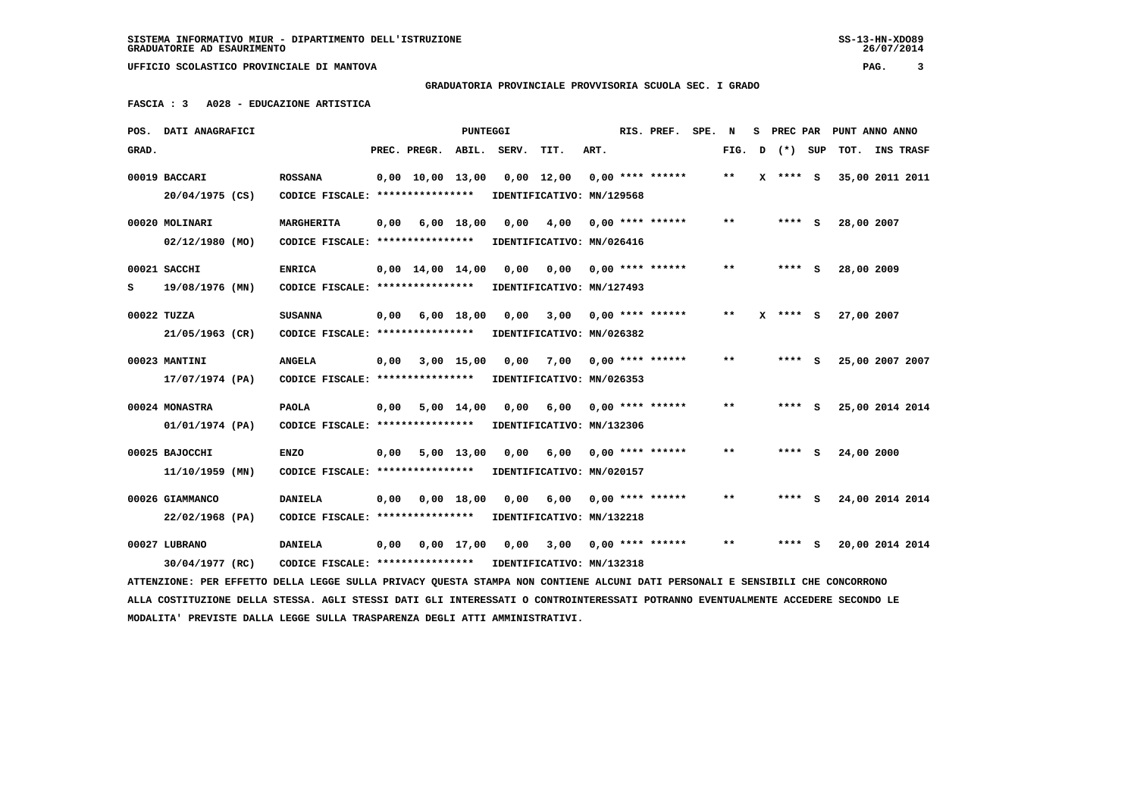## **GRADUATORIA PROVINCIALE PROVVISORIA SCUOLA SEC. I GRADO**

 **FASCIA : 3 A028 - EDUCAZIONE ARTISTICA**

|       | POS. DATI ANAGRAFICI                                                                                                            |                                                            |      |                                | PUNTEGGI     |       |                              |      | RIS. PREF.                | SPE. N |                            | s |         | PREC PAR PUNT ANNO ANNO |           |
|-------|---------------------------------------------------------------------------------------------------------------------------------|------------------------------------------------------------|------|--------------------------------|--------------|-------|------------------------------|------|---------------------------|--------|----------------------------|---|---------|-------------------------|-----------|
| GRAD. |                                                                                                                                 |                                                            |      | PREC. PREGR.                   | ABIL.        | SERV. | TIT.                         | ART. |                           |        | FIG.                       | D | (*) SUP | TOT.                    | INS TRASF |
|       | 00019 BACCARI                                                                                                                   | <b>ROSSANA</b>                                             |      | $0,00 \quad 10,00 \quad 13,00$ |              |       | $0,00 \quad 12,00$           |      | $0.00$ **** ******        |        | $***$                      | x | **** S  | 35,00 2011 2011         |           |
|       | 20/04/1975 (CS)                                                                                                                 | CODICE FISCALE: ****************                           |      |                                |              |       | IDENTIFICATIVO: MN/129568    |      |                           |        |                            |   |         |                         |           |
|       | 00020 MOLINARI                                                                                                                  | MARGHERITA                                                 | 0,00 |                                | 6,00 18,00   | 0,00  | 4,00                         |      | $0,00$ **** ******        |        | $\pmb{\times}\pmb{\times}$ |   | $***$ S | 28,00 2007              |           |
|       | $02/12/1980$ (MO)                                                                                                               | CODICE FISCALE: ****************                           |      |                                |              |       | IDENTIFICATIVO: MN/026416    |      |                           |        |                            |   |         |                         |           |
|       |                                                                                                                                 |                                                            |      |                                |              |       |                              |      |                           |        |                            |   |         |                         |           |
|       | 00021 SACCHI                                                                                                                    | <b>ENRICA</b>                                              |      | $0,00 \quad 14,00 \quad 14,00$ |              | 0,00  |                              |      | $0,00$ $0,00$ **** ****** |        | $* *$                      |   | $***$ S | 28,00 2009              |           |
| s     | 19/08/1976 (MN)                                                                                                                 | CODICE FISCALE: ****************                           |      |                                |              |       | IDENTIFICATIVO: MN/127493    |      |                           |        |                            |   |         |                         |           |
|       | 00022 TUZZA                                                                                                                     | <b>SUSANNA</b>                                             | 0,00 |                                | $6,00$ 18,00 | 0.00  | 3,00                         |      | $0.00$ **** ******        |        | $\pmb{\times}\pmb{\times}$ | x | $***$ S | 27,00 2007              |           |
|       | 21/05/1963 (CR)                                                                                                                 | CODICE FISCALE: *****************                          |      |                                |              |       | IDENTIFICATIVO: MN/026382    |      |                           |        |                            |   |         |                         |           |
|       |                                                                                                                                 |                                                            |      |                                |              |       |                              |      |                           |        | $* *$                      |   |         |                         |           |
|       | 00023 MANTINI                                                                                                                   | <b>ANGELA</b>                                              | 0,00 |                                | 3,00 15,00   | 0.00  | 7,00 0,00 **** ******        |      |                           |        |                            |   | $***$ S | 25,00 2007 2007         |           |
|       | 17/07/1974 (PA)                                                                                                                 | CODICE FISCALE: ****************                           |      |                                |              |       | IDENTIFICATIVO: MN/026353    |      |                           |        |                            |   |         |                         |           |
|       | 00024 MONASTRA                                                                                                                  | <b>PAOLA</b>                                               | 0,00 |                                | 5,00 14,00   | 0,00  | 6,00                         |      | $0,00$ **** ******        |        | **                         |   | **** S  | 25,00 2014 2014         |           |
|       | 01/01/1974 (PA)                                                                                                                 | CODICE FISCALE: *****************                          |      |                                |              |       | IDENTIFICATIVO: MN/132306    |      |                           |        |                            |   |         |                         |           |
|       | 00025 BAJOCCHI                                                                                                                  | <b>ENZO</b>                                                | 0,00 |                                | 5,00 13,00   | 0,00  | 6,00                         |      | $0,00$ **** ******        |        | **                         |   | **** S  | 24,00 2000              |           |
|       |                                                                                                                                 | CODICE FISCALE: ****************                           |      |                                |              |       | IDENTIFICATIVO: MN/020157    |      |                           |        |                            |   |         |                         |           |
|       | $11/10/1959$ (MN)                                                                                                               |                                                            |      |                                |              |       |                              |      |                           |        |                            |   |         |                         |           |
|       | 00026 GIAMMANCO                                                                                                                 | <b>DANIELA</b>                                             | 0,00 |                                | $0,00$ 18,00 | 0,00  | 6,00                         |      | $0,00$ **** ******        |        | $***$                      |   | **** S  | 24,00 2014 2014         |           |
|       | 22/02/1968 (PA)                                                                                                                 | CODICE FISCALE: *****************                          |      |                                |              |       | IDENTIFICATIVO: MN/132218    |      |                           |        |                            |   |         |                         |           |
|       | 00027 LUBRANO                                                                                                                   | <b>DANIELA</b>                                             | 0,00 |                                | $0,00$ 17,00 |       | $0,00$ 3,00 0,00 **** ****** |      |                           |        | $* *$                      |   | **** S  | 20,00 2014 2014         |           |
|       | 30/04/1977 (RC)                                                                                                                 | CODICE FISCALE: **************** IDENTIFICATIVO: MN/132318 |      |                                |              |       |                              |      |                           |        |                            |   |         |                         |           |
|       |                                                                                                                                 |                                                            |      |                                |              |       |                              |      |                           |        |                            |   |         |                         |           |
|       | ATTENZIONE: PER EFFETTO DELLA LEGGE SULLA PRIVACY QUESTA STAMPA NON CONTIENE ALCUNI DATI PERSONALI E SENSIBILI CHE CONCORRONO   |                                                            |      |                                |              |       |                              |      |                           |        |                            |   |         |                         |           |
|       | ALLA COSTITUZIONE DELLA STESSA. AGLI STESSI DATI GLI INTERESSATI O CONTROINTERESSATI POTRANNO EVENTUALMENTE ACCEDERE SECONDO LE |                                                            |      |                                |              |       |                              |      |                           |        |                            |   |         |                         |           |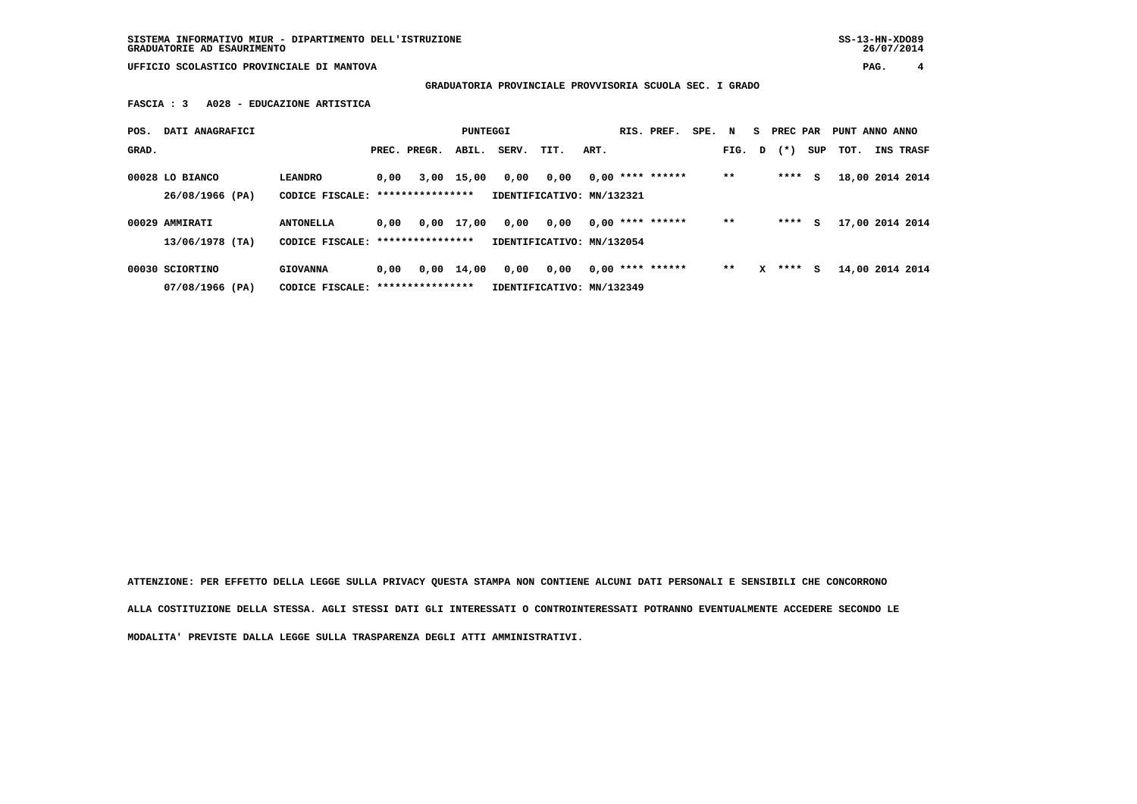**SISTEMA INFORMATIVO MIUR - DIPARTIMENTO DELL'ISTRUZIONE SS-13-HN-XDO89 GRADUATORIE AD ESAURIMENTO 26/07/2014**

 **UFFICIO SCOLASTICO PROVINCIALE DI MANTOVA PAG. 4**

 **GRADUATORIA PROVINCIALE PROVVISORIA SCUOLA SEC. I GRADO**

 **FASCIA : 3 A028 - EDUCAZIONE ARTISTICA**

| POS.  | DATI ANAGRAFICI                      |                                     |      |                  | <b>PUNTEGGI</b>    |       |                                   |      | RIS. PREF.         | SPE. | N     | S. | PREC PAR |     | PUNT ANNO ANNO |                 |
|-------|--------------------------------------|-------------------------------------|------|------------------|--------------------|-------|-----------------------------------|------|--------------------|------|-------|----|----------|-----|----------------|-----------------|
| GRAD. |                                      |                                     |      | PREC. PREGR.     | ABIL.              | SERV. | TIT.                              | ART. |                    |      | FIG.  | D  | $(* )$   | SUP | тот.           | INS TRASF       |
|       | 00028 LO BIANCO<br>$26/08/1966$ (PA) | <b>LEANDRO</b><br>CODICE FISCALE:   | 0,00 | **************** | 3,00 15,00         | 0,00  | 0,00<br>IDENTIFICATIVO: MN/132321 |      | $0.00$ **** ****** |      | $**$  |    | ****     | s   |                | 18,00 2014 2014 |
|       | 00029 AMMIRATI<br>13/06/1978 (TA)    | <b>ANTONELLA</b><br>CODICE FISCALE: | 0.00 | **************** | 0,00 17,00         | 0,00  | 0,00<br>IDENTIFICATIVO: MN/132054 |      | $0.00$ **** ****** |      | $***$ |    | ****     | s   |                | 17,00 2014 2014 |
|       | 00030 SCIORTINO<br>07/08/1966 (PA)   | <b>GIOVANNA</b><br>CODICE FISCALE:  | 0,00 | **************** | $0,00 \quad 14,00$ | 0,00  | 0,00<br>IDENTIFICATIVO: MN/132349 |      | $0,00$ **** ****** |      | $* *$ | x  | ****     | s   |                | 14,00 2014 2014 |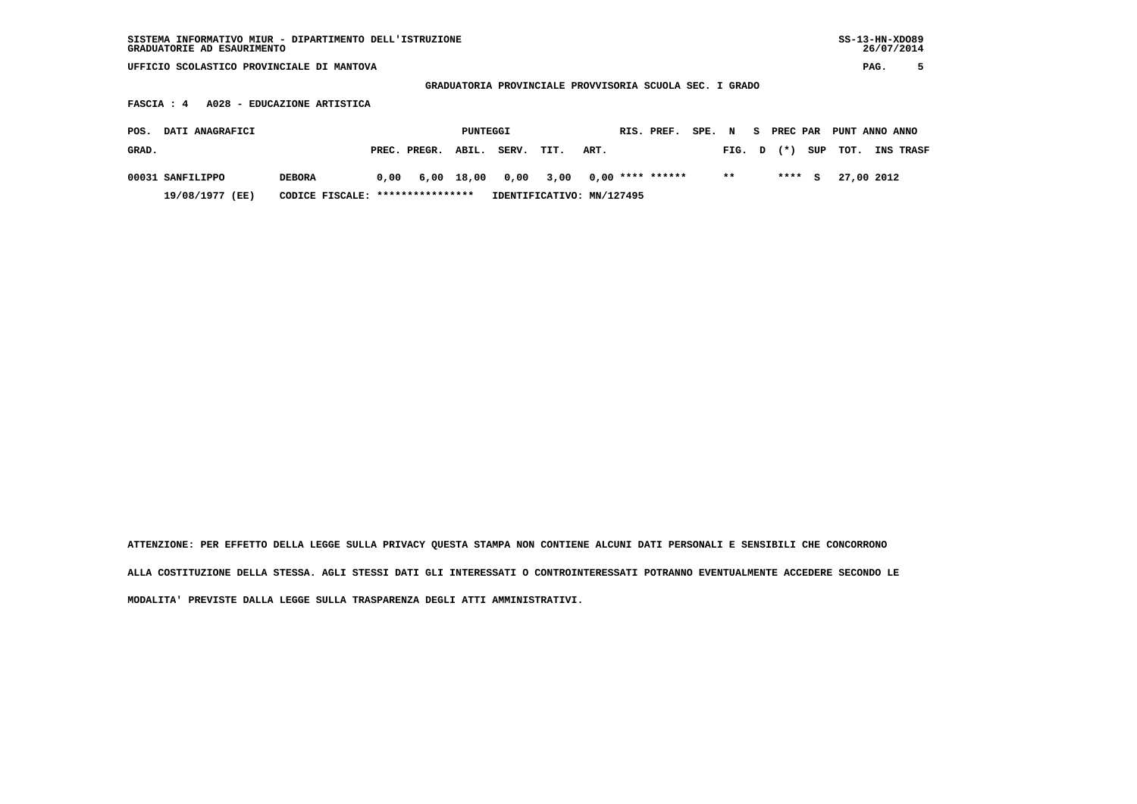| SISTEMA INFORMATIVO MIUR - DIPARTIMENTO DELL'ISTRUZIONE<br>GRADUATORIE AD ESAURIMENTO |                                                         |            |        |    | $SS-13-HN-XDO89$<br>26/07/2014 |  |
|---------------------------------------------------------------------------------------|---------------------------------------------------------|------------|--------|----|--------------------------------|--|
| UFFICIO SCOLASTICO PROVINCIALE DI MANTOVA                                             |                                                         |            |        |    | PAG.                           |  |
|                                                                                       | GRADUATORIA PROVINCIALE PROVVISORIA SCUOLA SEC. I GRADO |            |        |    |                                |  |
| FASCIA : 4 A028 - EDUCAZIONE ARTISTICA                                                |                                                         |            |        |    |                                |  |
| DATI ANAGRAFICI<br>POS.                                                               | PUNTEGGI                                                | RIS. PREF. | SPE. N | S. | PREC PAR PUNT ANNO ANNO        |  |

| GRAD.            |                                  | PREC. PREGR. ABIL. | SERV. | TIT. | ART.                                         |              |  | FIG. D (*) SUP TOT. INS TRASF |  |
|------------------|----------------------------------|--------------------|-------|------|----------------------------------------------|--------------|--|-------------------------------|--|
| 00031 SANFILIPPO | <b>DEBORA</b>                    |                    |       |      | $0.00$ 6.00 18.00 0.00 3.00 0.00 **** ****** | $\star\star$ |  | **** S 27,00 2012             |  |
| 19/08/1977 (EE)  | CODICE FISCALE: **************** |                    |       |      | IDENTIFICATIVO: MN/127495                    |              |  |                               |  |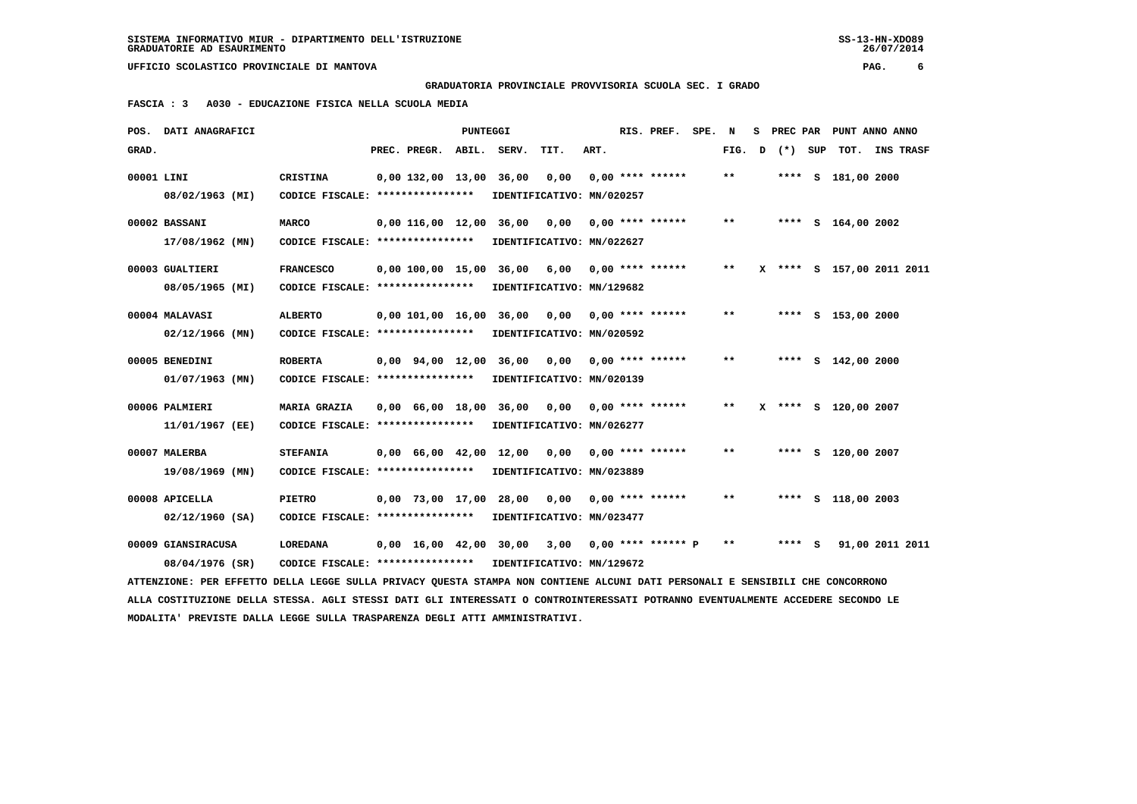**GRADUATORIA PROVINCIALE PROVVISORIA SCUOLA SEC. I GRADO**

 **FASCIA : 3 A030 - EDUCAZIONE FISICA NELLA SCUOLA MEDIA**

|            | POS. DATI ANAGRAFICI                                                                                                            |                                   |                                            | <b>PUNTEGGI</b> |                           |                           |      | RIS. PREF.           | SPE. | $\mathbf N$  |         | S PREC PAR PUNT ANNO ANNO |  |
|------------|---------------------------------------------------------------------------------------------------------------------------------|-----------------------------------|--------------------------------------------|-----------------|---------------------------|---------------------------|------|----------------------|------|--------------|---------|---------------------------|--|
| GRAD.      |                                                                                                                                 |                                   | PREC. PREGR. ABIL.                         |                 | SERV.                     | TIT.                      | ART. |                      |      | FIG. D       | (*) SUP | TOT. INS TRASF            |  |
| 00001 LINI |                                                                                                                                 | CRISTINA                          | $0,00$ 132,00 13,00                        |                 | 36,00                     | 0,00                      |      | $0.00$ **** ******   |      | $\star\star$ |         | **** S 181,00 2000        |  |
|            | 08/02/1963 (MI)                                                                                                                 | CODICE FISCALE: ****************  |                                            |                 | IDENTIFICATIVO: MN/020257 |                           |      |                      |      |              |         |                           |  |
|            | 00002 BASSANI                                                                                                                   | <b>MARCO</b>                      | 0.00 116.00 12.00 36.00                    |                 |                           | 0,00                      |      | $0.00$ **** ******   |      | $* *$        |         | **** $S$ 164,00 2002      |  |
|            | $17/08/1962$ (MN)                                                                                                               | CODICE FISCALE: ***************** |                                            |                 | IDENTIFICATIVO: MN/022627 |                           |      |                      |      |              |         |                           |  |
|            |                                                                                                                                 |                                   |                                            |                 |                           |                           |      |                      |      |              |         |                           |  |
|            | 00003 GUALTIERI                                                                                                                 | <b>FRANCESCO</b>                  | 0.00 100.00 15.00                          |                 | 36,00                     | 6,00                      |      | $0.00$ **** ******   |      | $* *$        |         | X **** S 157,00 2011 2011 |  |
|            | 08/05/1965 (MI)                                                                                                                 | CODICE FISCALE: ****************  |                                            |                 | IDENTIFICATIVO: MN/129682 |                           |      |                      |      |              |         |                           |  |
|            | 00004 MALAVASI                                                                                                                  | <b>ALBERTO</b>                    | 0,00 101,00 16,00 36,00                    |                 |                           | 0,00                      |      | $0.00$ **** ******   |      | $* *$        |         | **** S 153,00 2000        |  |
|            | $02/12/1966$ (MN)                                                                                                               | CODICE FISCALE: ****************  |                                            |                 | IDENTIFICATIVO: MN/020592 |                           |      |                      |      |              |         |                           |  |
|            | 00005 BENEDINI                                                                                                                  | <b>ROBERTA</b>                    | 0,00 94,00 12,00                           |                 | 36,00                     | 0,00                      |      | $0.00$ **** ******   |      | $* *$        |         | **** $S$ 142,00 2000      |  |
|            | $01/07/1963$ (MN)                                                                                                               | CODICE FISCALE: ****************  |                                            |                 | IDENTIFICATIVO: MN/020139 |                           |      |                      |      |              |         |                           |  |
|            |                                                                                                                                 |                                   |                                            |                 |                           |                           |      |                      |      |              |         |                           |  |
|            | 00006 PALMIERI                                                                                                                  | <b>MARIA GRAZIA</b>               | 0,00 66,00 18,00 36,00                     |                 |                           | 0,00                      |      | $0.00$ **** ******   |      | $* *$        |         | X **** S 120,00 2007      |  |
|            | 11/01/1967 (EE)                                                                                                                 | CODICE FISCALE: ****************  |                                            |                 |                           | IDENTIFICATIVO: MN/026277 |      |                      |      |              |         |                           |  |
|            | 00007 MALERBA                                                                                                                   | <b>STEFANIA</b>                   | $0,00 \quad 66,00 \quad 42,00 \quad 12,00$ |                 |                           | 0,00                      |      | $0.00$ **** ******   |      | $* *$        |         | **** S 120,00 2007        |  |
|            | 19/08/1969 (MN)                                                                                                                 | CODICE FISCALE: ***************** |                                            |                 | IDENTIFICATIVO: MN/023889 |                           |      |                      |      |              |         |                           |  |
|            |                                                                                                                                 |                                   |                                            |                 |                           |                           |      |                      |      |              |         |                           |  |
|            | 00008 APICELLA                                                                                                                  | <b>PIETRO</b>                     | 0,00 73,00 17,00                           |                 | 28,00                     | 0.00                      |      | $0.00$ **** ******   |      | $* *$        |         | **** S 118,00 2003        |  |
|            | $02/12/1960$ (SA)                                                                                                               | CODICE FISCALE: ***************** |                                            |                 | IDENTIFICATIVO: MN/023477 |                           |      |                      |      |              |         |                           |  |
|            | 00009 GIANSIRACUSA                                                                                                              | <b>LOREDANA</b>                   | $0,00 \quad 16,00 \quad 42,00 \quad 30,00$ |                 |                           | 3,00                      |      | $0.00$ **** ****** P |      | $* *$        | **** S  | 91,00 2011 2011           |  |
|            | 08/04/1976 (SR)                                                                                                                 | CODICE FISCALE: ****************  |                                            |                 | IDENTIFICATIVO: MN/129672 |                           |      |                      |      |              |         |                           |  |
|            | ATTENZIONE: PER EFFETTO DELLA LEGGE SULLA PRIVACY QUESTA STAMPA NON CONTIENE ALCUNI DATI PERSONALI E SENSIBILI CHE CONCORRONO   |                                   |                                            |                 |                           |                           |      |                      |      |              |         |                           |  |
|            | ALLA COSTITUZIONE DELLA STESSA. AGLI STESSI DATI GLI INTERESSATI O CONTROINTERESSATI POTRANNO EVENTUALMENTE ACCEDERE SECONDO LE |                                   |                                            |                 |                           |                           |      |                      |      |              |         |                           |  |
|            | MODALITA' PREVISTE DALLA LEGGE SULLA TRASPARENZA DEGLI ATTI AMMINISTRATIVI.                                                     |                                   |                                            |                 |                           |                           |      |                      |      |              |         |                           |  |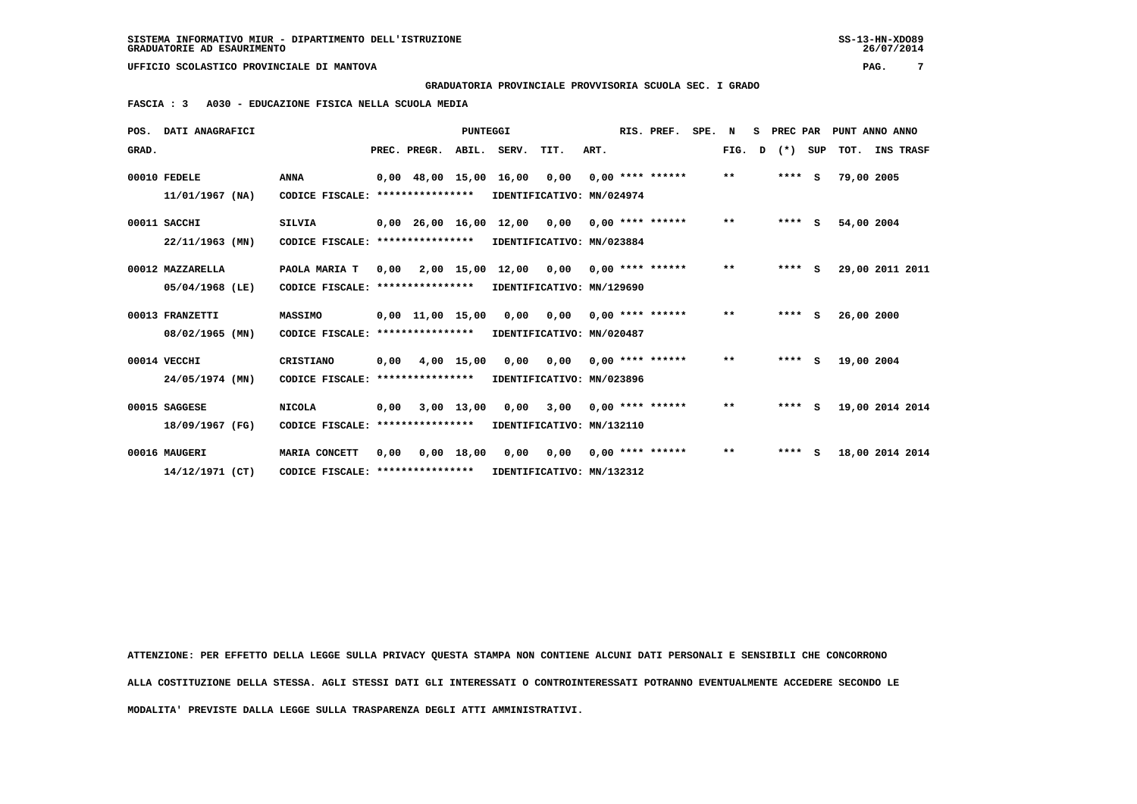**GRADUATORIA PROVINCIALE PROVVISORIA SCUOLA SEC. I GRADO**

 **FASCIA : 3 A030 - EDUCAZIONE FISICA NELLA SCUOLA MEDIA**

|       | POS. DATI ANAGRAFICI |                                   |      |                  | <b>PUNTEGGI</b> |                                                |                                        |      | RIS. PREF.                | SPE. | N            | s | PREC PAR |     |            | PUNT ANNO ANNO   |
|-------|----------------------|-----------------------------------|------|------------------|-----------------|------------------------------------------------|----------------------------------------|------|---------------------------|------|--------------|---|----------|-----|------------|------------------|
| GRAD. |                      |                                   |      | PREC. PREGR.     |                 | ABIL. SERV.                                    | TIT.                                   | ART. |                           |      | FIG. D       |   | $(*)$    | SUP | тот.       | <b>INS TRASF</b> |
|       | 00010 FEDELE         | <b>ANNA</b>                       |      |                  |                 | $0,00$ 48,00 15,00 16,00 0,00 0,00 **** ****** |                                        |      |                           |      | $***$        |   | $***$ S  |     | 79,00 2005 |                  |
|       | $11/01/1967$ (NA)    | CODICE FISCALE: ***************** |      |                  |                 |                                                | IDENTIFICATIVO: MN/024974              |      |                           |      |              |   |          |     |            |                  |
|       | 00011 SACCHI         | <b>SILVIA</b>                     |      |                  |                 | 0,00 26,00 16,00 12,00 0,00                    |                                        |      | $0.00$ **** ******        |      | $\star\star$ |   | $***$ S  |     | 54,00 2004 |                  |
|       | $22/11/1963$ (MN)    | CODICE FISCALE: ****************  |      |                  |                 |                                                | IDENTIFICATIVO: MN/023884              |      |                           |      |              |   |          |     |            |                  |
|       | 00012 MAZZARELLA     | PAOLA MARIA T                     | 0,00 |                  |                 | $2,00$ 15,00 12,00 0,00 0,00 **** ******       |                                        |      |                           |      | $***$        |   | $***$ S  |     |            | 29,00 2011 2011  |
|       | 05/04/1968 (LE)      | CODICE FISCALE: ***************** |      |                  |                 |                                                | IDENTIFICATIVO: MN/129690              |      |                           |      |              |   |          |     |            |                  |
|       | 00013 FRANZETTI      | <b>MASSIMO</b>                    |      | 0,00 11,00 15,00 |                 | 0,00                                           |                                        |      | $0,00$ $0,00$ **** ****** |      | $***$        |   | $***$ S  |     | 26,00 2000 |                  |
|       | 08/02/1965 (MN)      | CODICE FISCALE: ****************  |      |                  |                 |                                                | IDENTIFICATIVO: MN/020487              |      |                           |      |              |   |          |     |            |                  |
|       | 00014 VECCHI         | CRISTIANO                         | 0,00 |                  | 4,00 15,00      | 0,00                                           |                                        |      | $0,00$ $0,00$ **** ****** |      | $***$        |   | $***$ S  |     | 19,00 2004 |                  |
|       | 24/05/1974 (MN)      | CODICE FISCALE:                   |      | **************** |                 |                                                | IDENTIFICATIVO: MN/023896              |      |                           |      |              |   |          |     |            |                  |
|       | 00015 SAGGESE        | <b>NICOLA</b>                     | 0.00 |                  | 3,00 13,00      | 0.00                                           |                                        |      | $3,00$ 0,00 **** ******   |      | $***$        |   | $***$ S  |     |            | 19,00 2014 2014  |
|       | 18/09/1967 (FG)      | CODICE FISCALE: ****************  |      |                  |                 |                                                | IDENTIFICATIVO: MN/132110              |      |                           |      |              |   |          |     |            |                  |
|       | 00016 MAUGERI        | MARIA CONCETT                     | 0,00 |                  | $0,00$ 18,00    |                                                | $0,00$ $0,00$ $0,00$ $***$ **** ****** |      |                           |      | $**$         |   | ****     | s   |            | 18,00 2014 2014  |
|       | 14/12/1971 (CT)      | CODICE FISCALE: ***************** |      |                  |                 | IDENTIFICATIVO: MN/132312                      |                                        |      |                           |      |              |   |          |     |            |                  |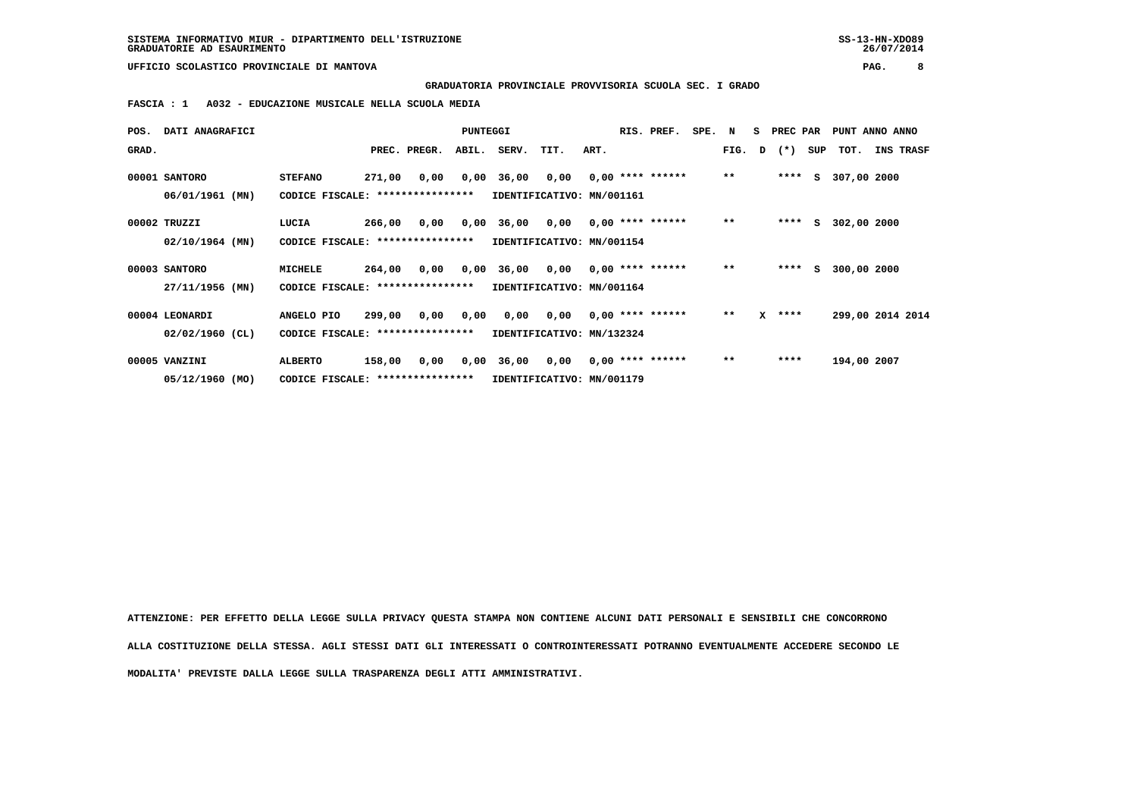**GRADUATORIA PROVINCIALE PROVVISORIA SCUOLA SEC. I GRADO**

 **FASCIA : 1 A032 - EDUCAZIONE MUSICALE NELLA SCUOLA MEDIA**

| POS.  | <b>DATI ANAGRAFICI</b> |                                   |        |              | <b>PUNTEGGI</b> |                                                       |                                        |      | RIS. PREF.         | SPE. N |       | S PREC PAR   |     | PUNT ANNO ANNO   |           |  |
|-------|------------------------|-----------------------------------|--------|--------------|-----------------|-------------------------------------------------------|----------------------------------------|------|--------------------|--------|-------|--------------|-----|------------------|-----------|--|
| GRAD. |                        |                                   |        | PREC. PREGR. | ABIL.           | SERV.                                                 | TIT.                                   | ART. |                    |        |       | FIG. D $(*)$ | SUP | тот.             | INS TRASF |  |
|       | 00001 SANTORO          | <b>STEFANO</b>                    | 271,00 |              |                 | $0,00$ $0,00$ $36,00$ $0,00$ $0,00$ $***$ **** ****** |                                        |      |                    |        | $***$ | ****         |     | S 307,00 2000    |           |  |
|       | 06/01/1961 (MN)        | CODICE FISCALE: ****************  |        |              |                 | IDENTIFICATIVO: MN/001161                             |                                        |      |                    |        |       |              |     |                  |           |  |
|       | 00002 TRUZZI           | LUCIA                             | 266,00 | 0,00         |                 | 0,00 36,00 0,00 0,00 **** ******                      |                                        |      |                    |        | $***$ | ****         |     | S 302,00 2000    |           |  |
|       | 02/10/1964 (MN)        | CODICE FISCALE: ****************  |        |              |                 | IDENTIFICATIVO: MN/001154                             |                                        |      |                    |        |       |              |     |                  |           |  |
|       | 00003 SANTORO          | MICHELE                           | 264,00 |              |                 | $0,00$ $0,00$ $36,00$ $0,00$ $0,00$ $***$ **** ****** |                                        |      |                    |        | $***$ | ****         | S.  | 300,00 2000      |           |  |
|       | 27/11/1956 (MN)        | CODICE FISCALE: ***************** |        |              |                 |                                                       | IDENTIFICATIVO: MN/001164              |      |                    |        |       |              |     |                  |           |  |
|       | 00004 LEONARDI         | ANGELO PIO                        | 299,00 |              | 0,00 0,00       |                                                       | $0,00$ $0,00$ $0,00$ $***$ **** ****** |      |                    |        | $***$ | $X$ ****     |     | 299,00 2014 2014 |           |  |
|       | $02/02/1960$ (CL)      | CODICE FISCALE: ****************  |        |              |                 |                                                       | IDENTIFICATIVO: MN/132324              |      |                    |        |       |              |     |                  |           |  |
|       | 00005 VANZINI          | <b>ALBERTO</b>                    | 158,00 | 0,00         |                 | 0,00 36,00 0,00                                       |                                        |      | $0.00$ **** ****** |        | $***$ | ****         |     | 194,00 2007      |           |  |
|       | 05/12/1960 (MO)        | CODICE FISCALE: ****************  |        |              |                 |                                                       | IDENTIFICATIVO: MN/001179              |      |                    |        |       |              |     |                  |           |  |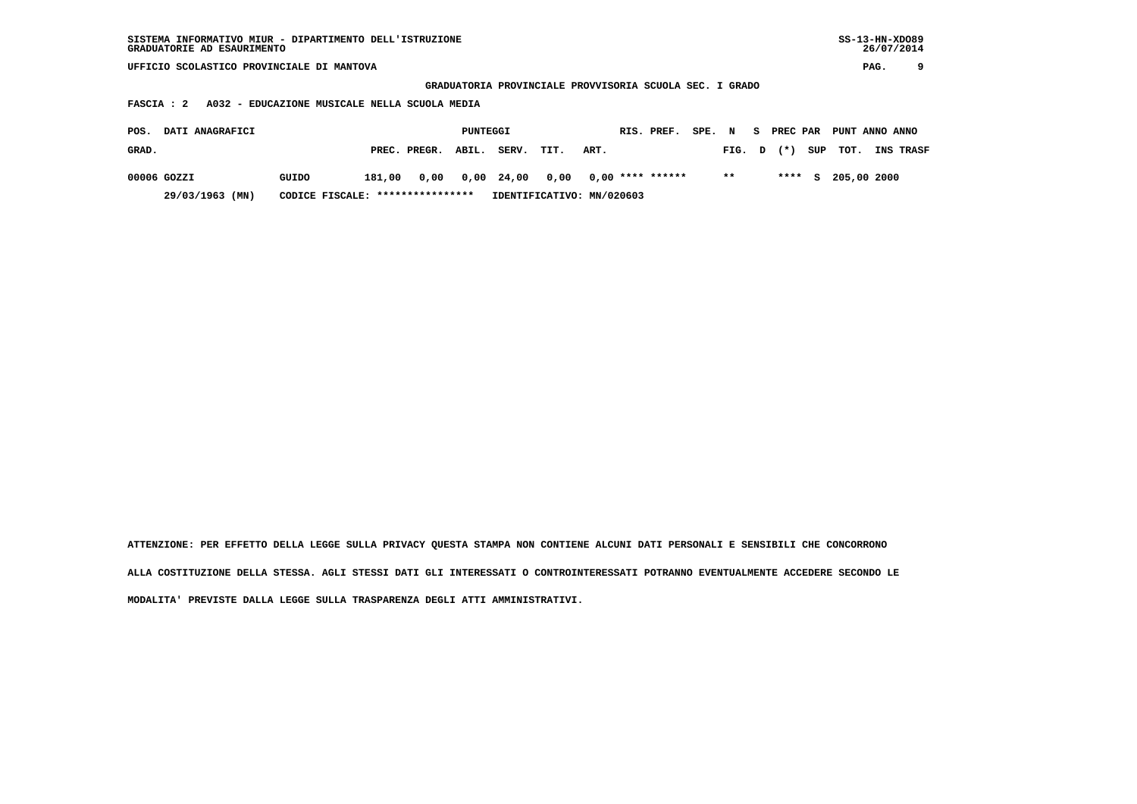| SISTEMA INFORMATIVO MIUR - DIPARTIMENTO DELL'ISTRUZIONE | $SS-13-HN-XDO89$ |
|---------------------------------------------------------|------------------|
| GRADUATORIE AD ESAURIMENTO                              | 26/07/2014       |

 **GRADUATORIA PROVINCIALE PROVVISORIA SCUOLA SEC. I GRADO**

 **FASCIA : 2 A032 - EDUCAZIONE MUSICALE NELLA SCUOLA MEDIA**

| POS.  | <b>DATI ANAGRAFICI</b>                              |       |        |                    | PUNTEGGI |       |      |                                       | RIS. PREF. | SPE. N |        | S PREC PAR | PUNT ANNO ANNO       |                  |
|-------|-----------------------------------------------------|-------|--------|--------------------|----------|-------|------|---------------------------------------|------------|--------|--------|------------|----------------------|------------------|
| GRAD. |                                                     |       |        | PREC. PREGR. ABIL. |          | SERV. | TIT. | ART.                                  |            |        | FIG. D | $(\star)$  | SUP TOT.             | <b>INS TRASF</b> |
|       | 00006 GOZZI                                         | GUIDO | 181,00 |                    |          |       |      | 0,00 0,00 24,00 0,00 0,00 **** ****** |            |        | $* *$  |            | **** $S$ 205,00 2000 |                  |
|       | 29/03/1963 (MN)<br>CODICE FISCALE: **************** |       |        |                    |          |       |      | IDENTIFICATIVO: MN/020603             |            |        |        |            |                      |                  |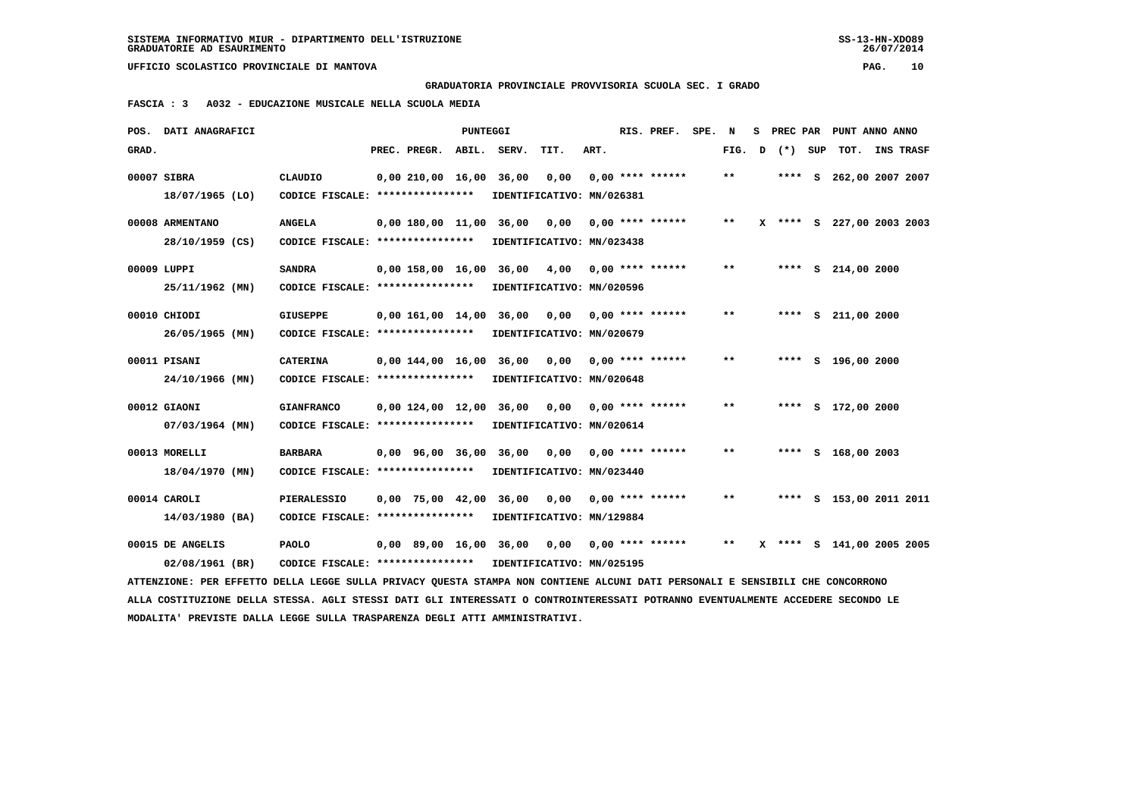**GRADUATORIA PROVINCIALE PROVVISORIA SCUOLA SEC. I GRADO**

 **FASCIA : 3 A032 - EDUCAZIONE MUSICALE NELLA SCUOLA MEDIA**

|       | POS. DATI ANAGRAFICI                                                                                                            |                                                   |                         | <b>PUNTEGGI</b> |                        |                                   |      | RIS. PREF.                | SPE. | N                          | s | PREC PAR | PUNT ANNO ANNO            |                  |
|-------|---------------------------------------------------------------------------------------------------------------------------------|---------------------------------------------------|-------------------------|-----------------|------------------------|-----------------------------------|------|---------------------------|------|----------------------------|---|----------|---------------------------|------------------|
| GRAD. |                                                                                                                                 |                                                   | PREC. PREGR.            |                 | ABIL. SERV.            | TIT.                              | ART. |                           |      | FIG.                       | D | (*) SUP  | TOT.                      | <b>INS TRASF</b> |
|       | 00007 SIBRA                                                                                                                     | <b>CLAUDIO</b>                                    | 0,00 210,00 16,00       |                 | 36,00                  | 0,00                              |      | $0.00$ **** ******        |      | $\pmb{\times}\pmb{\times}$ |   |          | **** S 262,00 2007 2007   |                  |
|       | 18/07/1965 (LO)                                                                                                                 | CODICE FISCALE: ****************                  |                         |                 |                        | IDENTIFICATIVO: MN/026381         |      |                           |      |                            |   |          |                           |                  |
|       |                                                                                                                                 |                                                   |                         |                 |                        |                                   |      |                           |      | $***$                      |   |          |                           |                  |
|       | 00008 ARMENTANO<br>28/10/1959 (CS)                                                                                              | <b>ANGELA</b><br>CODICE FISCALE: **************** | 0,00 180,00 11,00 36,00 |                 |                        | 0,00<br>IDENTIFICATIVO: MN/023438 |      | $0.00$ **** ******        |      |                            |   |          | X **** S 227,00 2003 2003 |                  |
|       |                                                                                                                                 |                                                   |                         |                 |                        |                                   |      |                           |      |                            |   |          |                           |                  |
|       | 00009 LUPPI                                                                                                                     | <b>SANDRA</b>                                     | $0,00$ 158,00 16,00     |                 | 36,00                  | 4,00                              |      | $0,00$ **** ******        |      | $* *$                      |   |          | **** $S$ 214,00 2000      |                  |
|       | 25/11/1962 (MN)                                                                                                                 | CODICE FISCALE: ****************                  |                         |                 |                        | IDENTIFICATIVO: MN/020596         |      |                           |      |                            |   |          |                           |                  |
|       | 00010 CHIODI                                                                                                                    | <b>GIUSEPPE</b>                                   | 0,00 161,00 14,00 36,00 |                 |                        |                                   |      | $0,00$ $0,00$ **** ****** |      | $* *$                      |   |          | **** $S$ 211,00 2000      |                  |
|       | 26/05/1965 (MN)                                                                                                                 | CODICE FISCALE: ****************                  |                         |                 |                        | IDENTIFICATIVO: MN/020679         |      |                           |      |                            |   |          |                           |                  |
|       |                                                                                                                                 |                                                   |                         |                 |                        |                                   |      |                           |      |                            |   |          |                           |                  |
|       | 00011 PISANI                                                                                                                    | <b>CATERINA</b>                                   | 0,00 144,00 16,00       |                 | 36,00                  | 0,00                              |      | $0.00$ **** ******        |      | $* *$                      |   |          | **** S 196,00 2000        |                  |
|       | 24/10/1966 (MN)                                                                                                                 | CODICE FISCALE: ****************                  |                         |                 |                        | IDENTIFICATIVO: MN/020648         |      |                           |      |                            |   |          |                           |                  |
|       | 00012 GIAONI                                                                                                                    | <b>GIANFRANCO</b>                                 | 0,00 124,00 12,00 36,00 |                 |                        | 0,00                              |      | $0.00$ **** ******        |      | $* *$                      |   |          | **** S 172,00 2000        |                  |
|       | 07/03/1964 (MN)                                                                                                                 | CODICE FISCALE: ****************                  |                         |                 |                        | IDENTIFICATIVO: MN/020614         |      |                           |      |                            |   |          |                           |                  |
|       |                                                                                                                                 |                                                   |                         |                 |                        |                                   |      |                           |      | $**$                       |   |          |                           |                  |
|       | 00013 MORELLI                                                                                                                   | <b>BARBARA</b>                                    | 0,00 96,00 36,00 36,00  |                 |                        | 0,00                              |      | $0.00$ **** ******        |      |                            |   |          | **** S 168,00 2003        |                  |
|       | 18/04/1970 (MN)                                                                                                                 | CODICE FISCALE: ****************                  |                         |                 |                        | IDENTIFICATIVO: MN/023440         |      |                           |      |                            |   |          |                           |                  |
|       | 00014 CAROLI                                                                                                                    | <b>PIERALESSIO</b>                                | 0,00 75,00 42,00        |                 | 36,00                  | 0,00                              |      | $0.00$ **** ******        |      | $* *$                      |   |          | **** S 153,00 2011 2011   |                  |
|       | 14/03/1980 (BA)                                                                                                                 | CODICE FISCALE: *****************                 |                         |                 |                        | IDENTIFICATIVO: MN/129884         |      |                           |      |                            |   |          |                           |                  |
|       | 00015 DE ANGELIS                                                                                                                | <b>PAOLO</b>                                      |                         |                 |                        |                                   |      |                           |      | $* *$                      |   |          | X **** S 141,00 2005 2005 |                  |
|       |                                                                                                                                 |                                                   |                         |                 | 0,00 89,00 16,00 36,00 |                                   |      | $0,00$ $0,00$ **** ****** |      |                            |   |          |                           |                  |
|       | 02/08/1961 (BR)                                                                                                                 | CODICE FISCALE: *****************                 |                         |                 |                        | IDENTIFICATIVO: MN/025195         |      |                           |      |                            |   |          |                           |                  |
|       | ATTENZIONE: PER EFFETTO DELLA LEGGE SULLA PRIVACY QUESTA STAMPA NON CONTIENE ALCUNI DATI PERSONALI E SENSIBILI CHE CONCORRONO   |                                                   |                         |                 |                        |                                   |      |                           |      |                            |   |          |                           |                  |
|       | ALLA COSTITUZIONE DELLA STESSA. AGLI STESSI DATI GLI INTERESSATI O CONTROINTERESSATI POTRANNO EVENTUALMENTE ACCEDERE SECONDO LE |                                                   |                         |                 |                        |                                   |      |                           |      |                            |   |          |                           |                  |
|       | MODALITA' PREVISTE DALLA LEGGE SULLA TRASPARENZA DEGLI ATTI AMMINISTRATIVI.                                                     |                                                   |                         |                 |                        |                                   |      |                           |      |                            |   |          |                           |                  |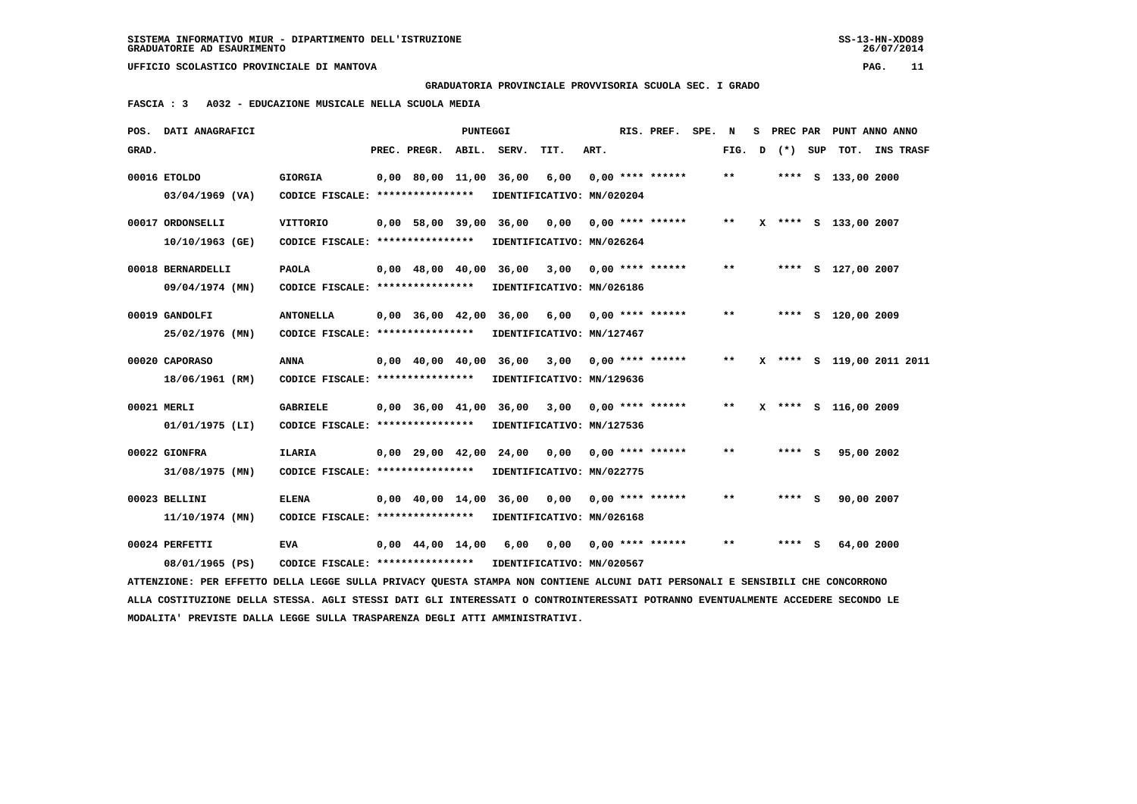**GRADUATORIA PROVINCIALE PROVVISORIA SCUOLA SEC. I GRADO**

 **FASCIA : 3 A032 - EDUCAZIONE MUSICALE NELLA SCUOLA MEDIA**

|       | POS. DATI ANAGRAFICI                                                                                                            |                                   |                                | <b>PUNTEGGI</b> |                                                |                           |      | RIS. PREF. SPE. N  |       |   |         | S PREC PAR PUNT ANNO ANNO |  |
|-------|---------------------------------------------------------------------------------------------------------------------------------|-----------------------------------|--------------------------------|-----------------|------------------------------------------------|---------------------------|------|--------------------|-------|---|---------|---------------------------|--|
| GRAD. |                                                                                                                                 |                                   | PREC. PREGR. ABIL. SERV.       |                 |                                                | TIT.                      | ART. |                    | FIG.  | D | (*) SUP | TOT. INS TRASF            |  |
|       | 00016 ETOLDO                                                                                                                    | <b>GIORGIA</b>                    | 0,00 80,00 11,00 36,00         |                 |                                                | 6,00                      |      | $0,00$ **** ****** | $* *$ |   |         | **** S 133,00 2000        |  |
|       | $03/04/1969$ (VA)                                                                                                               | CODICE FISCALE: ****************  |                                |                 |                                                | IDENTIFICATIVO: MN/020204 |      |                    |       |   |         |                           |  |
|       | 00017 ORDONSELLI                                                                                                                | <b>VITTORIO</b>                   | $0,00$ 58,00 39,00             |                 | 36,00                                          | 0,00                      |      | $0.00$ **** ****** | $***$ |   |         | X **** S 133,00 2007      |  |
|       | 10/10/1963 (GE)                                                                                                                 | CODICE FISCALE: ****************  |                                |                 |                                                | IDENTIFICATIVO: MN/026264 |      |                    |       |   |         |                           |  |
|       | 00018 BERNARDELLI                                                                                                               | <b>PAOLA</b>                      |                                |                 | 0,00 48,00 40,00 36,00 3,00 0,00 **** ******   |                           |      |                    | $* *$ |   |         | **** S 127,00 2007        |  |
|       | 09/04/1974 (MN)                                                                                                                 | CODICE FISCALE: ****************  |                                |                 |                                                | IDENTIFICATIVO: MN/026186 |      |                    |       |   |         |                           |  |
|       | 00019 GANDOLFI                                                                                                                  | <b>ANTONELLA</b>                  | $0,00$ 36,00 42,00             |                 |                                                | 36,00 6,00                |      | $0.00$ **** ****** | $* *$ |   |         | **** S 120,00 2009        |  |
|       | 25/02/1976 (MN)                                                                                                                 | CODICE FISCALE: ****************  |                                |                 |                                                | IDENTIFICATIVO: MN/127467 |      |                    |       |   |         |                           |  |
|       | 00020 CAPORASO                                                                                                                  | <b>ANNA</b>                       |                                |                 | $0,00$ 40,00 40,00 36,00 3,00 0,00 **** ****** |                           |      |                    | $***$ |   |         | X **** S 119,00 2011 2011 |  |
|       | 18/06/1961 (RM)                                                                                                                 | CODICE FISCALE: ****************  |                                |                 |                                                | IDENTIFICATIVO: MN/129636 |      |                    |       |   |         |                           |  |
|       | 00021 MERLI                                                                                                                     | <b>GABRIELE</b>                   |                                |                 | 0,00 36,00 41,00 36,00 3,00                    |                           |      | $0.00$ **** ****** | $***$ |   |         | X **** S 116,00 2009      |  |
|       | $01/01/1975$ (LI)                                                                                                               | CODICE FISCALE: ****************  |                                |                 |                                                | IDENTIFICATIVO: MN/127536 |      |                    |       |   |         |                           |  |
|       | 00022 GIONFRA                                                                                                                   | <b>ILARIA</b>                     |                                |                 | 0,00 29,00 42,00 24,00 0,00                    |                           |      | $0,00$ **** ****** | $***$ |   | **** S  | 95,00 2002                |  |
|       | 31/08/1975 (MN)                                                                                                                 | CODICE FISCALE: ***************** |                                |                 |                                                | IDENTIFICATIVO: MN/022775 |      |                    |       |   |         |                           |  |
|       | 00023 BELLINI                                                                                                                   | <b>ELENA</b>                      |                                |                 | $0,00$ $40,00$ $14,00$ $36,00$ $0,00$          |                           |      | $0.00$ **** ****** | $* *$ |   | **** S  | 90,00 2007                |  |
|       | 11/10/1974 (MN)                                                                                                                 | CODICE FISCALE: ****************  |                                |                 |                                                | IDENTIFICATIVO: MN/026168 |      |                    |       |   |         |                           |  |
|       | 00024 PERFETTI                                                                                                                  | <b>EVA</b>                        | $0.00 \quad 44.00 \quad 14.00$ |                 | 6,00                                           | 0,00                      |      | 0,00 **** ******   | $* *$ |   | **** S  | 64,00 2000                |  |
|       | 08/01/1965 (PS)                                                                                                                 | CODICE FISCALE: ****************  |                                |                 |                                                | IDENTIFICATIVO: MN/020567 |      |                    |       |   |         |                           |  |
|       | ATTENZIONE: PER EFFETTO DELLA LEGGE SULLA PRIVACY QUESTA STAMPA NON CONTIENE ALCUNI DATI PERSONALI E SENSIBILI CHE CONCORRONO   |                                   |                                |                 |                                                |                           |      |                    |       |   |         |                           |  |
|       | ALLA COSTITUZIONE DELLA STESSA. AGLI STESSI DATI GLI INTERESSATI O CONTROINTERESSATI POTRANNO EVENTUALMENTE ACCEDERE SECONDO LE |                                   |                                |                 |                                                |                           |      |                    |       |   |         |                           |  |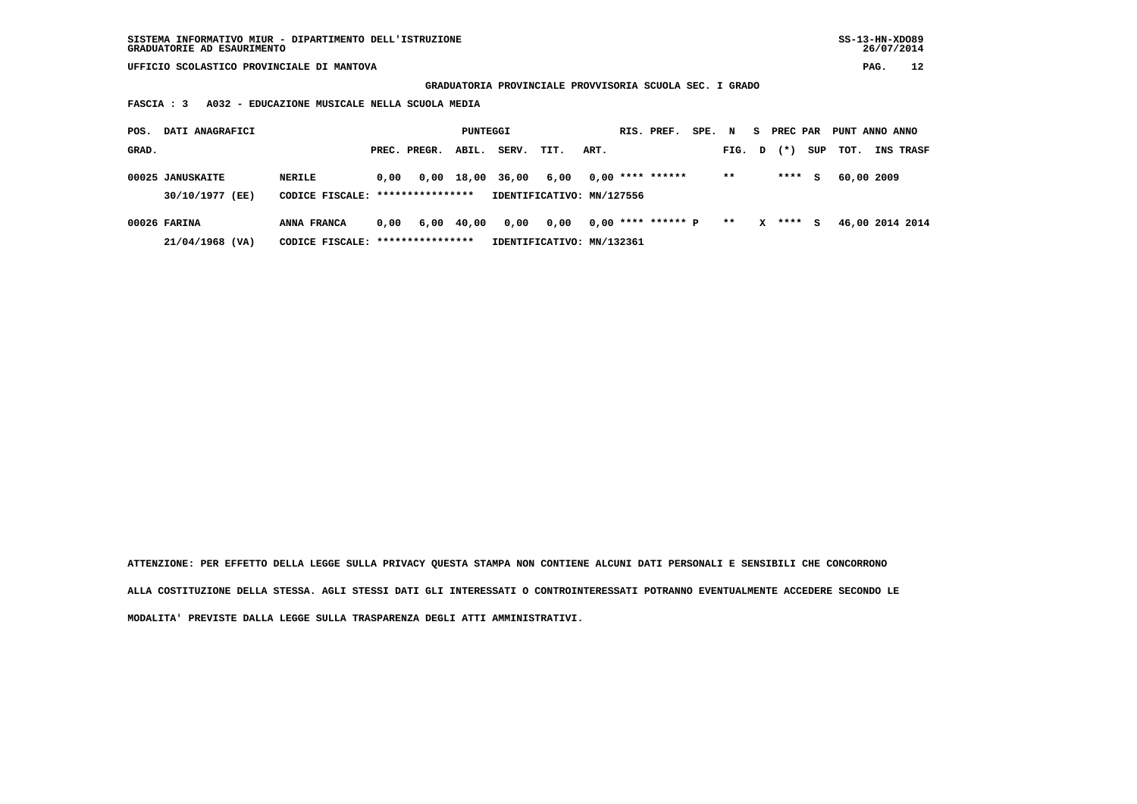**GRADUATORIA PROVINCIALE PROVVISORIA SCUOLA SEC. I GRADO**

 **FASCIA : 3 A032 - EDUCAZIONE MUSICALE NELLA SCUOLA MEDIA**

| POS.  | DATI ANAGRAFICI                     |                                            |      |                  | PUNTEGGI   |                  |                                   |      | RIS. PREF.           | SPE. | N      | s            | PREC PAR |     | PUNT ANNO ANNO |                 |
|-------|-------------------------------------|--------------------------------------------|------|------------------|------------|------------------|-----------------------------------|------|----------------------|------|--------|--------------|----------|-----|----------------|-----------------|
| GRAD. |                                     |                                            |      | PREC. PREGR.     | ABIL.      | SERV.            | TIT.                              | ART. |                      |      | FIG. D |              | $(* )$   | SUP | тот.           | INS TRASF       |
|       | 00025 JANUSKAITE<br>30/10/1977 (EE) | NERILE<br>CODICE FISCALE: **************** | 0,00 |                  |            | 0,00 18,00 36,00 | 6,00<br>IDENTIFICATIVO: MN/127556 |      | $0.00$ **** ******   |      | $**$   |              | ****     | s   | 60,00 2009     |                 |
|       |                                     |                                            |      |                  |            |                  |                                   |      |                      |      |        |              |          |     |                |                 |
|       | 00026 FARINA                        | ANNA FRANCA                                | 0.00 |                  | 6,00 40,00 | 0,00             | 0,00                              |      | $0,00$ **** ****** P |      | $***$  | $\mathbf{x}$ | ****     | s   |                | 46,00 2014 2014 |
|       | 21/04/1968 (VA)                     | CODICE FISCALE:                            |      | **************** |            |                  | IDENTIFICATIVO: MN/132361         |      |                      |      |        |              |          |     |                |                 |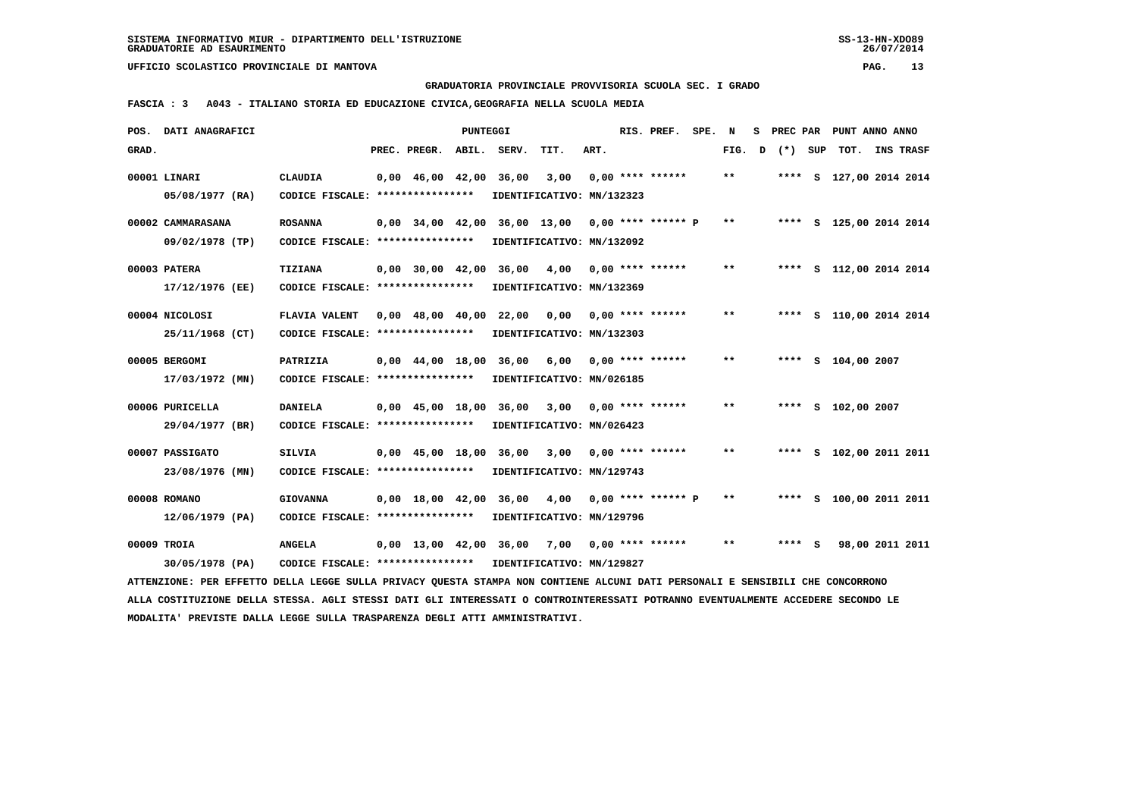**GRADUATORIA PROVINCIALE PROVVISORIA SCUOLA SEC. I GRADO**

 **FASCIA : 3 A043 - ITALIANO STORIA ED EDUCAZIONE CIVICA,GEOGRAFIA NELLA SCUOLA MEDIA**

|       | POS. DATI ANAGRAFICI                                                                                                            |                                                            |                                            | PUNTEGGI |                                                   |                           |      | RIS. PREF.           | SPE. | N      | s | PREC PAR |     | PUNT ANNO ANNO          |                  |  |
|-------|---------------------------------------------------------------------------------------------------------------------------------|------------------------------------------------------------|--------------------------------------------|----------|---------------------------------------------------|---------------------------|------|----------------------|------|--------|---|----------|-----|-------------------------|------------------|--|
| GRAD. |                                                                                                                                 |                                                            | PREC. PREGR.                               | ABIL.    | SERV.                                             | TIT.                      | ART. |                      |      | FIG. D |   | $(*)$    | SUP | TOT.                    | <b>INS TRASF</b> |  |
|       | 00001 LINARI                                                                                                                    | <b>CLAUDIA</b>                                             | $0,00 \quad 46,00 \quad 42,00$             |          | 36,00                                             | 3,00                      |      | $0.00$ **** ******   |      | $***$  |   |          |     | **** S 127,00 2014 2014 |                  |  |
|       | 05/08/1977 (RA)                                                                                                                 | CODICE FISCALE: ****************                           |                                            |          |                                                   | IDENTIFICATIVO: MN/132323 |      |                      |      |        |   |          |     |                         |                  |  |
|       |                                                                                                                                 |                                                            |                                            |          |                                                   |                           |      |                      |      |        |   |          |     |                         |                  |  |
|       | 00002 CAMMARASANA                                                                                                               | <b>ROSANNA</b>                                             |                                            |          | $0,00$ 34,00 42,00 36,00 13,00 0,00 **** ****** P |                           |      |                      |      | $**$   |   |          |     | **** S 125,00 2014 2014 |                  |  |
|       | 09/02/1978 (TP)                                                                                                                 | CODICE FISCALE: ****************                           |                                            |          | IDENTIFICATIVO: MN/132092                         |                           |      |                      |      |        |   |          |     |                         |                  |  |
|       | 00003 PATERA                                                                                                                    | <b>TIZIANA</b>                                             | $0,00$ 30,00 42,00                         |          | 36,00                                             | 4,00                      |      | $0.00$ **** ******   |      | $* *$  |   |          |     | **** S 112,00 2014 2014 |                  |  |
|       | 17/12/1976 (EE)                                                                                                                 | CODICE FISCALE: ****************                           |                                            |          |                                                   | IDENTIFICATIVO: MN/132369 |      |                      |      |        |   |          |     |                         |                  |  |
|       |                                                                                                                                 |                                                            |                                            |          |                                                   |                           |      |                      |      |        |   |          |     |                         |                  |  |
|       | 00004 NICOLOSI                                                                                                                  | <b>FLAVIA VALENT</b>                                       | $0.00 \quad 48.00 \quad 40.00 \quad 22.00$ |          |                                                   | 0,00                      |      | $0.00$ **** ******   |      | $* *$  |   |          |     | **** S 110,00 2014 2014 |                  |  |
|       | 25/11/1968 (CT)                                                                                                                 | CODICE FISCALE: ****************                           |                                            |          |                                                   | IDENTIFICATIVO: MN/132303 |      |                      |      |        |   |          |     |                         |                  |  |
|       | 00005 BERGOMI                                                                                                                   | PATRIZIA                                                   |                                            |          | 0,00 44,00 18,00 36,00                            | 6,00                      |      | 0,00 **** ******     |      | $* *$  |   |          |     | **** S 104,00 2007      |                  |  |
|       | 17/03/1972 (MN)                                                                                                                 | CODICE FISCALE: *****************                          |                                            |          |                                                   | IDENTIFICATIVO: MN/026185 |      |                      |      |        |   |          |     |                         |                  |  |
|       |                                                                                                                                 |                                                            |                                            |          |                                                   |                           |      |                      |      |        |   |          |     |                         |                  |  |
|       | 00006 PURICELLA                                                                                                                 | <b>DANIELA</b>                                             |                                            |          | 0,00 45,00 18,00 36,00                            | 3,00                      |      | $0.00$ **** ******   |      | $* *$  |   |          |     | **** S 102,00 2007      |                  |  |
|       | 29/04/1977 (BR)                                                                                                                 | CODICE FISCALE: ****************                           |                                            |          |                                                   | IDENTIFICATIVO: MN/026423 |      |                      |      |        |   |          |     |                         |                  |  |
|       | 00007 PASSIGATO                                                                                                                 | <b>SILVIA</b>                                              |                                            |          | 0,00 45,00 18,00 36,00                            | 3,00                      |      | $0.00$ **** ******   |      | $***$  |   |          |     | **** S 102,00 2011 2011 |                  |  |
|       | 23/08/1976 (MN)                                                                                                                 | CODICE FISCALE: ****************                           |                                            |          |                                                   | IDENTIFICATIVO: MN/129743 |      |                      |      |        |   |          |     |                         |                  |  |
|       |                                                                                                                                 |                                                            |                                            |          |                                                   |                           |      |                      |      |        |   |          |     |                         |                  |  |
|       | 00008 ROMANO                                                                                                                    | <b>GIOVANNA</b>                                            | $0,00 \quad 18,00 \quad 42,00$             |          | 36,00                                             | 4,00                      |      | $0.00$ **** ****** P |      | $* *$  |   |          |     | **** S 100,00 2011 2011 |                  |  |
|       | $12/06/1979$ (PA)                                                                                                               | CODICE FISCALE: ****************                           |                                            |          |                                                   | IDENTIFICATIVO: MN/129796 |      |                      |      |        |   |          |     |                         |                  |  |
|       | 00009 TROIA                                                                                                                     | <b>ANGELA</b>                                              |                                            |          | $0,00$ 13,00 42,00 36,00 7,00 0,00 **** ******    |                           |      |                      |      | $* *$  |   | $***$ S  |     | 98,00 2011 2011         |                  |  |
|       | 30/05/1978 (PA)                                                                                                                 | CODICE FISCALE: **************** IDENTIFICATIVO: MN/129827 |                                            |          |                                                   |                           |      |                      |      |        |   |          |     |                         |                  |  |
|       | ATTENZIONE: PER EFFETTO DELLA LEGGE SULLA PRIVACY QUESTA STAMPA NON CONTIENE ALCUNI DATI PERSONALI E SENSIBILI CHE CONCORRONO   |                                                            |                                            |          |                                                   |                           |      |                      |      |        |   |          |     |                         |                  |  |
|       | ALLA COSTITUZIONE DELLA STESSA. AGLI STESSI DATI GLI INTERESSATI O CONTROINTERESSATI POTRANNO EVENTUALMENTE ACCEDERE SECONDO LE |                                                            |                                            |          |                                                   |                           |      |                      |      |        |   |          |     |                         |                  |  |
|       | MODALITA' PREVISTE DALLA LEGGE SULLA TRASPARENZA DEGLI ATTI AMMINISTRATIVI.                                                     |                                                            |                                            |          |                                                   |                           |      |                      |      |        |   |          |     |                         |                  |  |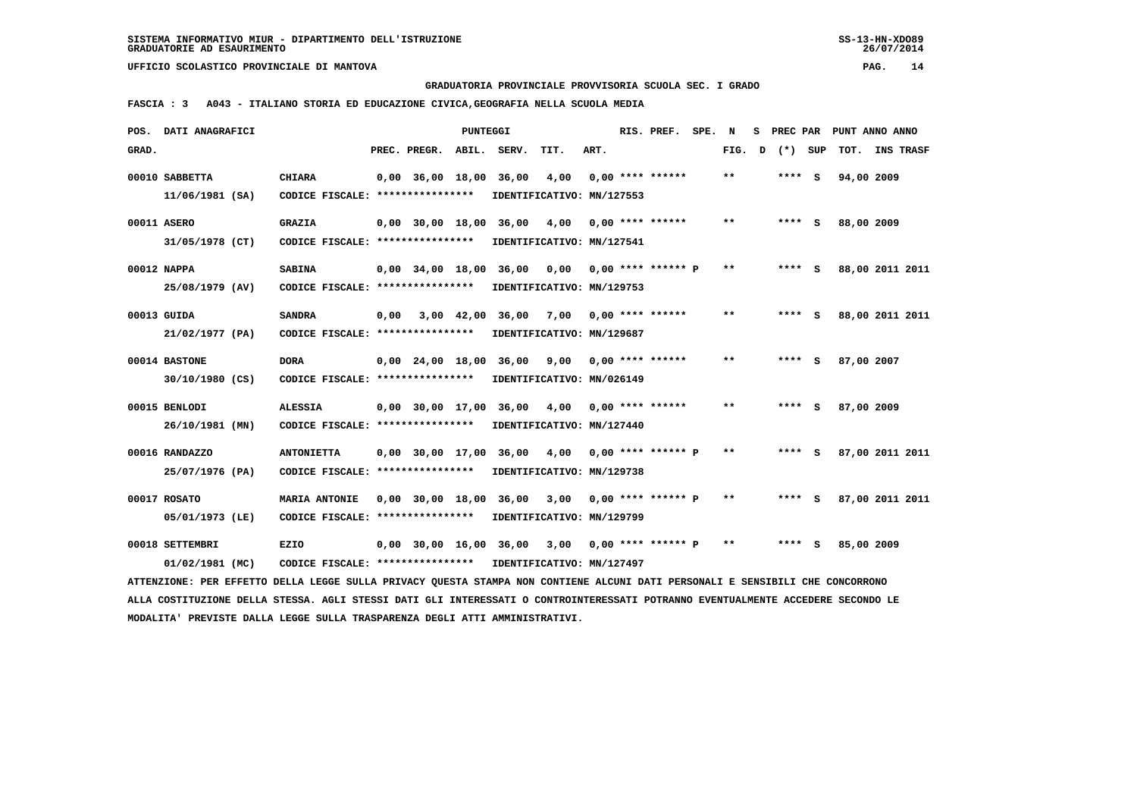**GRADUATORIA PROVINCIALE PROVVISORIA SCUOLA SEC. I GRADO**

 **FASCIA : 3 A043 - ITALIANO STORIA ED EDUCAZIONE CIVICA,GEOGRAFIA NELLA SCUOLA MEDIA**

|       | POS. DATI ANAGRAFICI                                                                                                            |                                                            |      |                    | PUNTEGGI |                                                       |      |      | RIS. PREF.                | SPE. | N            | s | PREC PAR |     | PUNT ANNO ANNO  |  |
|-------|---------------------------------------------------------------------------------------------------------------------------------|------------------------------------------------------------|------|--------------------|----------|-------------------------------------------------------|------|------|---------------------------|------|--------------|---|----------|-----|-----------------|--|
| GRAD. |                                                                                                                                 |                                                            |      | PREC. PREGR.       | ABIL.    | SERV.                                                 | TIT. | ART. |                           |      | FIG. D       |   | (*) SUP  |     | TOT. INS TRASF  |  |
|       | 00010 SABBETTA                                                                                                                  | <b>CHIARA</b>                                              |      | $0,00$ 36,00 18,00 |          | 36,00                                                 | 4,00 |      | $0.00$ **** ******        |      | $**$         |   | $***$ S  |     | 94,00 2009      |  |
|       | $11/06/1981$ (SA)                                                                                                               | CODICE FISCALE: *****************                          |      |                    |          | IDENTIFICATIVO: MN/127553                             |      |      |                           |      |              |   |          |     |                 |  |
|       |                                                                                                                                 |                                                            |      |                    |          |                                                       |      |      |                           |      |              |   |          |     |                 |  |
|       | 00011 ASERO                                                                                                                     | <b>GRAZIA</b>                                              |      |                    |          | 0,00 30,00 18,00 36,00                                | 4,00 |      | $0.00$ **** ******        |      | $* *$        |   | $***$ S  |     | 88,00 2009      |  |
|       | 31/05/1978 (CT)                                                                                                                 | CODICE FISCALE: ****************                           |      |                    |          | IDENTIFICATIVO: MN/127541                             |      |      |                           |      |              |   |          |     |                 |  |
|       | 00012 NAPPA                                                                                                                     | <b>SABINA</b>                                              |      | $0.00$ 34.00 18.00 |          | 36,00                                                 | 0.00 |      | $0.00$ **** ****** P      |      | $\star\star$ |   | **** S   |     | 88,00 2011 2011 |  |
|       | 25/08/1979 (AV)                                                                                                                 | CODICE FISCALE: ****************                           |      |                    |          | IDENTIFICATIVO: MN/129753                             |      |      |                           |      |              |   |          |     |                 |  |
|       |                                                                                                                                 |                                                            |      |                    |          |                                                       |      |      |                           |      |              |   |          |     |                 |  |
|       | 00013 GUIDA                                                                                                                     | <b>SANDRA</b>                                              | 0,00 |                    |          | 3,00 42,00 36,00 7,00 0,00 **** ******                |      |      |                           |      | $* *$        |   | $***$ S  |     | 88,00 2011 2011 |  |
|       | 21/02/1977 (PA)                                                                                                                 | CODICE FISCALE: ****************                           |      |                    |          | IDENTIFICATIVO: MN/129687                             |      |      |                           |      |              |   |          |     |                 |  |
|       | 00014 BASTONE                                                                                                                   |                                                            |      |                    |          | $0.00 \quad 24.00 \quad 18.00 \quad 36.00 \quad 9.00$ |      |      | 0,00 **** ******          |      | $* *$        |   | ****     | - S | 87,00 2007      |  |
|       |                                                                                                                                 | <b>DORA</b>                                                |      |                    |          |                                                       |      |      |                           |      |              |   |          |     |                 |  |
|       | 30/10/1980 (CS)                                                                                                                 | CODICE FISCALE: *****************                          |      |                    |          | IDENTIFICATIVO: MN/026149                             |      |      |                           |      |              |   |          |     |                 |  |
|       | 00015 BENLODI                                                                                                                   | <b>ALESSIA</b>                                             |      |                    |          | $0,00$ 30,00 17,00 36,00 4,00 0,00 **** ******        |      |      |                           |      | $* *$        |   | $***$ S  |     | 87,00 2009      |  |
|       | 26/10/1981 (MN)                                                                                                                 | CODICE FISCALE: ****************                           |      |                    |          | IDENTIFICATIVO: MN/127440                             |      |      |                           |      |              |   |          |     |                 |  |
|       |                                                                                                                                 |                                                            |      |                    |          |                                                       |      |      |                           |      |              |   |          |     |                 |  |
|       | 00016 RANDAZZO                                                                                                                  | <b>ANTONIETTA</b>                                          |      |                    |          | 0,00 30,00 17,00 36,00                                | 4,00 |      | $0.00$ **** ****** P      |      | $* *$        |   | **** S   |     | 87,00 2011 2011 |  |
|       | 25/07/1976 (PA)                                                                                                                 | CODICE FISCALE: ****************                           |      |                    |          | IDENTIFICATIVO: MN/129738                             |      |      |                           |      |              |   |          |     |                 |  |
|       | 00017 ROSATO                                                                                                                    | <b>MARIA ANTONIE</b>                                       |      | 0,00 30,00 18,00   |          | 36,00                                                 |      |      | $3,00$ 0,00 **** ****** P |      | **           |   | $***$ S  |     | 87,00 2011 2011 |  |
|       | 05/01/1973 (LE)                                                                                                                 | CODICE FISCALE: ****************                           |      |                    |          | IDENTIFICATIVO: MN/129799                             |      |      |                           |      |              |   |          |     |                 |  |
|       |                                                                                                                                 |                                                            |      |                    |          |                                                       |      |      |                           |      |              |   |          |     |                 |  |
|       | 00018 SETTEMBRI                                                                                                                 | <b>EZIO</b>                                                |      |                    |          | $0,00$ 30,00 16,00 36,00 3,00 0,00 **** ****** P      |      |      |                           |      | $* *$        |   | $***$ S  |     | 85,00 2009      |  |
|       | 01/02/1981 (MC)                                                                                                                 | CODICE FISCALE: **************** IDENTIFICATIVO: MN/127497 |      |                    |          |                                                       |      |      |                           |      |              |   |          |     |                 |  |
|       | ATTENZIONE: PER EFFETTO DELLA LEGGE SULLA PRIVACY QUESTA STAMPA NON CONTIENE ALCUNI DATI PERSONALI E SENSIBILI CHE CONCORRONO   |                                                            |      |                    |          |                                                       |      |      |                           |      |              |   |          |     |                 |  |
|       | ALLA COSTITUZIONE DELLA STESSA. AGLI STESSI DATI GLI INTERESSATI O CONTROINTERESSATI POTRANNO EVENTUALMENTE ACCEDERE SECONDO LE |                                                            |      |                    |          |                                                       |      |      |                           |      |              |   |          |     |                 |  |
|       | MODALITA' PREVISTE DALLA LEGGE SULLA TRASPARENZA DEGLI ATTI AMMINISTRATIVI.                                                     |                                                            |      |                    |          |                                                       |      |      |                           |      |              |   |          |     |                 |  |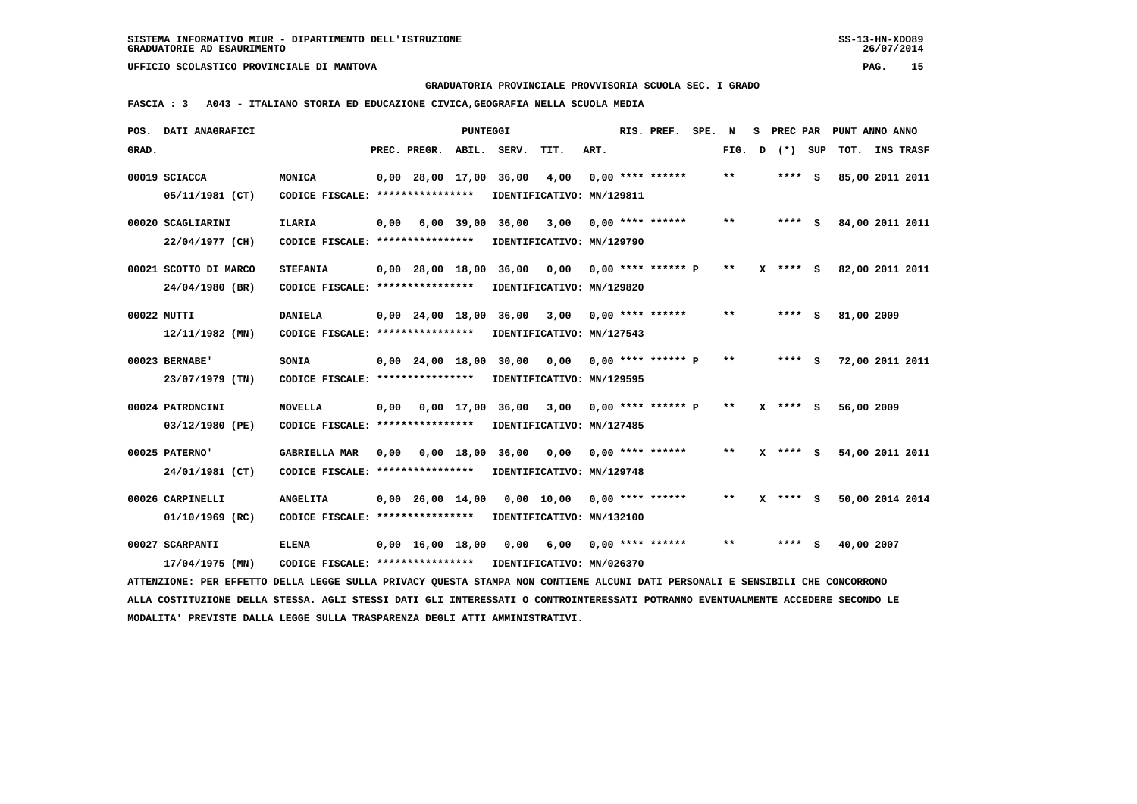**GRADUATORIA PROVINCIALE PROVVISORIA SCUOLA SEC. I GRADO**

 **FASCIA : 3 A043 - ITALIANO STORIA ED EDUCAZIONE CIVICA,GEOGRAFIA NELLA SCUOLA MEDIA**

|       | POS. DATI ANAGRAFICI                                                                                                            |                                   |      |                          | <b>PUNTEGGI</b> |                  |                                                  |      | RIS. PREF.           | SPE. | N     | s |            |            | PREC PAR PUNT ANNO ANNO |
|-------|---------------------------------------------------------------------------------------------------------------------------------|-----------------------------------|------|--------------------------|-----------------|------------------|--------------------------------------------------|------|----------------------|------|-------|---|------------|------------|-------------------------|
| GRAD. |                                                                                                                                 |                                   |      | PREC. PREGR. ABIL. SERV. |                 |                  | TIT.                                             | ART. |                      |      | FIG.  | D | (*) SUP    |            | TOT. INS TRASF          |
|       | 00019 SCIACCA                                                                                                                   | MONICA                            |      | 0,00 28,00 17,00 36,00   |                 |                  | 4,00                                             |      | $0.00$ **** ******   |      | $***$ |   | **** S     |            | 85,00 2011 2011         |
|       | 05/11/1981 (CT)                                                                                                                 | CODICE FISCALE: ****************  |      |                          |                 |                  | IDENTIFICATIVO: MN/129811                        |      |                      |      |       |   |            |            |                         |
|       | 00020 SCAGLIARINI                                                                                                               | <b>ILARIA</b>                     | 0,00 |                          | 6,00 39,00      | 36,00            | 3,00                                             |      | $0.00$ **** ******   |      | $***$ |   | $***$ S    |            | 84,00 2011 2011         |
|       | 22/04/1977 (CH)                                                                                                                 | CODICE FISCALE: ****************  |      |                          |                 |                  | IDENTIFICATIVO: MN/129790                        |      |                      |      |       |   |            |            |                         |
|       | 00021 SCOTTO DI MARCO                                                                                                           | <b>STEFANIA</b>                   |      |                          |                 |                  | $0,00$ 28,00 18,00 36,00 0,00 0,00 **** ****** P |      |                      |      | $***$ |   | X **** S   |            | 82,00 2011 2011         |
|       | 24/04/1980 (BR)                                                                                                                 | CODICE FISCALE: ****************  |      |                          |                 |                  | IDENTIFICATIVO: MN/129820                        |      |                      |      |       |   |            |            |                         |
|       | 00022 MUTTI                                                                                                                     | <b>DANIELA</b>                    |      | $0,00$ 24,00 18,00       |                 | 36,00            | 3,00                                             |      | $0.00$ **** ******   |      | $* *$ |   | **** S     | 81,00 2009 |                         |
|       | $12/11/1982$ (MN)                                                                                                               | CODICE FISCALE: ***************** |      |                          |                 |                  | IDENTIFICATIVO: MN/127543                        |      |                      |      |       |   |            |            |                         |
|       | 00023 BERNABE'                                                                                                                  | SONIA                             |      | 0,00 24,00 18,00 30,00   |                 |                  | 0,00                                             |      | $0.00$ **** ****** P |      | **    |   | $***$ S    |            | 72,00 2011 2011         |
|       | 23/07/1979 (TN)                                                                                                                 | CODICE FISCALE: ****************  |      |                          |                 |                  | IDENTIFICATIVO: MN/129595                        |      |                      |      |       |   |            |            |                         |
|       | 00024 PATRONCINI                                                                                                                | <b>NOVELLA</b>                    | 0,00 |                          | $0.00$ 17.00    |                  | 36,00 3,00                                       |      | $0,00$ **** ****** P |      | $***$ |   | X **** S   | 56,00 2009 |                         |
|       | 03/12/1980 (PE)                                                                                                                 | CODICE FISCALE: ****************  |      |                          |                 |                  | IDENTIFICATIVO: MN/127485                        |      |                      |      |       |   |            |            |                         |
|       | 00025 PATERNO'                                                                                                                  | <b>GABRIELLA MAR</b>              | 0,00 |                          |                 | 0,00 18,00 36,00 | 0,00                                             |      | $0.00$ **** ******   |      | $* *$ |   | $X$ **** S |            | 54,00 2011 2011         |
|       | 24/01/1981 (CT)                                                                                                                 | CODICE FISCALE: ****************  |      |                          |                 |                  | IDENTIFICATIVO: MN/129748                        |      |                      |      |       |   |            |            |                         |
|       | 00026 CARPINELLI                                                                                                                | <b>ANGELITA</b>                   |      | $0,00$ 26,00 14,00       |                 |                  | 0,00 10,00                                       |      | $0.00$ **** ******   |      | $***$ |   | $X$ **** S |            | 50,00 2014 2014         |
|       | 01/10/1969 (RC)                                                                                                                 | CODICE FISCALE: ****************  |      |                          |                 |                  | IDENTIFICATIVO: MN/132100                        |      |                      |      |       |   |            |            |                         |
|       | 00027 SCARPANTI                                                                                                                 | <b>ELENA</b>                      |      | 0,00 16,00 18,00         |                 | 0,00             | 6,00                                             |      | $0,00$ **** ******   |      | $***$ |   | **** S     | 40,00 2007 |                         |
|       | 17/04/1975 (MN)                                                                                                                 | CODICE FISCALE: ***************** |      |                          |                 |                  | IDENTIFICATIVO: MN/026370                        |      |                      |      |       |   |            |            |                         |
|       | ATTENZIONE: PER EFFETTO DELLA LEGGE SULLA PRIVACY QUESTA STAMPA NON CONTIENE ALCUNI DATI PERSONALI E SENSIBILI CHE CONCORRONO   |                                   |      |                          |                 |                  |                                                  |      |                      |      |       |   |            |            |                         |
|       | ALLA COSTITUZIONE DELLA STESSA. AGLI STESSI DATI GLI INTERESSATI O CONTROINTERESSATI POTRANNO EVENTUALMENTE ACCEDERE SECONDO LE |                                   |      |                          |                 |                  |                                                  |      |                      |      |       |   |            |            |                         |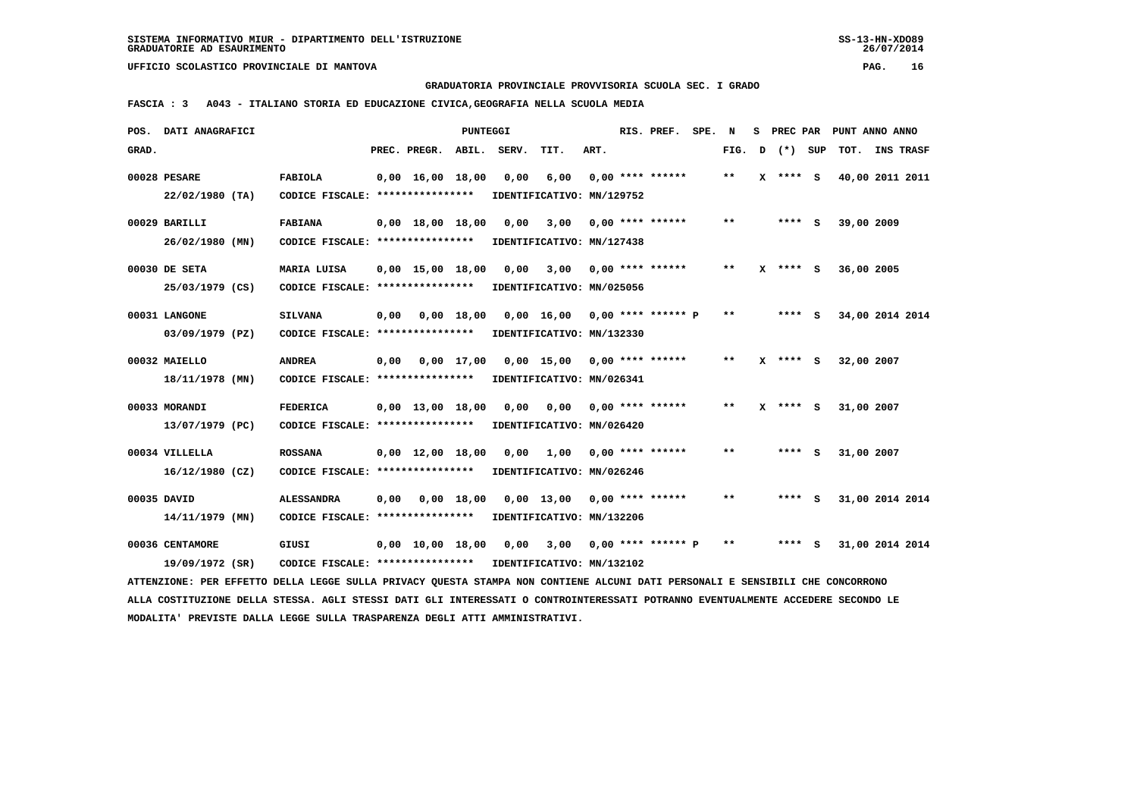**GRADUATORIA PROVINCIALE PROVVISORIA SCUOLA SEC. I GRADO**

 **FASCIA : 3 A043 - ITALIANO STORIA ED EDUCAZIONE CIVICA,GEOGRAFIA NELLA SCUOLA MEDIA**

| POS.  | DATI ANAGRAFICI                                                                                                                 |                                   |      |                                | PUNTEGGI     |       |                                 |      | RIS. PREF.           | SPE. | N     | s            |            | PREC PAR PUNT ANNO ANNO |                  |
|-------|---------------------------------------------------------------------------------------------------------------------------------|-----------------------------------|------|--------------------------------|--------------|-------|---------------------------------|------|----------------------|------|-------|--------------|------------|-------------------------|------------------|
| GRAD. |                                                                                                                                 |                                   |      | PREC. PREGR.                   | ABIL.        | SERV. | TIT.                            | ART. |                      |      | FIG.  | D            | (*) SUP    | TOT.                    | <b>INS TRASF</b> |
|       | 00028 PESARE                                                                                                                    | <b>FABIOLA</b>                    |      | $0,00 \quad 16,00 \quad 18,00$ |              | 0,00  | 6,00                            |      | $0.00$ **** ******   |      | $***$ | $\mathbf{x}$ | **** S     | 40,00 2011 2011         |                  |
|       | 22/02/1980 (TA)                                                                                                                 | CODICE FISCALE: ****************  |      |                                |              |       | IDENTIFICATIVO: MN/129752       |      |                      |      |       |              |            |                         |                  |
|       | 00029 BARILLI                                                                                                                   | <b>FABIANA</b>                    |      | $0,00 \quad 18,00 \quad 18,00$ |              | 0.00  | 3,00                            |      | $0.00$ **** ******   |      | $* *$ |              | $***$ S    | 39,00 2009              |                  |
|       | 26/02/1980 (MN)                                                                                                                 | CODICE FISCALE: ***************** |      |                                |              |       | IDENTIFICATIVO: MN/127438       |      |                      |      |       |              |            |                         |                  |
|       |                                                                                                                                 |                                   |      |                                |              |       |                                 |      |                      |      |       |              |            |                         |                  |
|       | 00030 DE SETA                                                                                                                   | MARIA LUISA                       |      | $0.00 \quad 15.00 \quad 18.00$ |              | 0.00  | 3,00                            |      | $0.00$ **** ******   |      | $* *$ |              | $X$ **** S | 36,00 2005              |                  |
|       | 25/03/1979 (CS)                                                                                                                 | CODICE FISCALE: ****************  |      |                                |              |       | IDENTIFICATIVO: MN/025056       |      |                      |      |       |              |            |                         |                  |
|       | 00031 LANGONE                                                                                                                   | <b>SILVANA</b>                    | 0,00 |                                | $0,00$ 18,00 |       | $0,00$ 16,00 0,00 **** ****** P |      |                      |      | $* *$ |              | $***$ S    | 34,00 2014 2014         |                  |
|       | 03/09/1979 (PZ)                                                                                                                 | CODICE FISCALE: ****************  |      |                                |              |       | IDENTIFICATIVO: MN/132330       |      |                      |      |       |              |            |                         |                  |
|       |                                                                                                                                 |                                   |      |                                |              |       |                                 |      |                      |      |       |              |            |                         |                  |
|       | 00032 MAIELLO                                                                                                                   | <b>ANDREA</b>                     | 0,00 |                                | $0.00$ 17.00 |       | 0,00 15,00                      |      | $0.00$ **** ******   |      | $* *$ |              | $X$ **** S | 32,00 2007              |                  |
|       | 18/11/1978 (MN)                                                                                                                 | CODICE FISCALE: ****************  |      |                                |              |       | IDENTIFICATIVO: MN/026341       |      |                      |      |       |              |            |                         |                  |
|       | 00033 MORANDI                                                                                                                   | <b>FEDERICA</b>                   |      | $0,00 \quad 13,00 \quad 18,00$ |              | 0,00  | 0,00                            |      | $0.00$ **** ******   |      | $* *$ |              | $X$ **** S | 31,00 2007              |                  |
|       | 13/07/1979 (PC)                                                                                                                 | CODICE FISCALE: ****************  |      |                                |              |       | IDENTIFICATIVO: MN/026420       |      |                      |      |       |              |            |                         |                  |
|       | 00034 VILLELLA                                                                                                                  | <b>ROSSANA</b>                    |      | $0.00 \quad 12.00 \quad 18.00$ |              | 0.00  | 1,00                            |      | $0.00$ **** ******   |      | $* *$ |              | **** S     | 31,00 2007              |                  |
|       |                                                                                                                                 |                                   |      |                                |              |       |                                 |      |                      |      |       |              |            |                         |                  |
|       | 16/12/1980 (CZ)                                                                                                                 | CODICE FISCALE: ****************  |      |                                |              |       | IDENTIFICATIVO: MN/026246       |      |                      |      |       |              |            |                         |                  |
|       | 00035 DAVID                                                                                                                     | <b>ALESSANDRA</b>                 | 0.00 |                                | 0.00 18.00   |       | $0.00$ 13,00                    |      | $0.00$ **** ******   |      | **    |              | **** S     | 31,00 2014 2014         |                  |
|       | 14/11/1979 (MN)                                                                                                                 | CODICE FISCALE: ****************  |      |                                |              |       | IDENTIFICATIVO: MN/132206       |      |                      |      |       |              |            |                         |                  |
|       |                                                                                                                                 |                                   |      |                                |              |       |                                 |      |                      |      | $* *$ |              | $***$ S    |                         |                  |
|       | 00036 CENTAMORE                                                                                                                 | GIUSI                             |      | $0,00 \quad 10,00 \quad 18,00$ |              | 0,00  | 3,00                            |      | $0,00$ **** ****** P |      |       |              |            | 31,00 2014 2014         |                  |
|       | 19/09/1972 (SR)                                                                                                                 | CODICE FISCALE: ****************  |      |                                |              |       | IDENTIFICATIVO: MN/132102       |      |                      |      |       |              |            |                         |                  |
|       | ATTENZIONE: PER EFFETTO DELLA LEGGE SULLA PRIVACY QUESTA STAMPA NON CONTIENE ALCUNI DATI PERSONALI E SENSIBILI CHE CONCORRONO   |                                   |      |                                |              |       |                                 |      |                      |      |       |              |            |                         |                  |
|       | ALLA COSTITUZIONE DELLA STESSA. AGLI STESSI DATI GLI INTERESSATI O CONTROINTERESSATI POTRANNO EVENTUALMENTE ACCEDERE SECONDO LE |                                   |      |                                |              |       |                                 |      |                      |      |       |              |            |                         |                  |
|       | MODALITA' PREVISTE DALLA LEGGE SULLA TRASPARENZA DEGLI ATTI AMMINISTRATIVI.                                                     |                                   |      |                                |              |       |                                 |      |                      |      |       |              |            |                         |                  |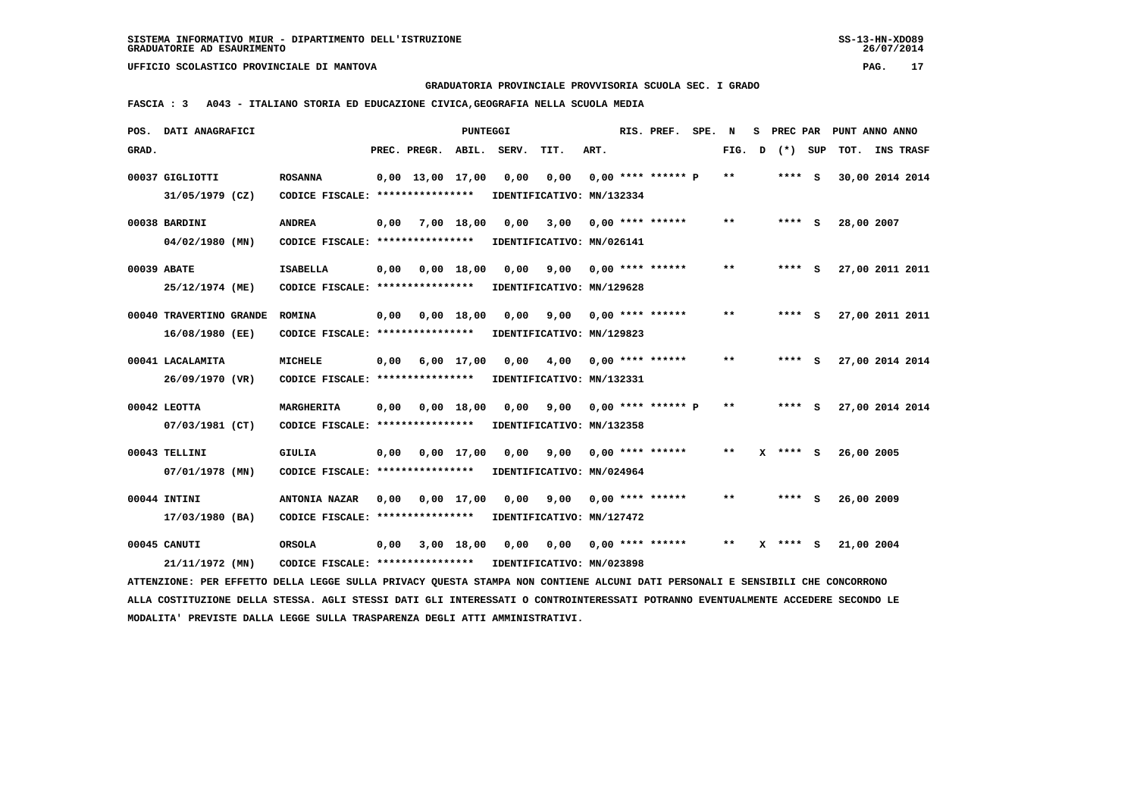**GRADUATORIA PROVINCIALE PROVVISORIA SCUOLA SEC. I GRADO**

 **FASCIA : 3 A043 - ITALIANO STORIA ED EDUCAZIONE CIVICA,GEOGRAFIA NELLA SCUOLA MEDIA**

|       | POS. DATI ANAGRAFICI                                                                                                            |                                                            |      |                          | <b>PUNTEGGI</b> |      |                           |      | RIS. PREF.              | SPE. N |       | s.           | PREC PAR   |            | PUNT ANNO ANNO  |  |
|-------|---------------------------------------------------------------------------------------------------------------------------------|------------------------------------------------------------|------|--------------------------|-----------------|------|---------------------------|------|-------------------------|--------|-------|--------------|------------|------------|-----------------|--|
| GRAD. |                                                                                                                                 |                                                            |      | PREC. PREGR. ABIL. SERV. |                 |      | TIT.                      | ART. |                         |        | FIG.  | $\mathbf{D}$ | (*) SUP    |            | TOT. INS TRASF  |  |
|       | 00037 GIGLIOTTI                                                                                                                 | <b>ROSANNA</b>                                             |      | $0,00$ 13,00 17,00       |                 | 0,00 | 0,00                      |      | $0.00$ **** ****** P    |        | **    |              | $***$ S    |            | 30,00 2014 2014 |  |
|       | 31/05/1979 (CZ)                                                                                                                 | CODICE FISCALE: *****************                          |      |                          |                 |      | IDENTIFICATIVO: MN/132334 |      |                         |        |       |              |            |            |                 |  |
|       |                                                                                                                                 |                                                            |      |                          |                 |      |                           |      |                         |        |       |              |            |            |                 |  |
|       | 00038 BARDINI                                                                                                                   | <b>ANDREA</b>                                              | 0,00 | 7,00 18,00               |                 | 0,00 | 3,00                      |      | $0.00$ **** ******      |        | $***$ |              | $***$ S    | 28,00 2007 |                 |  |
|       | $04/02/1980$ (MN)                                                                                                               | CODICE FISCALE: **************** IDENTIFICATIVO: MN/026141 |      |                          |                 |      |                           |      |                         |        |       |              |            |            |                 |  |
|       | 00039 ABATE                                                                                                                     | <b>ISABELLA</b>                                            |      | $0,00$ $0,00$ $18,00$    |                 | 0,00 |                           |      | $9,00$ 0,00 **** ****** |        | $***$ |              | **** S     |            | 27,00 2011 2011 |  |
|       | 25/12/1974 (ME)                                                                                                                 | CODICE FISCALE: ****************                           |      |                          |                 |      | IDENTIFICATIVO: MN/129628 |      |                         |        |       |              |            |            |                 |  |
|       |                                                                                                                                 |                                                            |      |                          |                 |      |                           |      |                         |        | $***$ |              | $***$ S    |            |                 |  |
|       | 00040 TRAVERTINO GRANDE                                                                                                         | <b>ROMINA</b>                                              | 0,00 | 0,00 18,00               |                 | 0.00 | 9,00                      |      | $0.00$ **** ******      |        |       |              |            |            | 27,00 2011 2011 |  |
|       | 16/08/1980 (EE)                                                                                                                 | CODICE FISCALE: ****************                           |      |                          |                 |      | IDENTIFICATIVO: MN/129823 |      |                         |        |       |              |            |            |                 |  |
|       | 00041 LACALAMITA                                                                                                                | <b>MICHELE</b>                                             | 0,00 |                          | 6,00 17,00      | 0,00 | 4,00                      |      | $0.00$ **** ******      |        | $* *$ |              | $***$ S    |            | 27,00 2014 2014 |  |
|       | 26/09/1970 (VR)                                                                                                                 | CODICE FISCALE: ****************                           |      |                          |                 |      | IDENTIFICATIVO: MN/132331 |      |                         |        |       |              |            |            |                 |  |
|       |                                                                                                                                 |                                                            |      |                          |                 |      |                           |      |                         |        |       |              |            |            |                 |  |
|       | 00042 LEOTTA                                                                                                                    | MARGHERITA                                                 | 0,00 |                          | $0,00$ 18,00    | 0,00 | 9,00                      |      | $0,00$ **** ****** P    |        | $* *$ |              | **** S     |            | 27,00 2014 2014 |  |
|       | 07/03/1981 (CT)                                                                                                                 | CODICE FISCALE: ****************                           |      |                          |                 |      | IDENTIFICATIVO: MN/132358 |      |                         |        |       |              |            |            |                 |  |
|       | 00043 TELLINI                                                                                                                   | <b>GIULIA</b>                                              |      | $0,00$ $0,00$ $17,00$    |                 | 0.00 | 9,00                      |      | $0.00$ **** ******      |        | $* *$ |              | $X$ **** S | 26,00 2005 |                 |  |
|       | 07/01/1978 (MN)                                                                                                                 | CODICE FISCALE: ****************                           |      |                          |                 |      | IDENTIFICATIVO: MN/024964 |      |                         |        |       |              |            |            |                 |  |
|       |                                                                                                                                 |                                                            |      |                          |                 |      |                           |      |                         |        |       |              |            |            |                 |  |
|       | 00044 INTINI                                                                                                                    | <b>ANTONIA NAZAR</b>                                       | 0,00 | 0,00 17,00               |                 | 0,00 | 9,00                      |      | $0.00$ **** ******      |        | $***$ |              | $***$ S    | 26,00 2009 |                 |  |
|       | 17/03/1980 (BA)                                                                                                                 | CODICE FISCALE: *****************                          |      |                          |                 |      | IDENTIFICATIVO: MN/127472 |      |                         |        |       |              |            |            |                 |  |
|       | 00045 CANUTI                                                                                                                    | <b>ORSOLA</b>                                              | 0,00 |                          | 3,00 18,00      | 0,00 | 0,00                      |      | $0,00$ **** ******      |        | $* *$ | x            | **** S     | 21,00 2004 |                 |  |
|       | 21/11/1972 (MN)                                                                                                                 | CODICE FISCALE: **************** IDENTIFICATIVO: MN/023898 |      |                          |                 |      |                           |      |                         |        |       |              |            |            |                 |  |
|       | ATTENZIONE: PER EFFETTO DELLA LEGGE SULLA PRIVACY QUESTA STAMPA NON CONTIENE ALCUNI DATI PERSONALI E SENSIBILI CHE CONCORRONO   |                                                            |      |                          |                 |      |                           |      |                         |        |       |              |            |            |                 |  |
|       | ALLA COSTITUZIONE DELLA STESSA. AGLI STESSI DATI GLI INTERESSATI O CONTROINTERESSATI POTRANNO EVENTUALMENTE ACCEDERE SECONDO LE |                                                            |      |                          |                 |      |                           |      |                         |        |       |              |            |            |                 |  |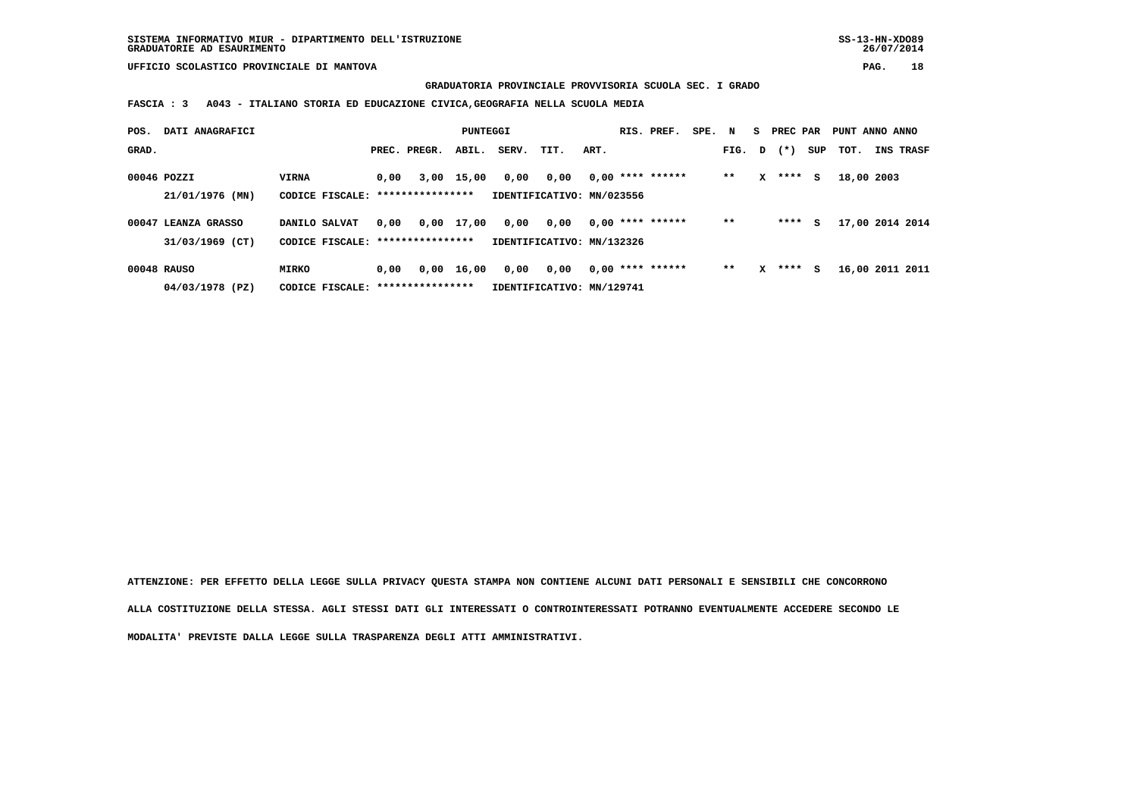**GRADUATORIA PROVINCIALE PROVVISORIA SCUOLA SEC. I GRADO**

 **FASCIA : 3 A043 - ITALIANO STORIA ED EDUCAZIONE CIVICA,GEOGRAFIA NELLA SCUOLA MEDIA**

| POS.  | DATI ANAGRAFICI     |                                   |      |                  | PUNTEGGI     |       |                           |      | RIS. PREF.         | SPE. N |        |   | S PREC PAR |     | PUNT ANNO ANNO  |                  |
|-------|---------------------|-----------------------------------|------|------------------|--------------|-------|---------------------------|------|--------------------|--------|--------|---|------------|-----|-----------------|------------------|
| GRAD. |                     |                                   |      | PREC. PREGR.     | ABIL.        | SERV. | TIT.                      | ART. |                    |        | FIG. D |   | $(* )$     | SUP | тот.            | <b>INS TRASF</b> |
|       | 00046 POZZI         | <b>VIRNA</b>                      | 0,00 |                  | 3,00 15,00   | 0,00  | 0,00                      |      | $0,00$ **** ****** |        | $* *$  | x | $***$ S    |     | 18,00 2003      |                  |
|       | 21/01/1976 (MN)     | CODICE FISCALE:                   |      | **************** |              |       | IDENTIFICATIVO: MN/023556 |      |                    |        |        |   |            |     |                 |                  |
|       | 00047 LEANZA GRASSO | DANILO SALVAT                     | 0,00 |                  | 0,00 17,00   | 0,00  | 0,00                      |      | $0.00$ **** ****** |        | $* *$  |   | $***$ S    |     | 17,00 2014 2014 |                  |
|       | 31/03/1969 (CT)     | CODICE FISCALE: ***************** |      |                  |              |       | IDENTIFICATIVO: MN/132326 |      |                    |        |        |   |            |     |                 |                  |
|       | 00048 RAUSO         | <b>MIRKO</b>                      | 0.00 |                  | $0,00$ 16,00 | 0,00  | 0,00                      |      | $0.00$ **** ****** |        | $* *$  | x | $***$ S    |     | 16,00 2011 2011 |                  |
|       | 04/03/1978 (PZ)     | CODICE FISCALE:                   |      | **************** |              |       | IDENTIFICATIVO: MN/129741 |      |                    |        |        |   |            |     |                 |                  |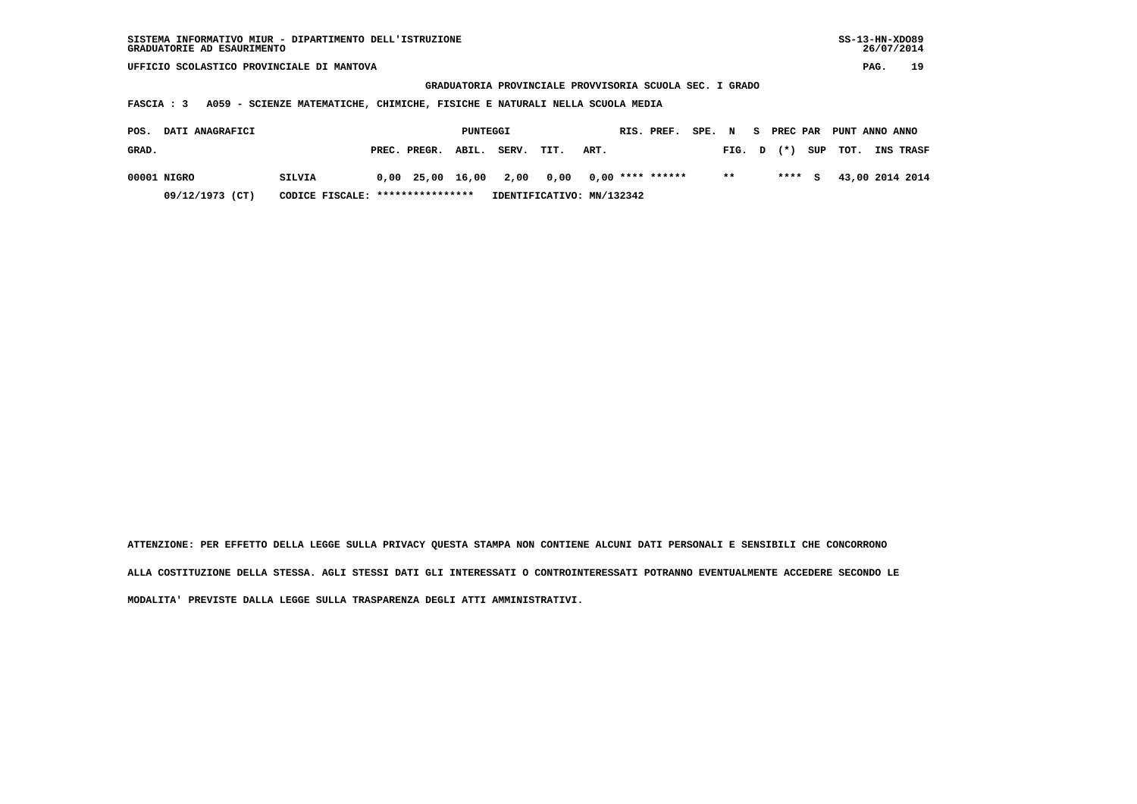**GRADUATORIA PROVINCIALE PROVVISORIA SCUOLA SEC. I GRADO**

 **FASCIA : 3 A059 - SCIENZE MATEMATICHE, CHIMICHE, FISICHE E NATURALI NELLA SCUOLA MEDIA**

| POS.  | <b>DATI ANAGRAFICI</b> |                                  |              | PUNTEGGI |                           |                       |      | RIS. PREF. | SPE. N |        | - S | PREC PAR  | PUNT ANNO ANNO |                  |
|-------|------------------------|----------------------------------|--------------|----------|---------------------------|-----------------------|------|------------|--------|--------|-----|-----------|----------------|------------------|
| GRAD. |                        |                                  | PREC. PREGR. | ABIL.    | SERV.                     | TIT.                  | ART. |            |        | FIG. D |     | $(*)$     | SUP TOT.       | <b>INS TRASF</b> |
|       | 00001 NIGRO            | SILVIA                           |              |          | 0,00 25,00 16,00 2,00     | 0,00 0,00 **** ****** |      |            |        | $* *$  |     | $***$ $C$ |                | 43,00 2014 2014  |
|       | 09/12/1973 (CT)        | CODICE FISCALE: **************** |              |          | IDENTIFICATIVO: MN/132342 |                       |      |            |        |        |     |           |                |                  |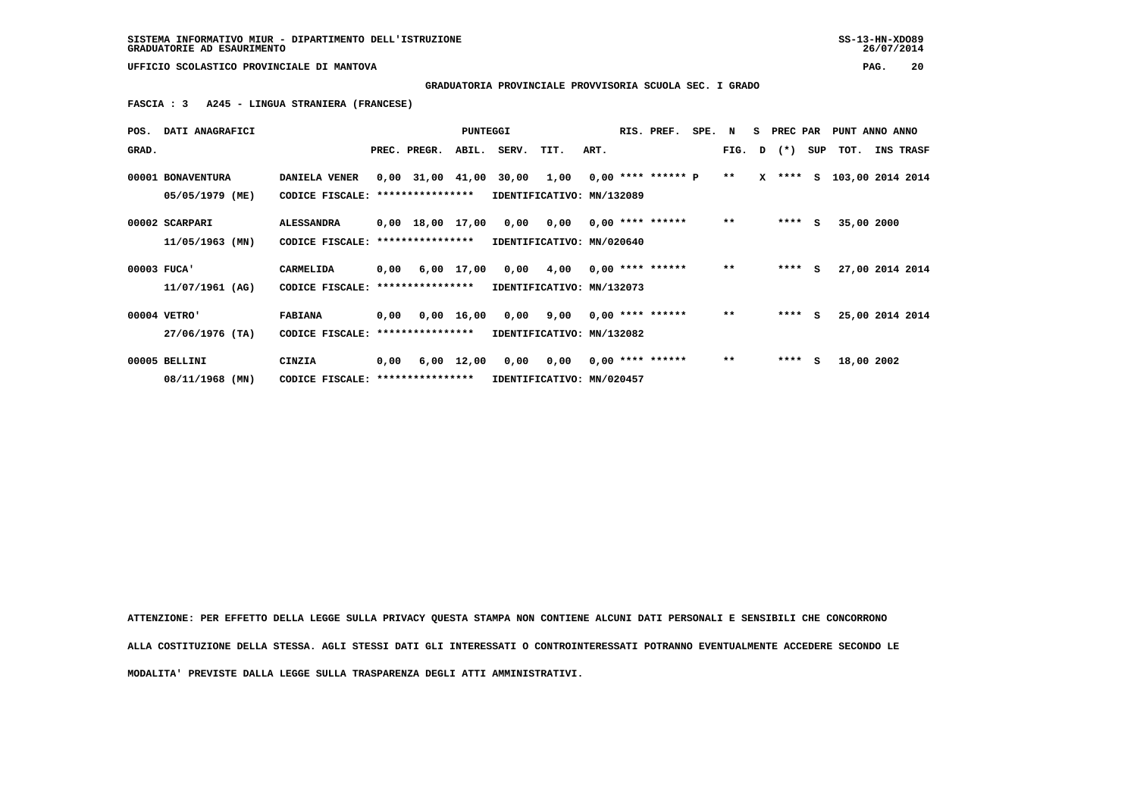**GRADUATORIA PROVINCIALE PROVVISORIA SCUOLA SEC. I GRADO**

 **FASCIA : 3 A245 - LINGUA STRANIERA (FRANCESE)**

|             | POS. DATI ANAGRAFICI                 |                                                          |      |                  | <b>PUNTEGGI</b> |                                                                             |                                        |      | RIS. PREF. | SPE. N |       | S PREC PAR |   |            | PUNT ANNO ANNO                |
|-------------|--------------------------------------|----------------------------------------------------------|------|------------------|-----------------|-----------------------------------------------------------------------------|----------------------------------------|------|------------|--------|-------|------------|---|------------|-------------------------------|
| GRAD.       |                                      |                                                          |      | PREC. PREGR.     | ABIL.           | SERV. TIT.                                                                  |                                        | ART. |            |        |       |            |   |            | FIG. D (*) SUP TOT. INS TRASF |
|             | 00001 BONAVENTURA<br>05/05/1979 (ME) | <b>DANIELA VENER</b><br>CODICE FISCALE: **************** |      |                  |                 | 0,00 31,00 41,00 30,00 1,00 0,00 **** ****** P<br>IDENTIFICATIVO: MN/132089 |                                        |      |            |        | $**$  |            |   |            | X **** S 103,00 2014 2014     |
|             |                                      |                                                          |      |                  |                 |                                                                             |                                        |      |            |        |       |            |   |            |                               |
|             | 00002 SCARPARI                       | <b>ALESSANDRA</b>                                        |      |                  |                 | 0,00 18,00 17,00 0,00 0,00 0,00 **** ******                                 |                                        |      |            |        | $***$ | $***$ S    |   | 35,00 2000 |                               |
|             | 11/05/1963 (MN)                      | CODICE FISCALE:                                          |      | **************** |                 | IDENTIFICATIVO: MN/020640                                                   |                                        |      |            |        |       |            |   |            |                               |
| 00003 FUCA' |                                      | CARMELIDA                                                |      |                  |                 | 0,00 6,00 17,00 0,00 4,00 0,00 **** ******                                  |                                        |      |            |        | $***$ | $***$ S    |   |            | 27,00 2014 2014               |
|             | 11/07/1961 (AG)                      | CODICE FISCALE: ****************                         |      |                  |                 | IDENTIFICATIVO: MN/132073                                                   |                                        |      |            |        |       |            |   |            |                               |
|             | 00004 VETRO'                         | <b>FABIANA</b>                                           |      | 0,00 0,00 16,00  |                 |                                                                             | $0,00$ $9,00$ $0,00$ $***$ **** ****** |      |            |        | $* *$ | $***$ S    |   |            | 25,00 2014 2014               |
|             | 27/06/1976 (TA)                      | CODICE FISCALE: ****************                         |      |                  |                 |                                                                             | IDENTIFICATIVO: MN/132082              |      |            |        |       |            |   |            |                               |
|             | 00005 BELLINI                        | CINZIA                                                   | 0,00 |                  |                 | 6,00 12,00 0,00 0,00 0,00 **** ******                                       |                                        |      |            |        | $***$ | ****       | s | 18,00 2002 |                               |
|             | 08/11/1968 (MN)                      | CODICE FISCALE: ****************                         |      |                  |                 | IDENTIFICATIVO: MN/020457                                                   |                                        |      |            |        |       |            |   |            |                               |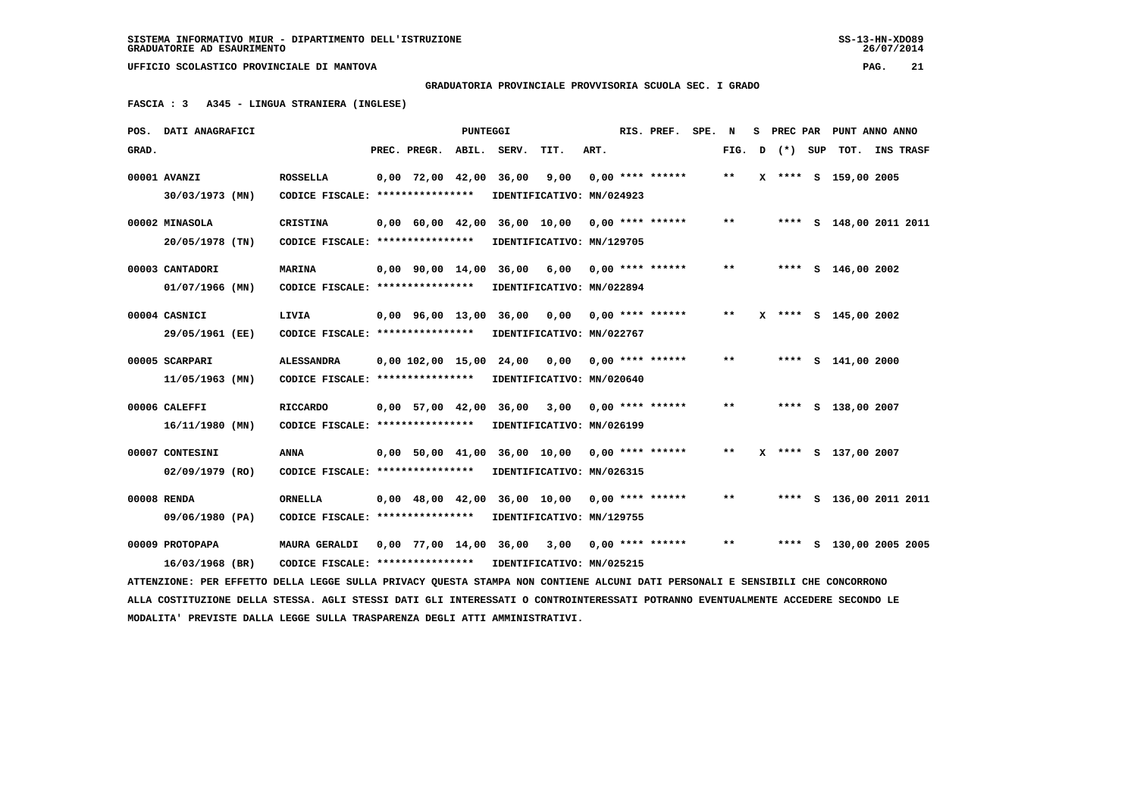**GRADUATORIA PROVINCIALE PROVVISORIA SCUOLA SEC. I GRADO**

 **FASCIA : 3 A345 - LINGUA STRANIERA (INGLESE)**

|       | POS. DATI ANAGRAFICI                                                                                                            |                                   |                                | PUNTEGGI |                              |                             |      | RIS. PREF.         | SPE. | N     | s |           |     | PREC PAR PUNT ANNO ANNO |           |
|-------|---------------------------------------------------------------------------------------------------------------------------------|-----------------------------------|--------------------------------|----------|------------------------------|-----------------------------|------|--------------------|------|-------|---|-----------|-----|-------------------------|-----------|
| GRAD. |                                                                                                                                 |                                   | PREC. PREGR.                   | ABIL.    | SERV.                        | TIT.                        | ART. |                    |      | FIG.  | D | $(\star)$ | SUP | TOT.                    | INS TRASF |
|       | 00001 AVANZI                                                                                                                    | <b>ROSSELLA</b>                   | $0,00$ 72,00 42,00             |          | 36,00                        | 9,00                        |      | $0.00$ **** ****** |      | $* *$ |   |           |     | X **** S 159,00 2005    |           |
|       | 30/03/1973 (MN)                                                                                                                 | CODICE FISCALE: ****************  |                                |          |                              | IDENTIFICATIVO: MN/024923   |      |                    |      |       |   |           |     |                         |           |
|       | 00002 MINASOLA                                                                                                                  | <b>CRISTINA</b>                   |                                |          | 0,00 60,00 42,00 36,00 10,00 |                             |      | $0.00$ **** ****** |      | $**$  |   |           |     | **** S 148,00 2011 2011 |           |
|       | 20/05/1978 (TN)                                                                                                                 | CODICE FISCALE: ****************  |                                |          |                              | IDENTIFICATIVO: MN/129705   |      |                    |      |       |   |           |     |                         |           |
|       |                                                                                                                                 |                                   |                                |          |                              |                             |      |                    |      |       |   |           |     |                         |           |
|       | 00003 CANTADORI                                                                                                                 | <b>MARINA</b>                     | $0.00$ $90.00$ $14.00$         |          |                              | 36,00 6,00                  |      | $0,00$ **** ****** |      | $* *$ |   | ****      |     | $S$ 146,00 2002         |           |
|       | $01/07/1966$ (MN)                                                                                                               | CODICE FISCALE: ****************  |                                |          |                              | IDENTIFICATIVO: MN/022894   |      |                    |      |       |   |           |     |                         |           |
|       | 00004 CASNICI                                                                                                                   | LIVIA                             | 0,00 96,00 13,00 36,00         |          |                              | 0,00                        |      | $0.00$ **** ****** |      | $* *$ |   |           |     | X **** S 145,00 2002    |           |
|       | 29/05/1961 (EE)                                                                                                                 | CODICE FISCALE: ****************  |                                |          |                              | IDENTIFICATIVO: MN/022767   |      |                    |      |       |   |           |     |                         |           |
|       |                                                                                                                                 |                                   |                                |          |                              |                             |      |                    |      |       |   |           |     |                         |           |
|       | 00005 SCARPARI                                                                                                                  | <b>ALESSANDRA</b>                 | $0,00$ $102,00$ $15,00$        |          | 24,00                        | 0.00                        |      | $0.00$ **** ****** |      | $* *$ |   |           |     | **** $S$ 141,00 2000    |           |
|       | 11/05/1963 (MN)                                                                                                                 | CODICE FISCALE: ****************  |                                |          |                              | IDENTIFICATIVO: MN/020640   |      |                    |      |       |   |           |     |                         |           |
|       | 00006 CALEFFI                                                                                                                   | <b>RICCARDO</b>                   | 0,00 57,00 42,00               |          | 36,00                        | 3,00                        |      | $0.00$ **** ****** |      | $* *$ |   |           |     | **** S 138,00 2007      |           |
|       | $16/11/1980$ (MN)                                                                                                               | CODICE FISCALE: ****************  |                                |          |                              | IDENTIFICATIVO: MN/026199   |      |                    |      |       |   |           |     |                         |           |
|       |                                                                                                                                 |                                   |                                |          |                              |                             |      |                    |      | $**$  |   |           |     |                         |           |
|       | 00007 CONTESINI                                                                                                                 | <b>ANNA</b>                       |                                |          | 0,00 50,00 41,00 36,00 10,00 |                             |      | $0.00$ **** ****** |      |       |   |           |     | **** S 137,00 2007      |           |
|       | $02/09/1979$ (RO)                                                                                                               | CODICE FISCALE: ****************  |                                |          |                              | IDENTIFICATIVO: MN/026315   |      |                    |      |       |   |           |     |                         |           |
|       | 00008 RENDA                                                                                                                     | <b>ORNELLA</b>                    | $0,00 \quad 48,00 \quad 42,00$ |          |                              | 36,00 10,00                 |      | $0.00$ **** ****** |      | $* *$ |   |           |     | **** S 136,00 2011 2011 |           |
|       | 09/06/1980 (PA)                                                                                                                 | CODICE FISCALE: ***************** |                                |          |                              | IDENTIFICATIVO: MN/129755   |      |                    |      |       |   |           |     |                         |           |
|       |                                                                                                                                 |                                   |                                |          |                              |                             |      |                    |      |       |   |           |     |                         |           |
|       | 00009 PROTOPAPA                                                                                                                 | <b>MAURA GERALDI</b>              |                                |          |                              | 0,00 77,00 14,00 36,00 3,00 |      | $0,00$ **** ****** |      | $* *$ |   |           |     | **** S 130,00 2005 2005 |           |
|       | 16/03/1968 (BR)                                                                                                                 | CODICE FISCALE: ****************  |                                |          |                              | IDENTIFICATIVO: MN/025215   |      |                    |      |       |   |           |     |                         |           |
|       | ATTENZIONE: PER EFFETTO DELLA LEGGE SULLA PRIVACY QUESTA STAMPA NON CONTIENE ALCUNI DATI PERSONALI E SENSIBILI CHE CONCORRONO   |                                   |                                |          |                              |                             |      |                    |      |       |   |           |     |                         |           |
|       | ALLA COSTITUZIONE DELLA STESSA. AGLI STESSI DATI GLI INTERESSATI O CONTROINTERESSATI POTRANNO EVENTUALMENTE ACCEDERE SECONDO LE |                                   |                                |          |                              |                             |      |                    |      |       |   |           |     |                         |           |
|       | MODALITA' PREVISTE DALLA LEGGE SULLA TRASPARENZA DEGLI ATTI AMMINISTRATIVI.                                                     |                                   |                                |          |                              |                             |      |                    |      |       |   |           |     |                         |           |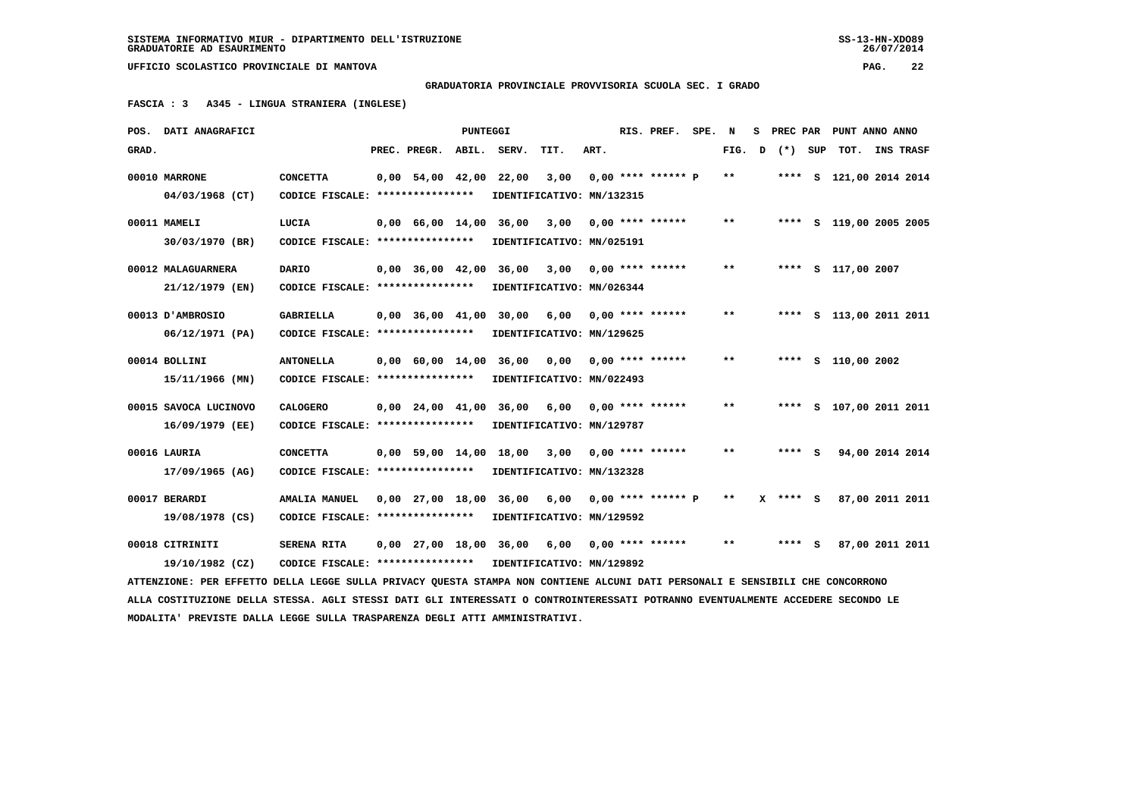**GRADUATORIA PROVINCIALE PROVVISORIA SCUOLA SEC. I GRADO**

 **FASCIA : 3 A345 - LINGUA STRANIERA (INGLESE)**

|       | POS. DATI ANAGRAFICI                                                                                                            |                                                            |                          | PUNTEGGI |                             |                           |      | RIS. PREF.           | SPE. | N            | s | PREC PAR   | PUNT ANNO ANNO          |                  |  |
|-------|---------------------------------------------------------------------------------------------------------------------------------|------------------------------------------------------------|--------------------------|----------|-----------------------------|---------------------------|------|----------------------|------|--------------|---|------------|-------------------------|------------------|--|
| GRAD. |                                                                                                                                 |                                                            | PREC. PREGR.             | ABIL.    | SERV.                       | TIT.                      | ART. |                      |      | FIG.         | D | (*) SUP    | TOT.                    | <b>INS TRASF</b> |  |
|       | 00010 MARRONE                                                                                                                   | <b>CONCETTA</b>                                            | $0,00$ 54,00 42,00       |          | 22,00                       | 3,00                      |      | $0.00$ **** ****** p |      | $* *$        |   |            | **** S 121,00 2014 2014 |                  |  |
|       | 04/03/1968 (CT)                                                                                                                 | CODICE FISCALE: ****************                           |                          |          | IDENTIFICATIVO: MN/132315   |                           |      |                      |      |              |   |            |                         |                  |  |
|       | 00011 MAMELI                                                                                                                    | LUCIA                                                      | $0,00$ 66,00 14,00 36,00 |          |                             | 3,00                      |      | $0.00$ **** ******   |      | $* *$        |   |            | **** S 119,00 2005 2005 |                  |  |
|       | 30/03/1970 (BR)                                                                                                                 | CODICE FISCALE: *****************                          |                          |          | IDENTIFICATIVO: MN/025191   |                           |      |                      |      |              |   |            |                         |                  |  |
|       |                                                                                                                                 |                                                            |                          |          |                             |                           |      |                      |      |              |   |            |                         |                  |  |
|       | 00012 MALAGUARNERA                                                                                                              | <b>DARIO</b>                                               | $0.00$ 36.00 42.00       |          | 36,00                       | 3,00                      |      | $0.00$ **** ******   |      | $***$        |   |            | **** S 117,00 2007      |                  |  |
|       | 21/12/1979 (EN)                                                                                                                 | CODICE FISCALE: ****************                           |                          |          | IDENTIFICATIVO: MN/026344   |                           |      |                      |      |              |   |            |                         |                  |  |
|       | 00013 D'AMBROSIO                                                                                                                | <b>GABRIELLA</b>                                           |                          |          | 0,00 36,00 41,00 30,00      | 6,00                      |      | $0.00$ **** ******   |      | $\star\star$ |   |            | **** S 113,00 2011 2011 |                  |  |
|       | 06/12/1971 (PA)                                                                                                                 | CODICE FISCALE: ****************                           |                          |          | IDENTIFICATIVO: MN/129625   |                           |      |                      |      |              |   |            |                         |                  |  |
|       |                                                                                                                                 |                                                            |                          |          |                             |                           |      |                      |      | $***$        |   |            |                         |                  |  |
|       | 00014 BOLLINI                                                                                                                   | <b>ANTONELLA</b>                                           |                          |          | 0,00 60,00 14,00 36,00      | 0.00                      |      | $0.00$ **** ******   |      |              |   |            | **** S 110,00 2002      |                  |  |
|       | 15/11/1966 (MN)                                                                                                                 | CODICE FISCALE: *****************                          |                          |          | IDENTIFICATIVO: MN/022493   |                           |      |                      |      |              |   |            |                         |                  |  |
|       | 00015 SAVOCA LUCINOVO                                                                                                           | <b>CALOGERO</b>                                            |                          |          | 0,00 24,00 41,00 36,00 6,00 |                           |      | $0.00$ **** ******   |      | $***$        |   |            | **** S 107,00 2011 2011 |                  |  |
|       | 16/09/1979 (EE)                                                                                                                 | CODICE FISCALE: ****************                           |                          |          |                             | IDENTIFICATIVO: MN/129787 |      |                      |      |              |   |            |                         |                  |  |
|       | 00016 LAURIA                                                                                                                    | <b>CONCETTA</b>                                            |                          |          | 0,00 59,00 14,00 18,00      | 3,00                      |      | $0.00$ **** ******   |      | $***$        |   | **** S     | 94,00 2014 2014         |                  |  |
|       |                                                                                                                                 |                                                            |                          |          |                             |                           |      |                      |      |              |   |            |                         |                  |  |
|       | 17/09/1965 (AG)                                                                                                                 | CODICE FISCALE: ****************                           |                          |          | IDENTIFICATIVO: MN/132328   |                           |      |                      |      |              |   |            |                         |                  |  |
|       | 00017 BERARDI                                                                                                                   | <b>AMALIA MANUEL</b>                                       | $0,00$ 27,00 18,00       |          | 36,00                       | 6,00                      |      | $0.00$ **** ****** P |      | $* *$        |   | $X$ **** S | 87,00 2011 2011         |                  |  |
|       | 19/08/1978 (CS)                                                                                                                 | CODICE FISCALE: ****************                           |                          |          | IDENTIFICATIVO: MN/129592   |                           |      |                      |      |              |   |            |                         |                  |  |
|       | 00018 CITRINITI                                                                                                                 | SERENA RITA                                                |                          |          | 0,00 27,00 18,00 36,00      | 6,00                      |      | $0.00$ **** ******   |      | $***$        |   | **** S     | 87,00 2011 2011         |                  |  |
|       |                                                                                                                                 |                                                            |                          |          |                             |                           |      |                      |      |              |   |            |                         |                  |  |
|       | 19/10/1982 (CZ)                                                                                                                 | CODICE FISCALE: **************** IDENTIFICATIVO: MN/129892 |                          |          |                             |                           |      |                      |      |              |   |            |                         |                  |  |
|       | ATTENZIONE: PER EFFETTO DELLA LEGGE SULLA PRIVACY QUESTA STAMPA NON CONTIENE ALCUNI DATI PERSONALI E SENSIBILI CHE CONCORRONO   |                                                            |                          |          |                             |                           |      |                      |      |              |   |            |                         |                  |  |
|       | ALLA COSTITUZIONE DELLA STESSA. AGLI STESSI DATI GLI INTERESSATI O CONTROINTERESSATI POTRANNO EVENTUALMENTE ACCEDERE SECONDO LE |                                                            |                          |          |                             |                           |      |                      |      |              |   |            |                         |                  |  |
|       | MODALITA' PREVISTE DALLA LEGGE SULLA TRASPARENZA DEGLI ATTI AMMINISTRATIVI.                                                     |                                                            |                          |          |                             |                           |      |                      |      |              |   |            |                         |                  |  |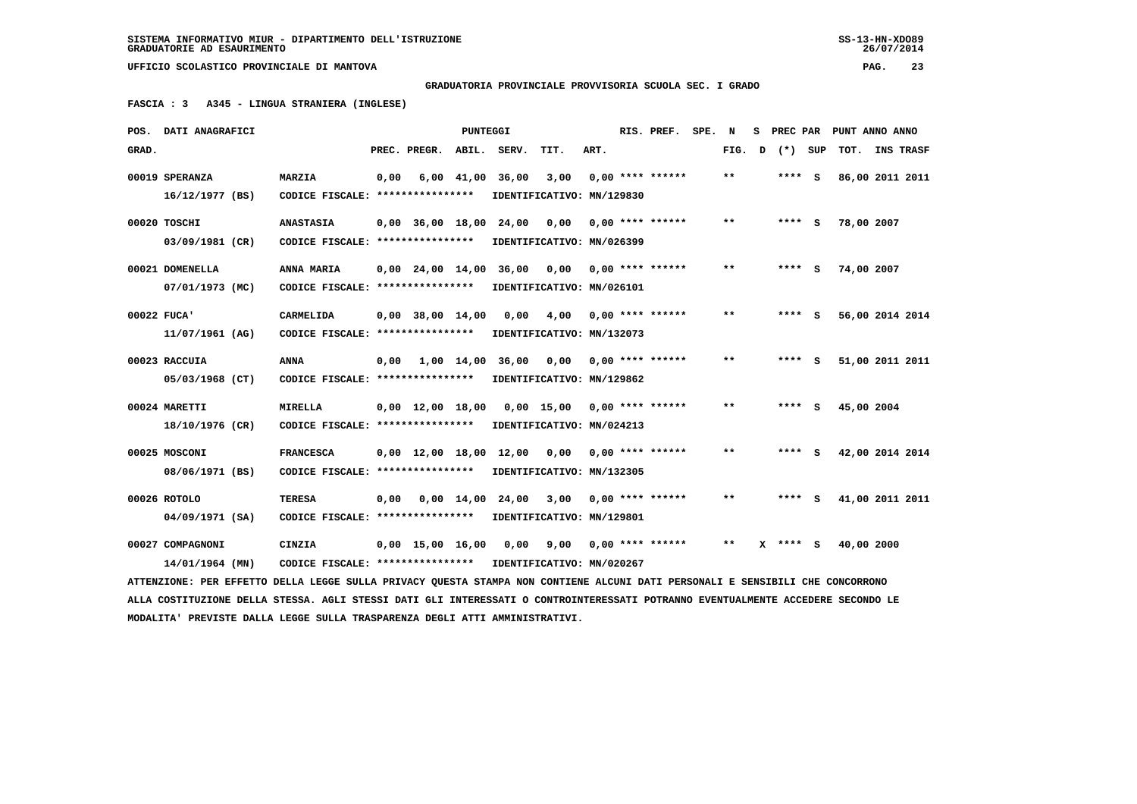**GRADUATORIA PROVINCIALE PROVVISORIA SCUOLA SEC. I GRADO**

 **FASCIA : 3 A345 - LINGUA STRANIERA (INGLESE)**

|       | POS. DATI ANAGRAFICI                                                                                                            |                                   |      |                                            | PUNTEGGI       |                  |                           |      | RIS. PREF.         | SPE. | N     | s | PREC PAR   | PUNT ANNO ANNO  |                  |
|-------|---------------------------------------------------------------------------------------------------------------------------------|-----------------------------------|------|--------------------------------------------|----------------|------------------|---------------------------|------|--------------------|------|-------|---|------------|-----------------|------------------|
| GRAD. |                                                                                                                                 |                                   |      | PREC. PREGR.                               | ABIL.          | SERV.            | TIT.                      | ART. |                    |      | FIG.  | D | (*) SUP    | тот.            | <b>INS TRASF</b> |
|       | 00019 SPERANZA                                                                                                                  | <b>MARZIA</b>                     | 0,00 |                                            | $6,00$ $41,00$ | 36,00            | 3,00                      |      | $0.00$ **** ****** |      | $***$ |   | **** S     | 86,00 2011 2011 |                  |
|       | 16/12/1977 (BS)                                                                                                                 | CODICE FISCALE: ****************  |      |                                            |                |                  | IDENTIFICATIVO: MN/129830 |      |                    |      |       |   |            |                 |                  |
|       | 00020 TOSCHI                                                                                                                    | <b>ANASTASIA</b>                  |      | $0,00$ $36,00$ $18,00$ $24,00$             |                |                  | 0,00                      |      | $0.00$ **** ****** |      | $* *$ |   | $***$ S    | 78,00 2007      |                  |
|       | 03/09/1981 (CR)                                                                                                                 | CODICE FISCALE: ****************  |      |                                            |                |                  | IDENTIFICATIVO: MN/026399 |      |                    |      |       |   |            |                 |                  |
|       | 00021 DOMENELLA                                                                                                                 | ANNA MARIA                        |      | $0,00$ 24,00 14,00 36,00                   |                |                  | 0,00                      |      | $0.00$ **** ****** |      | $* *$ |   | $***$ S    | 74,00 2007      |                  |
|       | 07/01/1973 (MC)                                                                                                                 | CODICE FISCALE: ****************  |      |                                            |                |                  | IDENTIFICATIVO: MN/026101 |      |                    |      |       |   |            |                 |                  |
|       | 00022 FUCA'                                                                                                                     | CARMELIDA                         |      | $0.00$ 38.00 14.00                         |                | 0,00             | 4,00                      |      | $0.00$ **** ****** |      | $***$ |   | $***$ S    | 56,00 2014 2014 |                  |
|       | 11/07/1961 (AG)                                                                                                                 | CODICE FISCALE: ****************  |      |                                            |                |                  | IDENTIFICATIVO: MN/132073 |      |                    |      |       |   |            |                 |                  |
|       | 00023 RACCUIA                                                                                                                   | ANNA                              | 0,00 |                                            |                | 1,00 14,00 36,00 | 0,00                      |      | $0.00$ **** ****** |      | $* *$ |   | **** S     | 51,00 2011 2011 |                  |
|       | 05/03/1968 (CT)                                                                                                                 | CODICE FISCALE: ***************** |      |                                            |                |                  | IDENTIFICATIVO: MN/129862 |      |                    |      |       |   |            |                 |                  |
|       | 00024 MARETTI                                                                                                                   | <b>MIRELLA</b>                    |      | $0,00 \quad 12,00 \quad 18,00$             |                |                  | 0,00 15,00                |      | $0,00$ **** ****** |      | $* *$ |   | **** S     | 45,00 2004      |                  |
|       | 18/10/1976 (CR)                                                                                                                 | CODICE FISCALE: ****************  |      |                                            |                |                  | IDENTIFICATIVO: MN/024213 |      |                    |      |       |   |            |                 |                  |
|       | 00025 MOSCONI                                                                                                                   | <b>FRANCESCA</b>                  |      | $0,00 \quad 12,00 \quad 18,00 \quad 12,00$ |                |                  | 0,00                      |      | $0.00$ **** ****** |      | $* *$ |   | **** S     | 42,00 2014 2014 |                  |
|       | 08/06/1971 (BS)                                                                                                                 | CODICE FISCALE: ****************  |      |                                            |                |                  | IDENTIFICATIVO: MN/132305 |      |                    |      |       |   |            |                 |                  |
|       | 00026 ROTOLO                                                                                                                    | <b>TERESA</b>                     | 0,00 |                                            | $0,00$ 14,00   | 24,00            | 3,00                      |      | $0.00$ **** ****** |      | $* *$ |   | **** S     | 41,00 2011 2011 |                  |
|       | 04/09/1971 (SA)                                                                                                                 | CODICE FISCALE: ****************  |      |                                            |                |                  | IDENTIFICATIVO: MN/129801 |      |                    |      |       |   |            |                 |                  |
|       | 00027 COMPAGNONI                                                                                                                | CINZIA                            |      | $0,00$ 15,00 16,00                         |                | 0,00             | 9,00                      |      | $0.00$ **** ****** |      | $***$ |   | $X$ **** S | 40,00 2000      |                  |
|       | 14/01/1964 (MN)                                                                                                                 | CODICE FISCALE: ****************  |      |                                            |                |                  | IDENTIFICATIVO: MN/020267 |      |                    |      |       |   |            |                 |                  |
|       | ATTENZIONE: PER EFFETTO DELLA LEGGE SULLA PRIVACY OUESTA STAMPA NON CONTIENE ALCUNI DATI PERSONALI E SENSIBILI CHE CONCORRONO   |                                   |      |                                            |                |                  |                           |      |                    |      |       |   |            |                 |                  |
|       | ALLA COSTITUZIONE DELLA STESSA. AGLI STESSI DATI GLI INTERESSATI O CONTROINTERESSATI POTRANNO EVENTUALMENTE ACCEDERE SECONDO LE |                                   |      |                                            |                |                  |                           |      |                    |      |       |   |            |                 |                  |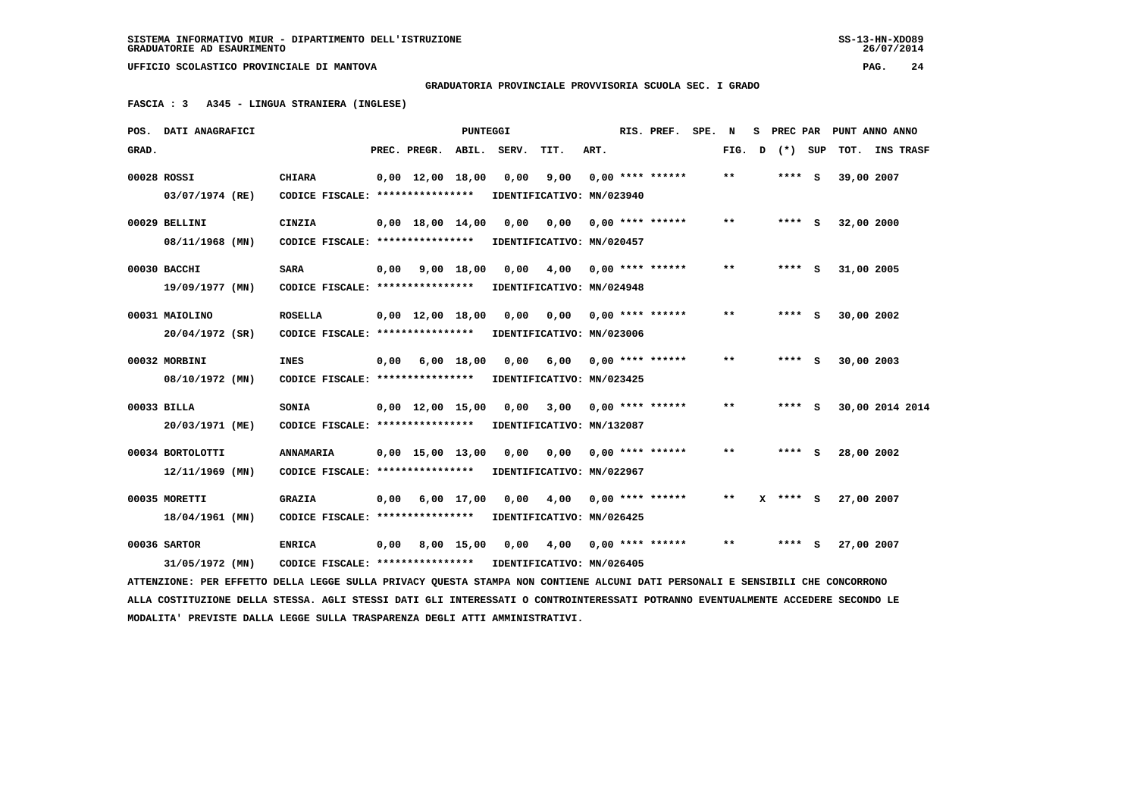**GRADUATORIA PROVINCIALE PROVVISORIA SCUOLA SEC. I GRADO**

 **FASCIA : 3 A345 - LINGUA STRANIERA (INGLESE)**

|       | POS. DATI ANAGRAFICI                                                                                                            |                                                            |      |                                | <b>PUNTEGGI</b> |                           |                            |      | RIS. PREF.                | SPE. N |       | s | PREC PAR | PUNT ANNO ANNO  |  |
|-------|---------------------------------------------------------------------------------------------------------------------------------|------------------------------------------------------------|------|--------------------------------|-----------------|---------------------------|----------------------------|------|---------------------------|--------|-------|---|----------|-----------------|--|
| GRAD. |                                                                                                                                 |                                                            |      | PREC. PREGR. ABIL.             |                 | SERV.                     | TIT.                       | ART. |                           |        | FIG.  | D | (*) SUP  | TOT. INS TRASF  |  |
|       | 00028 ROSSI                                                                                                                     | <b>CHIARA</b>                                              |      | $0,00 \quad 12,00 \quad 18,00$ |                 | 0,00                      | 9,00                       |      | $0,00$ **** ******        |        | $* *$ |   | **** S   | 39,00 2007      |  |
|       | 03/07/1974 (RE)                                                                                                                 | CODICE FISCALE: ****************                           |      |                                |                 |                           | IDENTIFICATIVO: MN/023940  |      |                           |        |       |   |          |                 |  |
|       | 00029 BELLINI                                                                                                                   | CINZIA                                                     |      | $0,00 \quad 18,00 \quad 14,00$ |                 | 0,00                      | 0,00                       |      | $0.00$ **** ******        |        | $* *$ |   | $***$ S  | 32,00 2000      |  |
|       | 08/11/1968 (MN)                                                                                                                 | CODICE FISCALE: *****************                          |      |                                |                 | IDENTIFICATIVO: MN/020457 |                            |      |                           |        |       |   |          |                 |  |
|       | 00030 BACCHI                                                                                                                    | <b>SARA</b>                                                |      | $0,00$ $9,00$ $18,00$          |                 |                           | 0,00 4,00 0,00 **** ****** |      |                           |        | $***$ |   | $***$ S  | 31,00 2005      |  |
|       | 19/09/1977 (MN)                                                                                                                 | CODICE FISCALE: ****************                           |      |                                |                 |                           | IDENTIFICATIVO: MN/024948  |      |                           |        |       |   |          |                 |  |
|       | 00031 MAIOLINO                                                                                                                  | <b>ROSELLA</b>                                             |      | $0.00 \quad 12.00 \quad 18.00$ |                 | 0,00                      | 0.00                       |      | $0.00$ **** ******        |        | $**$  |   | $***$ S  | 30,00 2002      |  |
|       | 20/04/1972 (SR)                                                                                                                 | CODICE FISCALE: *****************                          |      |                                |                 | IDENTIFICATIVO: MN/023006 |                            |      |                           |        |       |   |          |                 |  |
|       | 00032 MORBINI                                                                                                                   | <b>INES</b>                                                | 0,00 |                                | $6,00$ 18,00    | 0,00                      |                            |      | $6,00$ 0,00 **** ******   |        | $***$ |   | $***$ S  | 30,00 2003      |  |
|       | 08/10/1972 (MN)                                                                                                                 | CODICE FISCALE: *****************                          |      |                                |                 |                           | IDENTIFICATIVO: MN/023425  |      |                           |        |       |   |          |                 |  |
|       | 00033 BILLA                                                                                                                     | <b>SONIA</b>                                               |      | $0.00 \quad 12.00 \quad 15.00$ |                 | 0,00                      | 3,00                       |      | $0.00$ **** ******        |        | $***$ |   | $***$ S  | 30,00 2014 2014 |  |
|       | 20/03/1971 (ME)                                                                                                                 | CODICE FISCALE: *****************                          |      |                                |                 |                           | IDENTIFICATIVO: MN/132087  |      |                           |        |       |   |          |                 |  |
|       | 00034 BORTOLOTTI                                                                                                                | ANNAMARIA                                                  |      | $0,00$ 15,00 13,00             |                 | 0,00                      |                            |      | $0,00$ $0,00$ **** ****** |        | $**$  |   | $***$ S  | 28,00 2002      |  |
|       | $12/11/1969$ (MN)                                                                                                               | CODICE FISCALE: *****************                          |      |                                |                 |                           | IDENTIFICATIVO: MN/022967  |      |                           |        |       |   |          |                 |  |
|       | 00035 MORETTI                                                                                                                   | <b>GRAZIA</b>                                              | 0.00 |                                | $6,00$ 17,00    | 0,00                      | 4,00                       |      | $0.00$ **** ******        |        | $* *$ |   | X **** S | 27,00 2007      |  |
|       | 18/04/1961 (MN)                                                                                                                 | CODICE FISCALE: ****************                           |      |                                |                 |                           | IDENTIFICATIVO: MN/026425  |      |                           |        |       |   |          |                 |  |
|       | 00036 SARTOR                                                                                                                    | <b>ENRICA</b>                                              | 0,00 |                                | 8,00 15,00      |                           | 0,00 4,00 0,00 **** ****** |      |                           |        | $* *$ |   | $***$ S  | 27,00 2007      |  |
|       | 31/05/1972 (MN)                                                                                                                 | CODICE FISCALE: **************** IDENTIFICATIVO: MN/026405 |      |                                |                 |                           |                            |      |                           |        |       |   |          |                 |  |
|       | ATTENZIONE: PER EFFETTO DELLA LEGGE SULLA PRIVACY OUESTA STAMPA NON CONTIENE ALCUNI DATI PERSONALI E SENSIBILI CHE CONCORRONO   |                                                            |      |                                |                 |                           |                            |      |                           |        |       |   |          |                 |  |
|       | ALLA COSTITUZIONE DELLA STESSA. AGLI STESSI DATI GLI INTERESSATI O CONTROINTERESSATI POTRANNO EVENTUALMENTE ACCEDERE SECONDO LE |                                                            |      |                                |                 |                           |                            |      |                           |        |       |   |          |                 |  |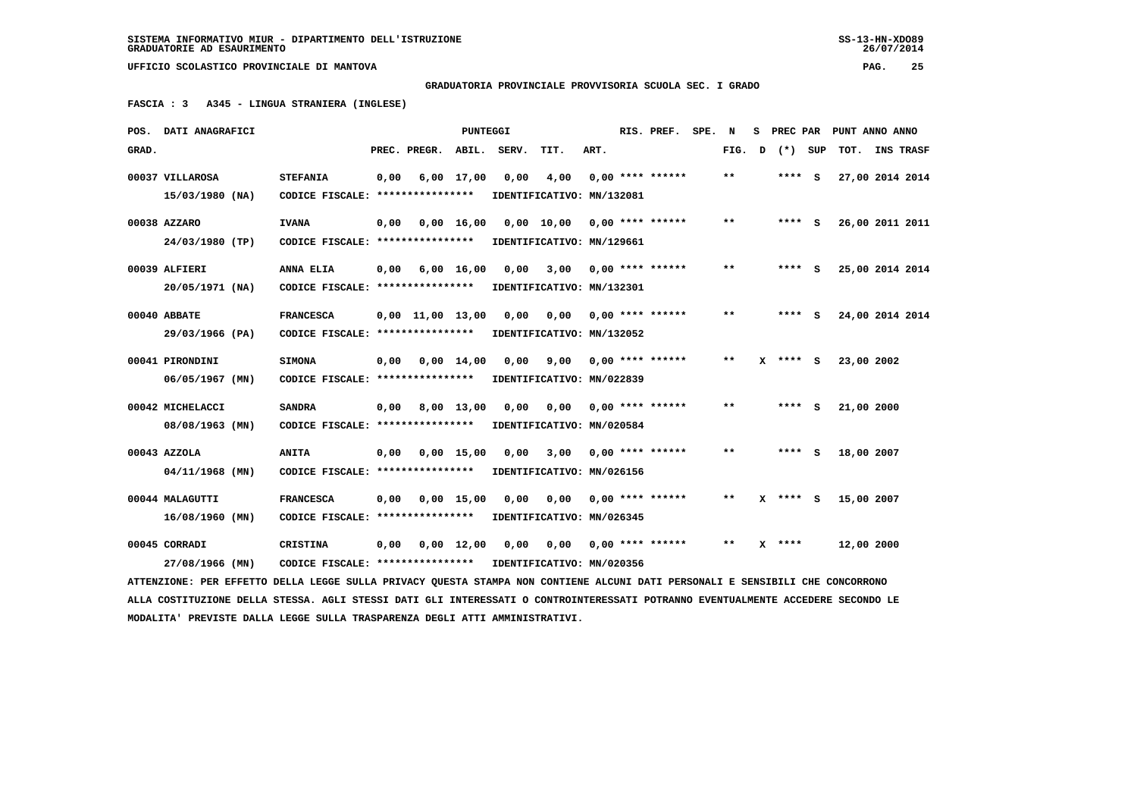## **GRADUATORIA PROVINCIALE PROVVISORIA SCUOLA SEC. I GRADO**

 **FASCIA : 3 A345 - LINGUA STRANIERA (INGLESE)**

|       | POS. DATI ANAGRAFICI                                                                                                            |                                                            |      |                                | <b>PUNTEGGI</b> |      |                             |      | RIS. PREF. SPE. N         |        | S. | PREC PAR     | PUNT ANNO ANNO  |  |
|-------|---------------------------------------------------------------------------------------------------------------------------------|------------------------------------------------------------|------|--------------------------------|-----------------|------|-----------------------------|------|---------------------------|--------|----|--------------|-----------------|--|
| GRAD. |                                                                                                                                 |                                                            |      | PREC. PREGR. ABIL. SERV.       |                 |      | TIT.                        | ART. |                           | FIG. D |    | (*) SUP      | TOT. INS TRASF  |  |
|       | 00037 VILLAROSA                                                                                                                 | <b>STEFANIA</b>                                            | 0,00 |                                | $6,00$ 17,00    | 0.00 | 4,00                        |      | $0.00$ **** ******        | **     |    | **** S       | 27,00 2014 2014 |  |
|       | 15/03/1980 (NA)                                                                                                                 | CODICE FISCALE: *****************                          |      |                                |                 |      | IDENTIFICATIVO: MN/132081   |      |                           |        |    |              |                 |  |
|       | 00038 AZZARO                                                                                                                    | <b>IVANA</b>                                               | 0,00 |                                | 0.00 16.00      |      | 0,00 10,00 0,00 **** ****** |      |                           | $* *$  |    | **** S       | 26,00 2011 2011 |  |
|       | 24/03/1980 (TP)                                                                                                                 | CODICE FISCALE: ****************                           |      |                                |                 |      | IDENTIFICATIVO: MN/129661   |      |                           |        |    |              |                 |  |
|       | 00039 ALFIERI                                                                                                                   | ANNA ELIA                                                  | 0,00 | 6,00 16,00                     |                 |      | 0,00 3,00 0,00 **** ******  |      |                           | $* *$  |    | **** S       | 25,00 2014 2014 |  |
|       | 20/05/1971 (NA)                                                                                                                 | CODICE FISCALE: ****************                           |      |                                |                 |      | IDENTIFICATIVO: MN/132301   |      |                           |        |    |              |                 |  |
|       | 00040 ABBATE                                                                                                                    | <b>FRANCESCA</b>                                           |      | $0,00 \quad 11,00 \quad 13,00$ |                 | 0,00 | 0,00                        |      | $0.00$ **** ******        | $* *$  |    | $***$ S      | 24,00 2014 2014 |  |
|       | 29/03/1966 (PA)                                                                                                                 | CODICE FISCALE: ****************                           |      |                                |                 |      | IDENTIFICATIVO: MN/132052   |      |                           |        |    |              |                 |  |
|       | 00041 PIRONDINI                                                                                                                 | <b>SIMONA</b>                                              | 0,00 | 0,00 14,00                     |                 | 0,00 |                             |      | $9,00$ 0,00 **** ******   | $**$   |    | $X$ **** $S$ | 23,00 2002      |  |
|       | 06/05/1967 (MN)                                                                                                                 | CODICE FISCALE: ****************                           |      |                                |                 |      | IDENTIFICATIVO: MN/022839   |      |                           |        |    |              |                 |  |
|       | 00042 MICHELACCI                                                                                                                | <b>SANDRA</b>                                              | 0,00 |                                | 8,00 13,00      | 0,00 | 0,00                        |      | $0,00$ **** ******        | $***$  |    | **** S       | 21,00 2000      |  |
|       | 08/08/1963 (MN)                                                                                                                 | CODICE FISCALE: ****************                           |      |                                |                 |      | IDENTIFICATIVO: MN/020584   |      |                           |        |    |              |                 |  |
|       | 00043 AZZOLA                                                                                                                    | <b>ANITA</b>                                               | 0,00 |                                | $0,00$ 15,00    | 0,00 |                             |      | $3,00$ 0,00 **** ******   | $***$  |    | **** S       | 18,00 2007      |  |
|       | $04/11/1968$ (MN)                                                                                                               | CODICE FISCALE: ****************                           |      |                                |                 |      | IDENTIFICATIVO: MN/026156   |      |                           |        |    |              |                 |  |
|       | 00044 MALAGUTTI                                                                                                                 | <b>FRANCESCA</b>                                           | 0,00 |                                | $0,00$ 15,00    | 0,00 | 0,00                        |      | $0.00$ **** ******        | **     |    | $X$ **** S   | 15,00 2007      |  |
|       | $16/08/1960$ (MN)                                                                                                               | CODICE FISCALE: ****************                           |      |                                |                 |      | IDENTIFICATIVO: MN/026345   |      |                           |        |    |              |                 |  |
|       | 00045 CORRADI                                                                                                                   | <b>CRISTINA</b>                                            | 0,00 |                                | $0.00$ 12.00    | 0,00 |                             |      | $0,00$ $0,00$ **** ****** | $* *$  |    | $X$ ****     | 12,00 2000      |  |
|       | 27/08/1966 (MN)                                                                                                                 | CODICE FISCALE: **************** IDENTIFICATIVO: MN/020356 |      |                                |                 |      |                             |      |                           |        |    |              |                 |  |
|       | ATTENZIONE: PER EFFETTO DELLA LEGGE SULLA PRIVACY QUESTA STAMPA NON CONTIENE ALCUNI DATI PERSONALI E SENSIBILI CHE CONCORRONO   |                                                            |      |                                |                 |      |                             |      |                           |        |    |              |                 |  |
|       | ALLA COSTITUZIONE DELLA STESSA. AGLI STESSI DATI GLI INTERESSATI O CONTROINTERESSATI POTRANNO EVENTUALMENTE ACCEDERE SECONDO LE |                                                            |      |                                |                 |      |                             |      |                           |        |    |              |                 |  |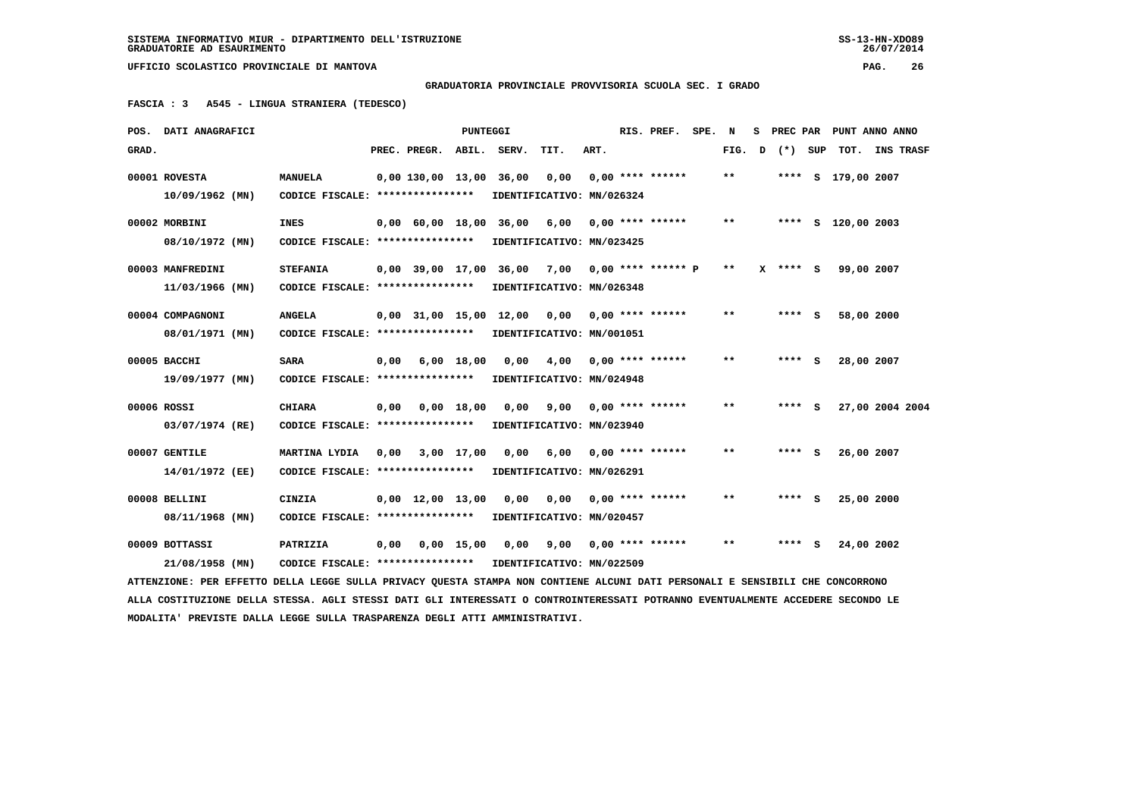**MODALITA' PREVISTE DALLA LEGGE SULLA TRASPARENZA DEGLI ATTI AMMINISTRATIVI.**

 **UFFICIO SCOLASTICO PROVINCIALE DI MANTOVA PAG. 26**

 **GRADUATORIA PROVINCIALE PROVVISORIA SCUOLA SEC. I GRADO**

 **FASCIA : 3 A545 - LINGUA STRANIERA (TEDESCO)**

|       | POS. DATI ANAGRAFICI                                                                                                            |                                                    |      |                         | PUNTEGGI     |                               |                                                  |      | RIS. PREF. SPE.    | N     | s |              |     | PREC PAR PUNT ANNO ANNO |  |
|-------|---------------------------------------------------------------------------------------------------------------------------------|----------------------------------------------------|------|-------------------------|--------------|-------------------------------|--------------------------------------------------|------|--------------------|-------|---|--------------|-----|-------------------------|--|
| GRAD. |                                                                                                                                 |                                                    |      | PREC. PREGR.            | ABIL.        | SERV.                         | TIT.                                             | ART. |                    | FIG.  | D | $(*)$        | SUP | TOT. INS TRASF          |  |
|       | 00001 ROVESTA<br>$10/09/1962$ (MN)                                                                                              | <b>MANUELA</b><br>CODICE FISCALE: **************** |      | 0,00 130,00 13,00 36,00 |              |                               | 0,00<br>IDENTIFICATIVO: MN/026324                |      | $0,00$ **** ****** | $* *$ |   |              |     | **** S 179,00 2007      |  |
|       |                                                                                                                                 |                                                    |      |                         |              |                               |                                                  |      |                    |       |   |              |     |                         |  |
|       | 00002 MORBINI                                                                                                                   | INES                                               |      | 0,00 60,00 18,00        |              | 36,00                         | 6,00                                             |      | $0.00$ **** ****** | $* *$ |   |              |     | **** S 120,00 2003      |  |
|       | 08/10/1972 (MN)                                                                                                                 | CODICE FISCALE: ****************                   |      |                         |              |                               | IDENTIFICATIVO: MN/023425                        |      |                    |       |   |              |     |                         |  |
|       | 00003 MANFREDINI                                                                                                                | <b>STEFANIA</b>                                    |      |                         |              |                               | $0.00$ 39.00 17,00 36,00 7,00 0,00 **** ****** P |      |                    | $***$ |   | $X$ **** $S$ |     | 99,00 2007              |  |
|       | $11/03/1966$ (MN)                                                                                                               | CODICE FISCALE: ****************                   |      |                         |              |                               | IDENTIFICATIVO: MN/026348                        |      |                    |       |   |              |     |                         |  |
|       | 00004 COMPAGNONI                                                                                                                | <b>ANGELA</b>                                      |      |                         |              | $0.00$ 31.00 15.00 12.00 0.00 |                                                  |      | $0.00$ **** ****** | $***$ |   | **** S       |     | 58,00 2000              |  |
|       | 08/01/1971 (MN)                                                                                                                 | CODICE FISCALE: *****************                  |      |                         |              |                               | IDENTIFICATIVO: MN/001051                        |      |                    |       |   |              |     |                         |  |
|       | 00005 BACCHI                                                                                                                    | <b>SARA</b>                                        | 0,00 |                         | $6,00$ 18,00 | 0,00                          | 4,00                                             |      | $0,00$ **** ****** | $***$ |   | **** S       |     | 28,00 2007              |  |
|       | 19/09/1977 (MN)                                                                                                                 | CODICE FISCALE: ****************                   |      |                         |              |                               | IDENTIFICATIVO: MN/024948                        |      |                    |       |   |              |     |                         |  |
|       | 00006 ROSSI                                                                                                                     | <b>CHIARA</b>                                      | 0,00 |                         | $0,00$ 18,00 | 0,00                          | 9,00                                             |      | $0.00$ **** ****** | $* *$ |   | **** S       |     | 27,00 2004 2004         |  |
|       | 03/07/1974 (RE)                                                                                                                 | CODICE FISCALE: ****************                   |      |                         |              |                               | IDENTIFICATIVO: MN/023940                        |      |                    |       |   |              |     |                         |  |
|       | 00007 GENTILE                                                                                                                   | MARTINA LYDIA                                      | 0,00 |                         | $3,00$ 17,00 | 0,00                          | 6,00                                             |      | $0.00$ **** ****** | **    |   | **** S       |     | 26,00 2007              |  |
|       | 14/01/1972 (EE)                                                                                                                 | CODICE FISCALE: ****************                   |      |                         |              |                               | IDENTIFICATIVO: MN/026291                        |      |                    |       |   |              |     |                         |  |
|       | 00008 BELLINI                                                                                                                   | CINZIA                                             |      | $0,00$ 12,00 13,00      |              | 0.00                          | 0,00                                             |      | $0.00$ **** ****** | $* *$ |   | **** S       |     | 25,00 2000              |  |
|       | 08/11/1968 (MN)                                                                                                                 | CODICE FISCALE: ****************                   |      |                         |              |                               | IDENTIFICATIVO: MN/020457                        |      |                    |       |   |              |     |                         |  |
|       | 00009 BOTTASSI                                                                                                                  | PATRIZIA                                           | 0,00 |                         | $0,00$ 15,00 | 0,00                          | 9,00                                             |      | $0,00$ **** ****** | $* *$ |   | **** S       |     | 24,00 2002              |  |
|       | 21/08/1958 (MN)                                                                                                                 | CODICE FISCALE: *****************                  |      |                         |              |                               | IDENTIFICATIVO: MN/022509                        |      |                    |       |   |              |     |                         |  |
|       | ATTENZIONE: PER EFFETTO DELLA LEGGE SULLA PRIVACY QUESTA STAMPA NON CONTIENE ALCUNI DATI PERSONALI E SENSIBILI CHE CONCORRONO   |                                                    |      |                         |              |                               |                                                  |      |                    |       |   |              |     |                         |  |
|       | ALLA COSTITUZIONE DELLA STESSA. AGLI STESSI DATI GLI INTERESSATI O CONTROINTERESSATI POTRANNO EVENTUALMENTE ACCEDERE SECONDO LE |                                                    |      |                         |              |                               |                                                  |      |                    |       |   |              |     |                         |  |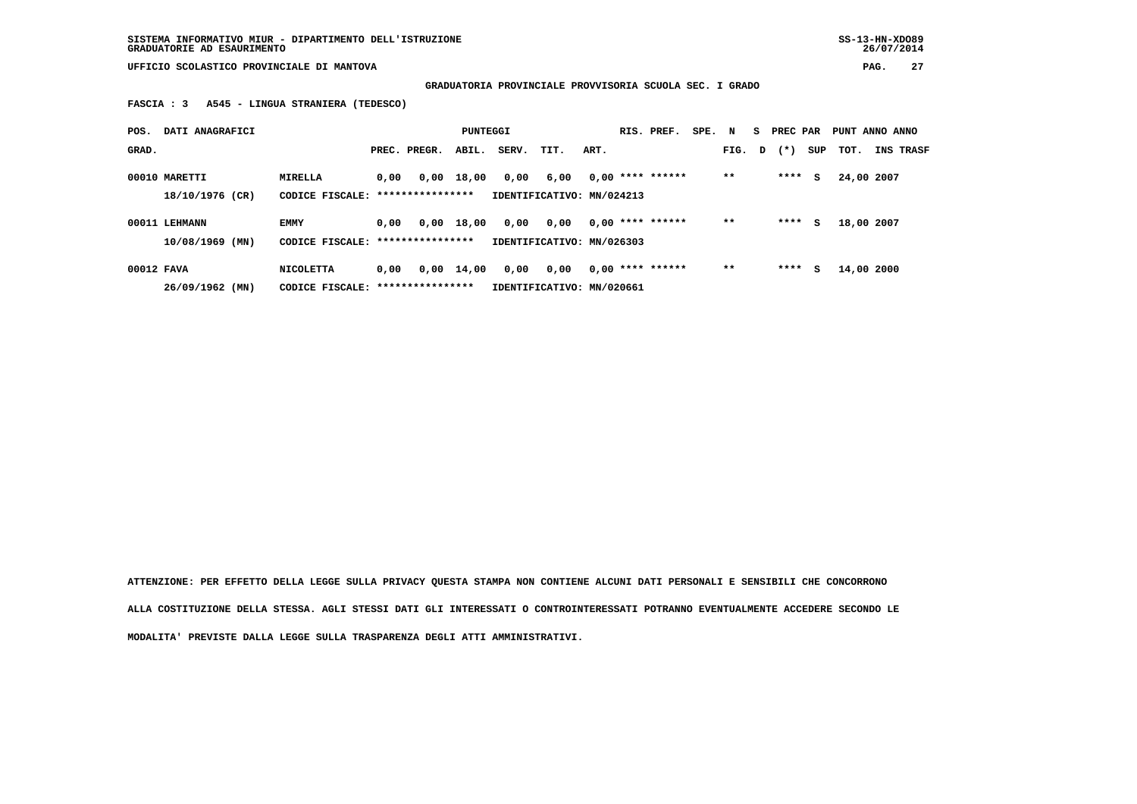**SISTEMA INFORMATIVO MIUR - DIPARTIMENTO DELL'ISTRUZIONE SS-13-HN-XDO89 GRADUATORIE AD ESAURIMENTO 26/07/2014**

 **UFFICIO SCOLASTICO PROVINCIALE DI MANTOVA PAG. 27**

 **GRADUATORIA PROVINCIALE PROVVISORIA SCUOLA SEC. I GRADO**

 **FASCIA : 3 A545 - LINGUA STRANIERA (TEDESCO)**

| POS.       | DATI ANAGRAFICI   |                                   |      |                  | PUNTEGGI     |       |                           |      | RIS. PREF.         | SPE. N |        | - S | PREC PAR |     | PUNT ANNO ANNO |                  |
|------------|-------------------|-----------------------------------|------|------------------|--------------|-------|---------------------------|------|--------------------|--------|--------|-----|----------|-----|----------------|------------------|
| GRAD.      |                   |                                   |      | PREC. PREGR.     | ABIL.        | SERV. | TIT.                      | ART. |                    |        | FIG. D |     | $(* )$   | SUP | тот.           | <b>INS TRASF</b> |
|            | 00010 MARETTI     | MIRELLA                           | 0,00 |                  | $0.00$ 18,00 | 0,00  | 6,00                      |      | $0,00$ **** ****** |        | $* *$  |     | ****     | s   | 24,00 2007     |                  |
|            | 18/10/1976 (CR)   | CODICE FISCALE: ***************** |      |                  |              |       | IDENTIFICATIVO: MN/024213 |      |                    |        |        |     |          |     |                |                  |
|            | 00011 LEHMANN     | <b>EMMY</b>                       | 0.00 | 0,00             | 18,00        | 0,00  | 0,00                      |      | $0.00$ **** ****** |        | $* *$  |     | ****     | s   | 18,00 2007     |                  |
|            | $10/08/1969$ (MN) | CODICE FISCALE: ***************** |      |                  |              |       | IDENTIFICATIVO: MN/026303 |      |                    |        |        |     |          |     |                |                  |
| 00012 FAVA |                   | NICOLETTA                         | 0,00 | 0,00             | 14,00        | 0,00  | 0,00                      |      | $0.00$ **** ****** |        | $* *$  |     | ****     | s   | 14,00 2000     |                  |
|            | 26/09/1962 (MN)   | CODICE FISCALE:                   |      | **************** |              |       | IDENTIFICATIVO: MN/020661 |      |                    |        |        |     |          |     |                |                  |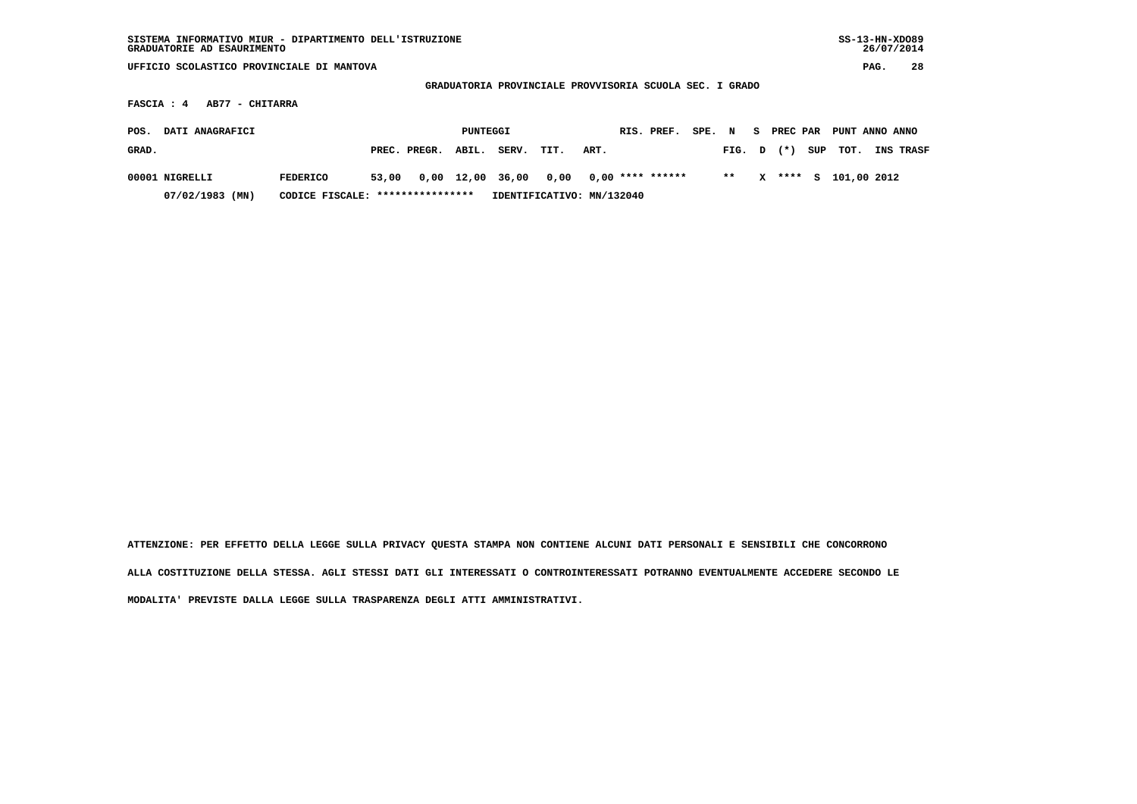| SISTEMA INFORMATIVO MIUR - DIPARTIMENTO DELL'ISTRUZIONE<br>GRADUATORIE AD ESAURIMENTO    |                                   |       |              |            |       |                           |      |  |                    |        |        |    |          |     | $SS-13-HN-XDO89$ | 26/07/2014 |           |
|------------------------------------------------------------------------------------------|-----------------------------------|-------|--------------|------------|-------|---------------------------|------|--|--------------------|--------|--------|----|----------|-----|------------------|------------|-----------|
| UFFICIO SCOLASTICO PROVINCIALE DI MANTOVA                                                |                                   |       |              |            |       |                           |      |  |                    |        |        |    |          |     |                  | PAG.       | 28        |
|                                                                                          |                                   |       |              |            |       |                           |      |  |                    |        |        |    |          |     |                  |            |           |
| GRADUATORIA PROVINCIALE PROVVISORIA SCUOLA SEC. I GRADO<br>AB77 - CHITARRA<br>FASCIA : 4 |                                   |       |              |            |       |                           |      |  |                    |        |        |    |          |     |                  |            |           |
| DATI ANAGRAFICI<br>POS.                                                                  |                                   |       |              | PUNTEGGI   |       |                           |      |  | RIS. PREF.         | SPE. N |        | S. | PREC PAR |     | PUNT ANNO ANNO   |            |           |
| GRAD.                                                                                    |                                   |       | PREC. PREGR. | ABIL.      | SERV. | TIT.                      | ART. |  |                    |        | FIG. D |    | $(* )$   | SUP | TOT.             |            | INS TRASF |
| 00001 NIGRELLI                                                                           | <b>FEDERICO</b>                   | 53,00 |              | 0,00 12,00 | 36,00 | 0,00                      |      |  | $0,00$ **** ****** |        | $* *$  | x  | ****     | S.  | 101,00 2012      |            |           |
| $07/02/1983$ (MN)                                                                        | CODICE FISCALE: ***************** |       |              |            |       | IDENTIFICATIVO: MN/132040 |      |  |                    |        |        |    |          |     |                  |            |           |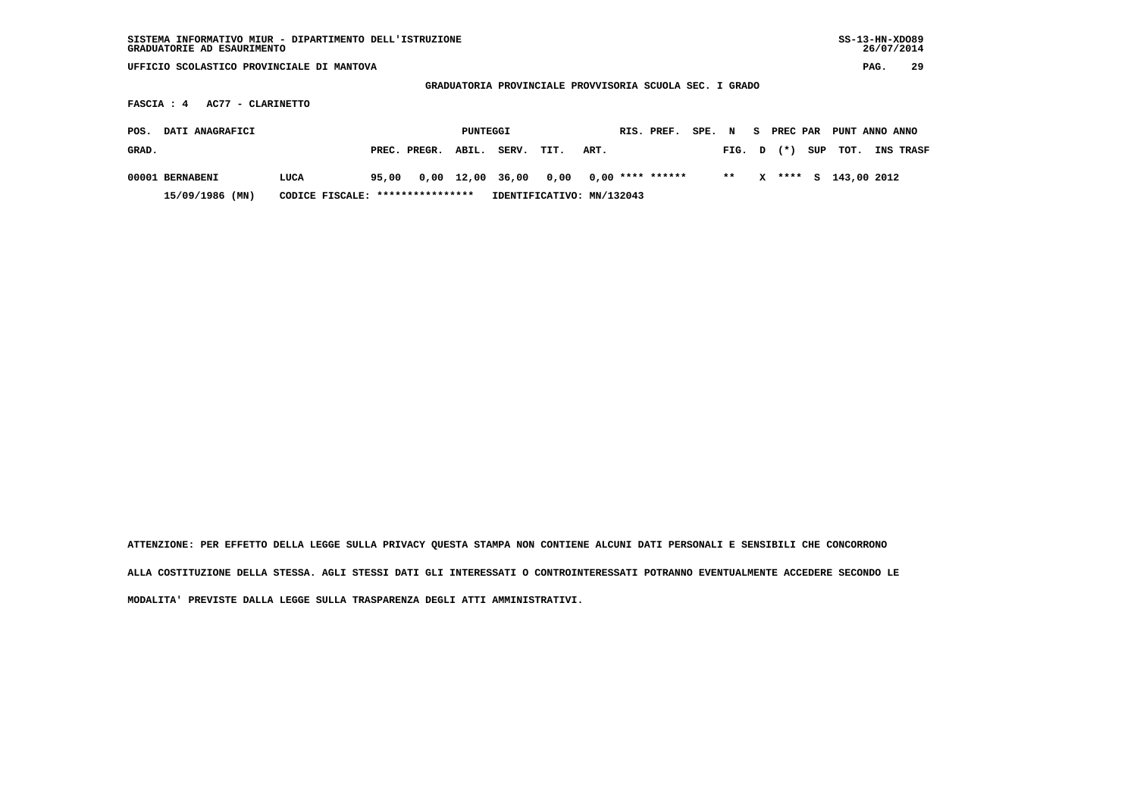| SISTEMA INFORMATIVO MIUR - DIPARTIMENTO DELL'ISTRUZIONE<br>GRADUATORIE AD ESAURIMENTO      |                                  |       |              |            |       |                           |      |  |                    |        |       |    |          |     |                |      | $SS-13-HN-XDO89$<br>26/07/2014 |
|--------------------------------------------------------------------------------------------|----------------------------------|-------|--------------|------------|-------|---------------------------|------|--|--------------------|--------|-------|----|----------|-----|----------------|------|--------------------------------|
| UFFICIO SCOLASTICO PROVINCIALE DI MANTOVA                                                  |                                  |       |              |            |       |                           |      |  |                    |        |       |    |          |     |                | PAG. | 29                             |
|                                                                                            |                                  |       |              |            |       |                           |      |  |                    |        |       |    |          |     |                |      |                                |
| GRADUATORIA PROVINCIALE PROVVISORIA SCUOLA SEC. I GRADO<br>AC77 - CLARINETTO<br>FASCIA : 4 |                                  |       |              |            |       |                           |      |  |                    |        |       |    |          |     |                |      |                                |
| DATI ANAGRAFICI<br>POS.                                                                    |                                  |       |              | PUNTEGGI   |       |                           |      |  | RIS. PREF.         | SPE. N |       | S. | PREC PAR |     | PUNT ANNO ANNO |      |                                |
| GRAD.                                                                                      |                                  |       | PREC. PREGR. | ABIL.      | SERV. | TIT.                      | ART. |  |                    |        | FIG.  | D  | $^{(*)}$ | SUP | TOT.           |      | INS TRASF                      |
| 00001 BERNABENI                                                                            | LUCA                             | 95,00 |              | 0,00 12,00 | 36,00 | 0,00                      |      |  | $0,00$ **** ****** |        | $* *$ | x  | ****     | s   | 143,00 2012    |      |                                |
| 15/09/1986 (MN)                                                                            | CODICE FISCALE: **************** |       |              |            |       | IDENTIFICATIVO: MN/132043 |      |  |                    |        |       |    |          |     |                |      |                                |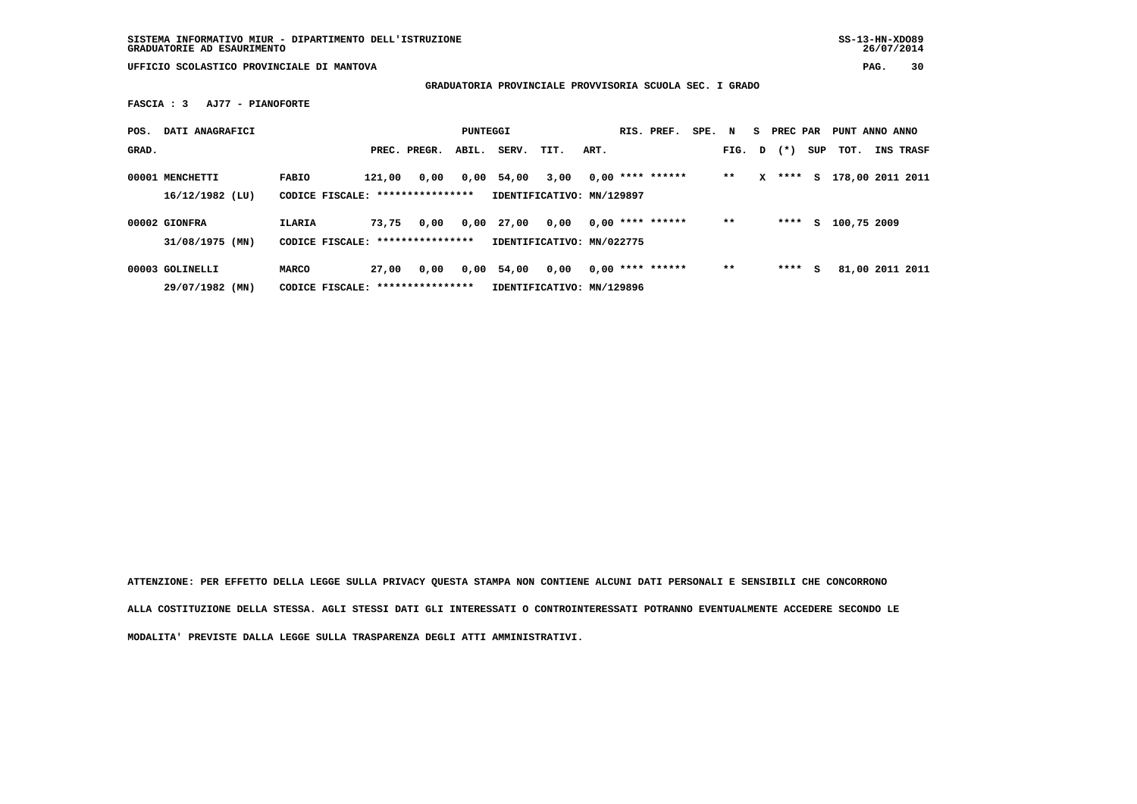**GRADUATORIA PROVINCIALE PROVVISORIA SCUOLA SEC. I GRADO**

 **FASCIA : 3 AJ77 - PIANOFORTE**

| POS.  | DATI ANAGRAFICI                      |                                                   |        |                  | PUNTEGGI |                                    |      |      | RIS. PREF.         | SPE. | N     |   | PREC PAR |     | PUNT ANNO ANNO   |           |
|-------|--------------------------------------|---------------------------------------------------|--------|------------------|----------|------------------------------------|------|------|--------------------|------|-------|---|----------|-----|------------------|-----------|
| GRAD. |                                      |                                                   |        | PREC. PREGR.     | ABIL.    | SERV.                              | TIT. | ART. |                    |      | FIG.  | D | $(* )$   | SUP | тот.             | INS TRASF |
|       | 00001 MENCHETTI<br>$16/12/1982$ (LU) | <b>FABIO</b><br>CODICE FISCALE: ***************** | 121,00 | 0,00             | 0,00     | 54,00<br>IDENTIFICATIVO: MN/129897 | 3,00 |      | $0.00$ **** ****** |      | $* *$ | x | ****     | S.  | 178,00 2011 2011 |           |
|       | 00002 GIONFRA                        | ILARIA                                            | 73,75  | 0,00             | 0,00     | 27,00                              | 0,00 |      | $0.00$ **** ****** |      | $**$  |   | ****     | s   | 100,75 2009      |           |
|       | 31/08/1975 (MN)                      | CODICE FISCALE:                                   |        | **************** |          | IDENTIFICATIVO: MN/022775          |      |      |                    |      |       |   |          |     |                  |           |
|       | 00003 GOLINELLI                      | MARCO                                             | 27,00  | 0,00             | 0,00     | 54,00                              | 0,00 |      | $0.00$ **** ****** |      | $**$  |   | ****     | s   | 81,00 2011 2011  |           |
|       | 29/07/1982 (MN)                      | CODICE FISCALE: ****************                  |        |                  |          | IDENTIFICATIVO: MN/129896          |      |      |                    |      |       |   |          |     |                  |           |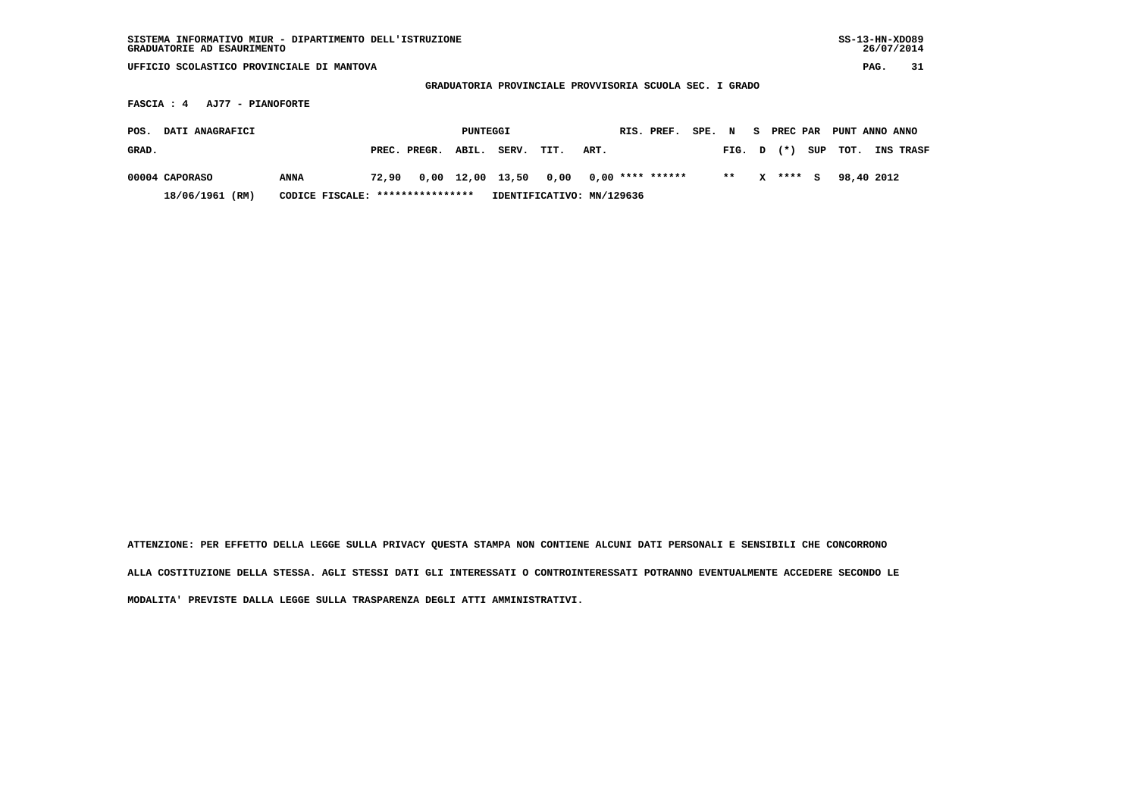| SISTEMA INFORMATIVO MIUR - DIPARTIMENTO DELL'ISTRUZIONE<br>GRADUATORIE AD ESAURIMENTO |                                   |       |              |          |                                                         |                           |      |                    |        |       |    |          |     | $SS-13-HN-XDO89$ |      | 26/07/2014 |
|---------------------------------------------------------------------------------------|-----------------------------------|-------|--------------|----------|---------------------------------------------------------|---------------------------|------|--------------------|--------|-------|----|----------|-----|------------------|------|------------|
| UFFICIO SCOLASTICO PROVINCIALE DI MANTOVA                                             |                                   |       |              |          |                                                         |                           |      |                    |        |       |    |          |     |                  | PAG. | 31         |
|                                                                                       |                                   |       |              |          | GRADUATORIA PROVINCIALE PROVVISORIA SCUOLA SEC. I GRADO |                           |      |                    |        |       |    |          |     |                  |      |            |
| <b>FASCIA : 4</b><br>AJ77 - PIANOFORTE                                                |                                   |       |              |          |                                                         |                           |      |                    |        |       |    |          |     |                  |      |            |
| DATI ANAGRAFICI<br>POS.                                                               |                                   |       |              | PUNTEGGI |                                                         |                           |      | RIS. PREF.         | SPE. N |       | S. | PREC PAR |     | PUNT ANNO ANNO   |      |            |
| GRAD.                                                                                 |                                   |       | PREC. PREGR. | ABIL.    | SERV.                                                   | TIT.                      | ART. |                    |        | FIG.  | D  | $(* )$   | SUP | TOT.             |      | INS TRASF  |
| 00004 CAPORASO                                                                        | ANNA                              | 72,90 |              |          | $0,00$ 12,00 13,50                                      | 0,00                      |      | $0,00$ **** ****** |        | $* *$ | x  | **** S   |     | 98,40 2012       |      |            |
| 18/06/1961 (RM)                                                                       | CODICE FISCALE: ***************** |       |              |          |                                                         | IDENTIFICATIVO: MN/129636 |      |                    |        |       |    |          |     |                  |      |            |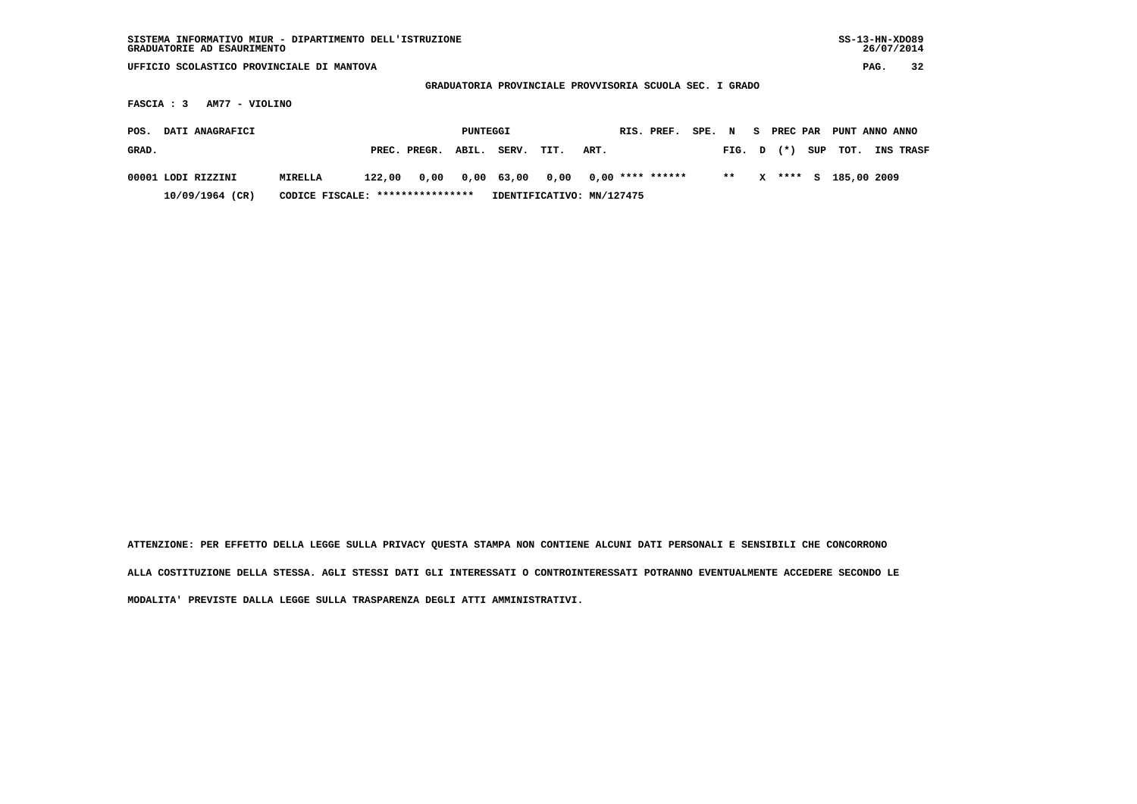| SISTEMA INFORMATIVO MIUR - DIPARTIMENTO DELL'ISTRUZIONE<br>GRADUATORIE AD ESAURIMENTO |                                   |        |              |          |            |                                                         |      |                    |        |        |   |            |     |                |      | $SS-13-HN-XDO89$<br>26/07/2014 |
|---------------------------------------------------------------------------------------|-----------------------------------|--------|--------------|----------|------------|---------------------------------------------------------|------|--------------------|--------|--------|---|------------|-----|----------------|------|--------------------------------|
| UFFICIO SCOLASTICO PROVINCIALE DI MANTOVA                                             |                                   |        |              |          |            |                                                         |      |                    |        |        |   |            |     |                | PAG. | 32                             |
|                                                                                       |                                   |        |              |          |            | GRADUATORIA PROVINCIALE PROVVISORIA SCUOLA SEC. I GRADO |      |                    |        |        |   |            |     |                |      |                                |
| AM77 - VIOLINO<br>FASCIA : 3                                                          |                                   |        |              |          |            |                                                         |      |                    |        |        |   |            |     |                |      |                                |
| DATI ANAGRAFICI<br>POS.                                                               |                                   |        |              | PUNTEGGI |            |                                                         |      | RIS. PREF.         | SPE. N |        |   | S PREC PAR |     | PUNT ANNO ANNO |      |                                |
|                                                                                       |                                   |        |              |          |            |                                                         |      |                    |        |        |   |            |     |                |      |                                |
| GRAD.                                                                                 |                                   |        | PREC. PREGR. | ABIL.    | SERV.      | TIT.                                                    | ART. |                    |        | FIG. D |   | $(*)$      | SUP | TOT.           |      | INS TRASF                      |
| 00001 LODI RIZZINI                                                                    | MIRELLA                           | 122,00 | 0,00         |          | 0,00 63,00 | 0,00                                                    |      | $0,00$ **** ****** |        | $* *$  | x | ****       | s   | 185,00 2009    |      |                                |
| 10/09/1964 (CR)                                                                       | CODICE FISCALE: ***************** |        |              |          |            | IDENTIFICATIVO: MN/127475                               |      |                    |        |        |   |            |     |                |      |                                |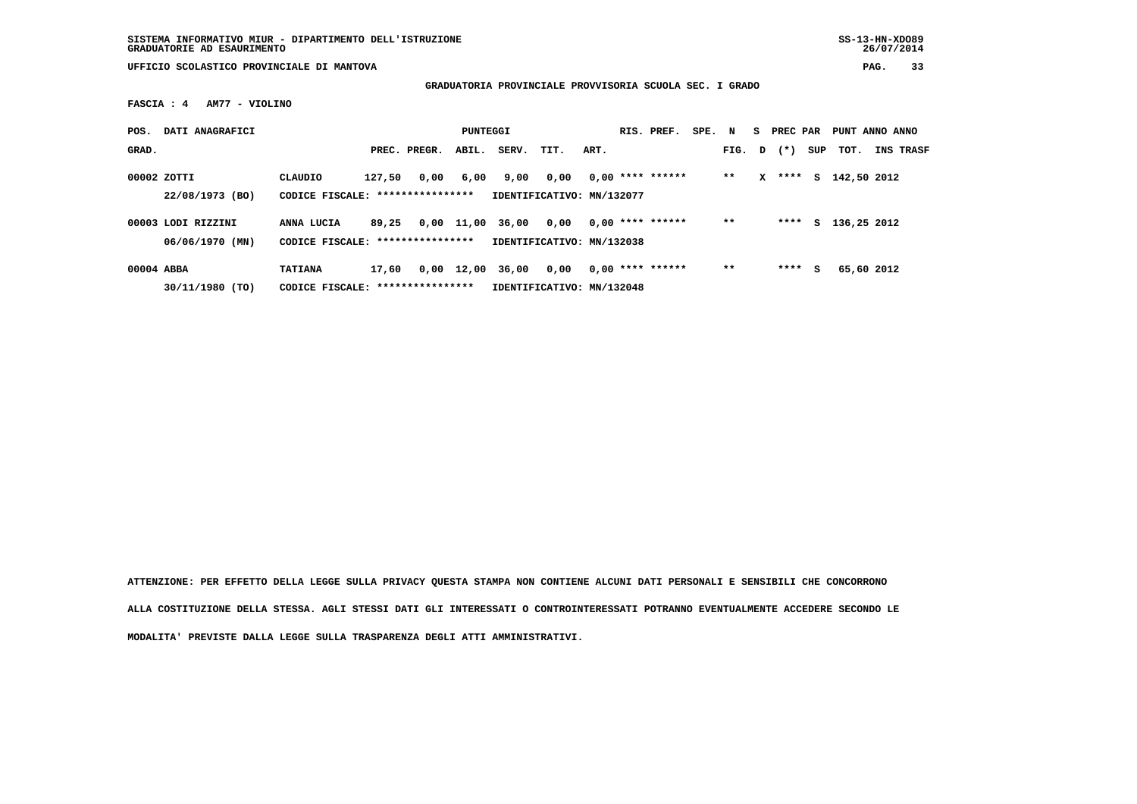**GRADUATORIA PROVINCIALE PROVVISORIA SCUOLA SEC. I GRADO**

 **FASCIA : 4 AM77 - VIOLINO**

| POS.       | DATI ANAGRAFICI                       |                                                    |        |              | PUNTEGGI     |       |                                   |      | RIS. PREF.         | SPE. N |        |   | S PREC PAR |     | PUNT ANNO ANNO |                  |
|------------|---------------------------------------|----------------------------------------------------|--------|--------------|--------------|-------|-----------------------------------|------|--------------------|--------|--------|---|------------|-----|----------------|------------------|
| GRAD.      |                                       |                                                    |        | PREC. PREGR. | ABIL.        | SERV. | TIT.                              | ART. |                    |        | FIG. D |   | $(* )$     | SUP | TOT.           | <b>INS TRASF</b> |
|            | 00002 ZOTTI<br>22/08/1973 (BO)        | CLAUDIO<br>CODICE FISCALE: *****************       | 127,50 | 0,00         | 6,00         | 9,00  | 0,00<br>IDENTIFICATIVO: MN/132077 |      | $0.00$ **** ****** |        | $**$   | x | ****       | s   | 142,50 2012    |                  |
|            | 00003 LODI RIZZINI<br>06/06/1970 (MN) | ANNA LUCIA<br>CODICE FISCALE: *****************    | 89,25  |              | 0,00 11,00   | 36,00 | 0.00<br>IDENTIFICATIVO: MN/132038 |      | $0.00$ **** ****** |        | $* *$  |   | ****       |     | S 136,25 2012  |                  |
| 00004 ABBA | 30/11/1980 (TO)                       | <b>TATIANA</b><br>CODICE FISCALE: **************** | 17,60  |              | $0,00$ 12,00 | 36,00 | 0.00<br>IDENTIFICATIVO: MN/132048 |      | $0.00$ **** ****** |        | $* *$  |   | ****       | s   | 65,60 2012     |                  |